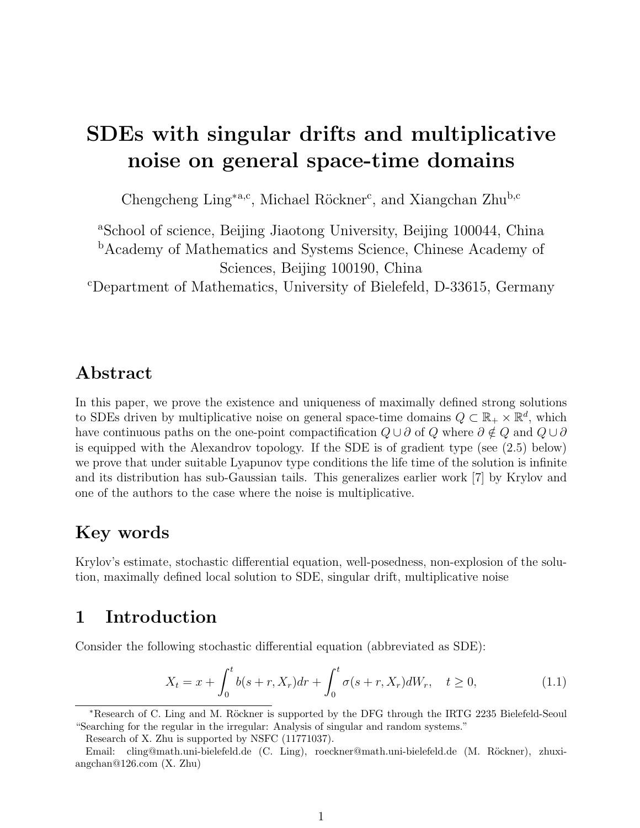# SDEs with singular drifts and multiplicative noise on general space-time domains

Chengcheng Ling<sup>\*a,c</sup>, Michael Röckner<sup>c</sup>, and Xiangchan Zhu<sup>b,c</sup>

<sup>a</sup>School of science, Beijing Jiaotong University, Beijing 100044, China <sup>b</sup>Academy of Mathematics and Systems Science, Chinese Academy of Sciences, Beijing 100190, China

<sup>c</sup>Department of Mathematics, University of Bielefeld, D-33615, Germany

# Abstract

In this paper, we prove the existence and uniqueness of maximally defined strong solutions to SDEs driven by multiplicative noise on general space-time domains  $Q \subset \mathbb{R}_+ \times \mathbb{R}^d$ , which have continuous paths on the one-point compactification  $Q \cup \partial$  of  $Q$  where  $\partial \notin Q$  and  $Q \cup \partial$ is equipped with the Alexandrov topology. If the SDE is of gradient type (see (2.5) below) we prove that under suitable Lyapunov type conditions the life time of the solution is infinite and its distribution has sub-Gaussian tails. This generalizes earlier work [7] by Krylov and one of the authors to the case where the noise is multiplicative.

# Key words

Krylov's estimate, stochastic differential equation, well-posedness, non-explosion of the solution, maximally defined local solution to SDE, singular drift, multiplicative noise

# 1 Introduction

Consider the following stochastic differential equation (abbreviated as SDE):

$$
X_t = x + \int_0^t b(s+r, X_r) dr + \int_0^t \sigma(s+r, X_r) dW_r, \quad t \ge 0,
$$
\n(1.1)

\*Research of C. Ling and M. Röckner is supported by the DFG through the IRTG 2235 Bielefeld-Seoul "Searching for the regular in the irregular: Analysis of singular and random systems."

Research of X. Zhu is supported by NSFC (11771037).

Email: cling@math.uni-bielefeld.de (C. Ling), roeckner@math.uni-bielefeld.de (M. Röckner), zhuxiangchan@126.com (X. Zhu)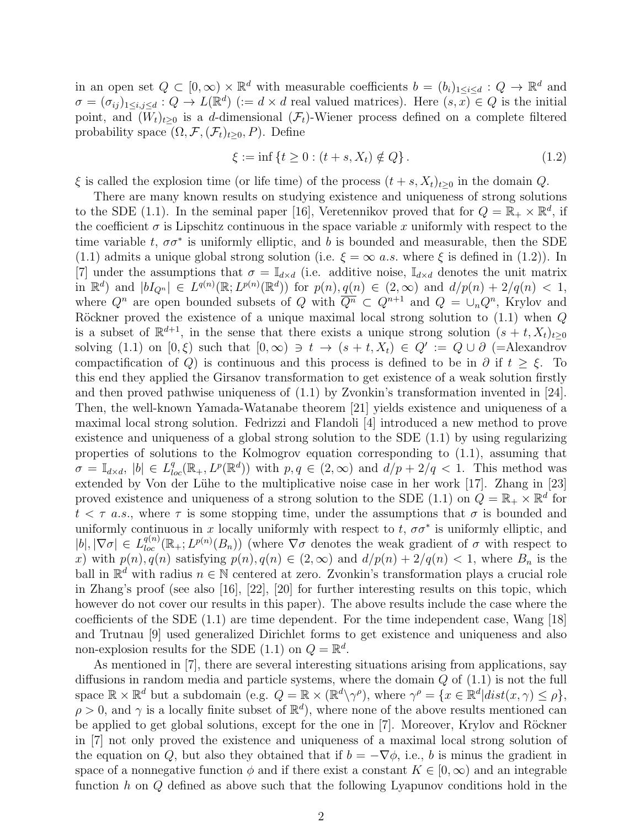in an open set  $Q \subset [0,\infty) \times \mathbb{R}^d$  with measurable coefficients  $b = (b_i)_{1 \leq i \leq d} : Q \to \mathbb{R}^d$  and  $\sigma = (\sigma_{ij})_{1 \le i,j \le d} : Q \to L(\mathbb{R}^d)$  ( $:= d \times d$  real valued matrices). Here  $(s, x) \in Q$  is the initial point, and  $(W_t)_{t\geq0}$  is a d-dimensional  $(\mathcal{F}_t)$ -Wiener process defined on a complete filtered probability space  $(\Omega, \mathcal{F}, (\mathcal{F}_t)_{t>0}, P)$ . Define

$$
\xi := \inf \{ t \ge 0 : (t + s, X_t) \notin Q \}.
$$
\n(1.2)

 $\xi$  is called the explosion time (or life time) of the process  $(t + s, X_t)_{t>0}$  in the domain Q.

There are many known results on studying existence and uniqueness of strong solutions to the SDE (1.1). In the seminal paper [16], Veretennikov proved that for  $Q = \mathbb{R}_+ \times \mathbb{R}^d$ , if the coefficient  $\sigma$  is Lipschitz continuous in the space variable x uniformly with respect to the time variable t,  $\sigma \sigma^*$  is uniformly elliptic, and b is bounded and measurable, then the SDE (1.1) admits a unique global strong solution (i.e.  $\xi = \infty$  *a.s.* where  $\xi$  is defined in (1.2)). In [7] under the assumptions that  $\sigma = \mathbb{I}_{d \times d}$  (i.e. additive noise,  $\mathbb{I}_{d \times d}$  denotes the unit matrix in  $\mathbb{R}^d$ ) and  $|bI_{Q^n}| \in L^{q(n)}(\mathbb{R}; L^{p(n)}(\mathbb{R}^d))$  for  $p(n), q(n) \in (2, \infty)$  and  $d/p(n) + 2/q(n) < 1$ , where  $Q^n$  are open bounded subsets of Q with  $\overline{Q^n} \subset Q^{n+1}$  and  $Q = \bigcup_n Q^n$ , Krylov and Röckner proved the existence of a unique maximal local strong solution to  $(1.1)$  when  $Q$ is a subset of  $\mathbb{R}^{d+1}$ , in the sense that there exists a unique strong solution  $(s + t, X_t)_{t\geq 0}$ solving (1.1) on  $[0,\xi)$  such that  $[0,\infty) \ni t \to (s+t, X_t) \in Q' := Q \cup \partial$  (=Alexandrov compactification of Q) is continuous and this process is defined to be in  $\partial$  if  $t \geq \xi$ . To this end they applied the Girsanov transformation to get existence of a weak solution firstly and then proved pathwise uniqueness of (1.1) by Zvonkin's transformation invented in [24]. Then, the well-known Yamada-Watanabe theorem [21] yields existence and uniqueness of a maximal local strong solution. Fedrizzi and Flandoli [4] introduced a new method to prove existence and uniqueness of a global strong solution to the SDE (1.1) by using regularizing properties of solutions to the Kolmogrov equation corresponding to (1.1), assuming that  $\sigma = \mathbb{I}_{d \times d}$ ,  $|b| \in L^q_{loc}(\mathbb{R}_+, L^p(\mathbb{R}^d))$  with  $p, q \in (2, \infty)$  and  $d/p + 2/q < 1$ . This method was extended by Von der Lühe to the multiplicative noise case in her work [17]. Zhang in [23] proved existence and uniqueness of a strong solution to the SDE (1.1) on  $Q = \mathbb{R}_+ \times \mathbb{R}^d$  for  $t < \tau$  a.s., where  $\tau$  is some stopping time, under the assumptions that  $\sigma$  is bounded and uniformly continuous in x locally uniformly with respect to  $t, \sigma\sigma^*$  is uniformly elliptic, and  $|b|, |\nabla \sigma| \in L^{q(n)}_{loc}(\mathbb{R}_+; L^{p(n)}(B_n))$  (where  $\nabla \sigma$  denotes the weak gradient of  $\sigma$  with respect to x) with  $p(n)$ ,  $q(n)$  satisfying  $p(n)$ ,  $q(n) \in (2,\infty)$  and  $d/p(n) + 2/q(n) < 1$ , where  $B_n$  is the ball in  $\mathbb{R}^d$  with radius  $n \in \mathbb{N}$  centered at zero. Zvonkin's transformation plays a crucial role in Zhang's proof (see also [16], [22], [20] for further interesting results on this topic, which however do not cover our results in this paper). The above results include the case where the coefficients of the SDE (1.1) are time dependent. For the time independent case, Wang [18] and Trutnau [9] used generalized Dirichlet forms to get existence and uniqueness and also non-explosion results for the SDE (1.1) on  $Q = \mathbb{R}^d$ .

As mentioned in [7], there are several interesting situations arising from applications, say diffusions in random media and particle systems, where the domain  $Q$  of  $(1.1)$  is not the full space  $\mathbb{R} \times \mathbb{R}^d$  but a subdomain (e.g.  $Q = \mathbb{R} \times (\mathbb{R}^d \setminus \gamma^{\rho})$ , where  $\gamma^{\rho} = \{x \in \mathbb{R}^d | dist(x, \gamma) \leq \rho\},$  $\rho > 0$ , and  $\gamma$  is a locally finite subset of  $\mathbb{R}^d$ ), where none of the above results mentioned can be applied to get global solutions, except for the one in [7]. Moreover, Krylov and Röckner in [7] not only proved the existence and uniqueness of a maximal local strong solution of the equation on Q, but also they obtained that if  $b = -\nabla \phi$ , i.e., b is minus the gradient in space of a nonnegative function  $\phi$  and if there exist a constant  $K \in [0, \infty)$  and an integrable function h on Q defined as above such that the following Lyapunov conditions hold in the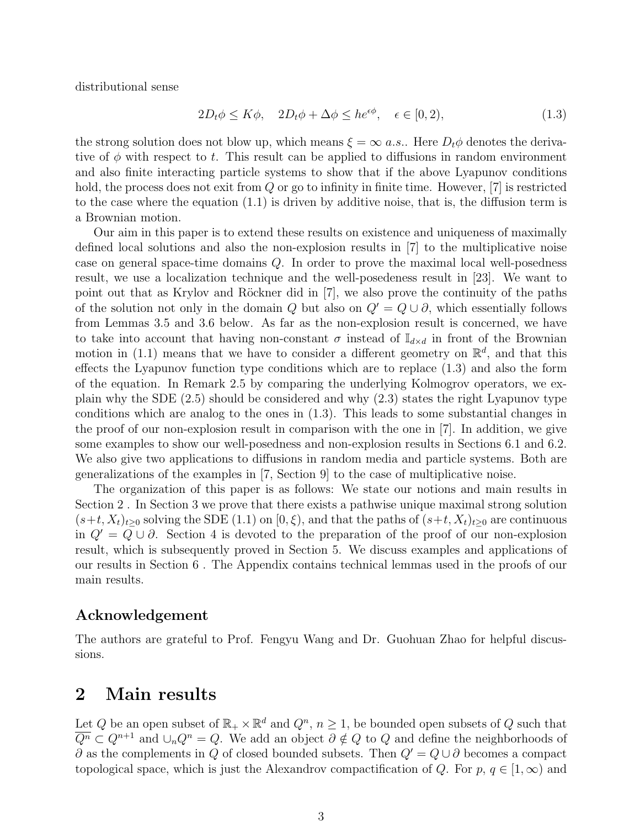distributional sense

$$
2D_t \phi \le K\phi, \quad 2D_t \phi + \Delta \phi \le h e^{\epsilon \phi}, \quad \epsilon \in [0, 2), \tag{1.3}
$$

the strong solution does not blow up, which means  $\xi = \infty$  *a.s.*. Here  $D_t \phi$  denotes the derivative of  $\phi$  with respect to t. This result can be applied to diffusions in random environment and also finite interacting particle systems to show that if the above Lyapunov conditions hold, the process does not exit from Q or go to infinity in finite time. However, [7] is restricted to the case where the equation (1.1) is driven by additive noise, that is, the diffusion term is a Brownian motion.

Our aim in this paper is to extend these results on existence and uniqueness of maximally defined local solutions and also the non-explosion results in [7] to the multiplicative noise case on general space-time domains Q. In order to prove the maximal local well-posedness result, we use a localization technique and the well-posedeness result in [23]. We want to point out that as Krylov and Röckner did in  $[7]$ , we also prove the continuity of the paths of the solution not only in the domain Q but also on  $Q' = Q \cup \partial$ , which essentially follows from Lemmas 3.5 and 3.6 below. As far as the non-explosion result is concerned, we have to take into account that having non-constant  $\sigma$  instead of  $\mathbb{I}_{d\times d}$  in front of the Brownian motion in (1.1) means that we have to consider a different geometry on  $\mathbb{R}^d$ , and that this effects the Lyapunov function type conditions which are to replace (1.3) and also the form of the equation. In Remark 2.5 by comparing the underlying Kolmogrov operators, we explain why the SDE (2.5) should be considered and why (2.3) states the right Lyapunov type conditions which are analog to the ones in (1.3). This leads to some substantial changes in the proof of our non-explosion result in comparison with the one in [7]. In addition, we give some examples to show our well-posedness and non-explosion results in Sections 6.1 and 6.2. We also give two applications to diffusions in random media and particle systems. Both are generalizations of the examples in [7, Section 9] to the case of multiplicative noise.

The organization of this paper is as follows: We state our notions and main results in Section 2 . In Section 3 we prove that there exists a pathwise unique maximal strong solution  $(s+t, X_t)_{t\geq 0}$  solving the SDE (1.1) on  $[0, \xi)$ , and that the paths of  $(s+t, X_t)_{t\geq 0}$  are continuous in  $Q' = Q \cup \partial$ . Section 4 is devoted to the preparation of the proof of our non-explosion result, which is subsequently proved in Section 5. We discuss examples and applications of our results in Section 6 . The Appendix contains technical lemmas used in the proofs of our main results.

## Acknowledgement

The authors are grateful to Prof. Fengyu Wang and Dr. Guohuan Zhao for helpful discussions.

# 2 Main results

Let Q be an open subset of  $\mathbb{R}_+ \times \mathbb{R}^d$  and  $Q^n$ ,  $n \geq 1$ , be bounded open subsets of Q such that  $\overline{Q^n} \subset Q^{n+1}$  and  $\cup_n Q^n = Q$ . We add an object  $\partial \notin Q$  to  $Q$  and define the neighborhoods of  $\partial$  as the complements in Q of closed bounded subsets. Then  $Q' = Q \cup \partial$  becomes a compact topological space, which is just the Alexandrov compactification of Q. For  $p, q \in [1,\infty)$  and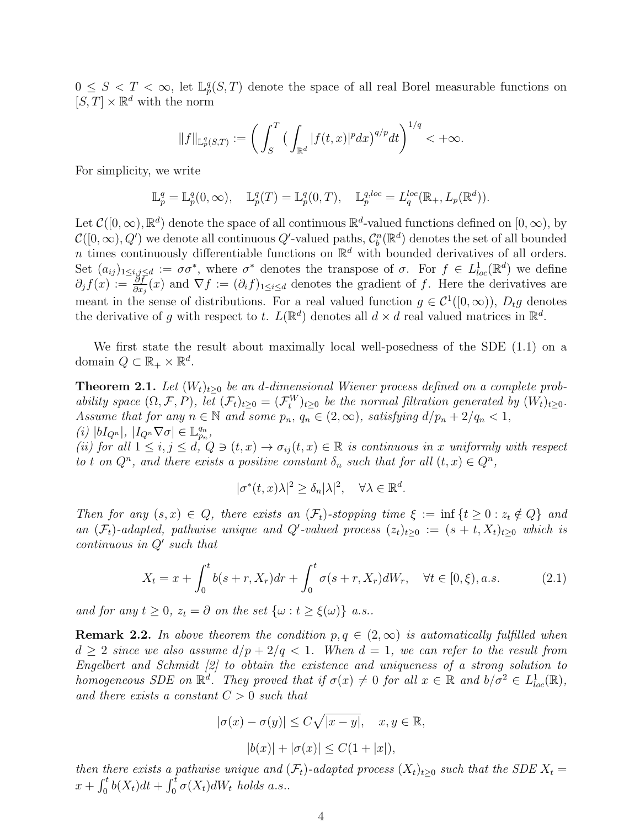$0 \leq S < T < \infty$ , let  $\mathbb{L}_p^q(S,T)$  denote the space of all real Borel measurable functions on  $[S, T] \times \mathbb{R}^d$  with the norm

$$
||f||_{\mathbb{L}^q_p(S,T)} := \bigg( \int_S^T \big( \int_{\mathbb{R}^d} |f(t,x)|^p dx \big)^{q/p} dt \bigg)^{1/q} < +\infty.
$$

For simplicity, we write

$$
\mathbb{L}_p^q = \mathbb{L}_p^q(0, \infty), \quad \mathbb{L}_p^q(T) = \mathbb{L}_p^q(0, T), \quad \mathbb{L}_p^{q, loc} = L_q^{loc}(\mathbb{R}_+, L_p(\mathbb{R}^d)).
$$

Let  $\mathcal{C}([0,\infty),\mathbb{R}^d)$  denote the space of all continuous  $\mathbb{R}^d$ -valued functions defined on  $[0,\infty)$ , by  $\mathcal{C}([0,\infty),Q')$  we denote all continuous  $Q'$ -valued paths,  $\mathcal{C}_b^n(\mathbb{R}^d)$  denotes the set of all bounded n times continuously differentiable functions on  $\mathbb{R}^d$  with bounded derivatives of all orders. Set  $(a_{ij})_{1\leq i,j\leq d} := \sigma\sigma^*$ , where  $\sigma^*$  denotes the transpose of  $\sigma$ . For  $f \in L^1_{loc}(\mathbb{R}^d)$  we define  $\partial_j f(x) := \frac{\partial f}{\partial x_j}(x)$  and  $\nabla f := (\partial_i f)_{1 \leq i \leq d}$  denotes the gradient of f. Here the derivatives are meant in the sense of distributions. For a real valued function  $g \in C^1([0,\infty))$ ,  $D_t g$  denotes the derivative of g with respect to t.  $L(\mathbb{R}^d)$  denotes all  $d \times d$  real valued matrices in  $\mathbb{R}^d$ .

We first state the result about maximally local well-posedness of the SDE (1.1) on a domain  $Q \subset \mathbb{R}_+ \times \mathbb{R}^d$ .

**Theorem 2.1.** Let  $(W_t)_{t>0}$  be an d-dimensional Wiener process defined on a complete probability space  $(\Omega, \mathcal{F}, P)$ , let  $(\mathcal{F}_t)_{t\geq 0} = (\mathcal{F}_t^W)_{t\geq 0}$  be the normal filtration generated by  $(W_t)_{t\geq 0}$ . Assume that for any  $n \in \mathbb{N}$  and some  $p_n$ ,  $q_n \in (2,\infty)$ , satisfying  $d/p_n + 2/q_n < 1$ , (i)  $|bI_{Q^n}|, |I_{Q^n}\nabla\sigma| \in \mathbb{L}_{p_n}^{q_n},$ 

(ii) for all  $1 \le i, j \le d, Q \ni (t, x) \to \sigma_{ij}(t, x) \in \mathbb{R}$  is continuous in x uniformly with respect to t on  $Q^n$ , and there exists a positive constant  $\delta_n$  such that for all  $(t, x) \in Q^n$ ,

$$
|\sigma^*(t,x)\lambda|^2 \ge \delta_n |\lambda|^2, \quad \forall \lambda \in \mathbb{R}^d.
$$

Then for any  $(s, x) \in Q$ , there exists an  $(\mathcal{F}_t)$ -stopping time  $\xi := \inf \{ t \geq 0 : z_t \notin Q \}$  and an  $(\mathcal{F}_t)$ -adapted, pathwise unique and Q'-valued process  $(z_t)_{t\geq0} := (s+t, X_t)_{t\geq0}$  which is  $continuous$  in  $Q'$  such that

$$
X_t = x + \int_0^t b(s+r, X_r) dr + \int_0^t \sigma(s+r, X_r) dW_r, \quad \forall t \in [0, \xi), a.s.
$$
 (2.1)

and for any  $t \geq 0$ ,  $z_t = \partial$  on the set  $\{\omega : t \geq \xi(\omega)\}\; a.s..$ 

**Remark 2.2.** In above theorem the condition  $p, q \in (2,\infty)$  is automatically fulfilled when  $d > 2$  since we also assume  $d/p + 2/q < 1$ . When  $d = 1$ , we can refer to the result from Engelbert and Schmidt [2] to obtain the existence and uniqueness of a strong solution to homogeneous SDE on  $\mathbb{R}^d$ . They proved that if  $\sigma(x) \neq 0$  for all  $x \in \mathbb{R}$  and  $b/\sigma^2 \in L^1_{loc}(\mathbb{R})$ , and there exists a constant  $C > 0$  such that

$$
|\sigma(x) - \sigma(y)| \le C\sqrt{|x - y|}, \quad x, y \in \mathbb{R},
$$

$$
|b(x)| + |\sigma(x)| \le C(1 + |x|),
$$

then there exists a pathwise unique and  $(\mathcal{F}_t)$ -adapted process  $(X_t)_{t\geq0}$  such that the SDE  $X_t =$  $x + \int_0^t b(X_t)dt + \int_0^t \sigma(X_t)dW_t$  holds a.s..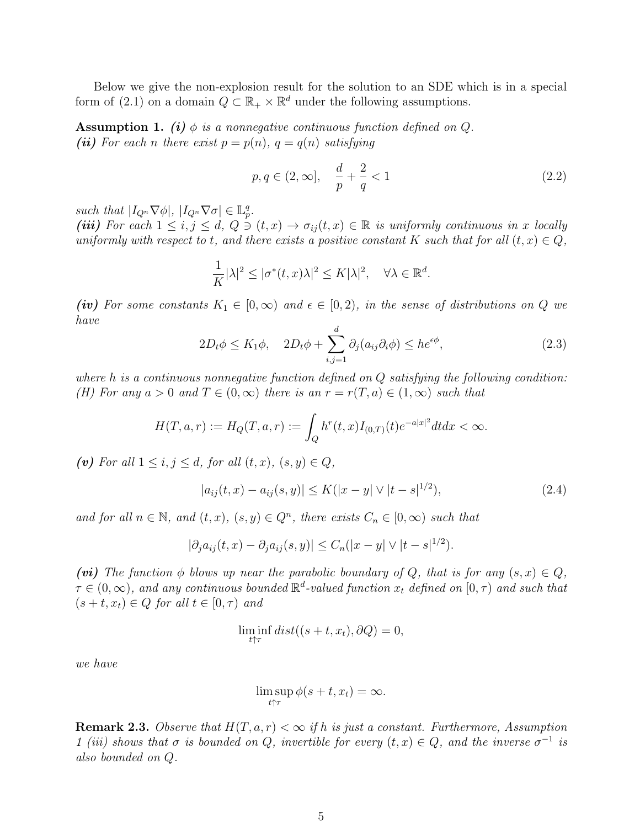Below we give the non-explosion result for the solution to an SDE which is in a special form of (2.1) on a domain  $Q \subset \mathbb{R}_+ \times \mathbb{R}^d$  under the following assumptions.

**Assumption 1.** (i)  $\phi$  is a nonnegative continuous function defined on Q. (ii) For each n there exist  $p = p(n)$ ,  $q = q(n)$  satisfying

$$
p, q \in (2, \infty], \quad \frac{d}{p} + \frac{2}{q} < 1
$$
\n
$$
(2.2)
$$

such that  $|I_{Q^n}\nabla\phi|, |I_{Q^n}\nabla\sigma| \in \mathbb{L}_p^q$ .

(iii) For each  $1 \leq i, j \leq d, Q \ni (t, x) \rightarrow \sigma_{ij}(t, x) \in \mathbb{R}$  is uniformly continuous in x locally uniformly with respect to t, and there exists a positive constant K such that for all  $(t, x) \in Q$ ,

$$
\frac{1}{K}|\lambda|^2 \le |\sigma^*(t,x)\lambda|^2 \le K|\lambda|^2, \quad \forall \lambda \in \mathbb{R}^d.
$$

(iv) For some constants  $K_1 \in [0,\infty)$  and  $\epsilon \in [0,2)$ , in the sense of distributions on Q we have

$$
2D_t \phi \le K_1 \phi, \quad 2D_t \phi + \sum_{i,j=1}^d \partial_j (a_{ij} \partial_i \phi) \le h e^{\epsilon \phi}, \tag{2.3}
$$

where h is a continuous nonnegative function defined on  $Q$  satisfying the following condition: (H) For any  $a > 0$  and  $T \in (0, \infty)$  there is an  $r = r(T, a) \in (1, \infty)$  such that

$$
H(T, a, r) := H_Q(T, a, r) := \int_Q h^r(t, x) I_{(0,T)}(t) e^{-a|x|^2} dt dx < \infty.
$$

(v) For all  $1 \leq i, j \leq d$ , for all  $(t, x), (s, y) \in Q$ ,

$$
|a_{ij}(t,x) - a_{ij}(s,y)| \le K(|x - y| \vee |t - s|^{1/2}), \tag{2.4}
$$

and for all  $n \in \mathbb{N}$ , and  $(t, x)$ ,  $(s, y) \in Q<sup>n</sup>$ , there exists  $C_n \in [0, \infty)$  such that

$$
|\partial_j a_{ij}(t, x) - \partial_j a_{ij}(s, y)| \le C_n(|x - y| \vee |t - s|^{1/2}).
$$

(vi) The function  $\phi$  blows up near the parabolic boundary of Q, that is for any  $(s, x) \in Q$ ,  $\tau \in (0,\infty)$ , and any continuous bounded  $\mathbb{R}^d$ -valued function  $x_t$  defined on  $[0,\tau)$  and such that  $(s + t, x_t) \in Q$  for all  $t \in [0, \tau)$  and

$$
\liminf_{t \uparrow \tau} dist((s+t, x_t), \partial Q) = 0,
$$

we have

$$
\limsup_{t \uparrow \tau} \phi(s+t, x_t) = \infty.
$$

**Remark 2.3.** Observe that  $H(T, a, r) < \infty$  if h is just a constant. Furthermore, Assumption 1 (iii) shows that  $\sigma$  is bounded on Q, invertible for every  $(t, x) \in Q$ , and the inverse  $\sigma^{-1}$  is also bounded on Q.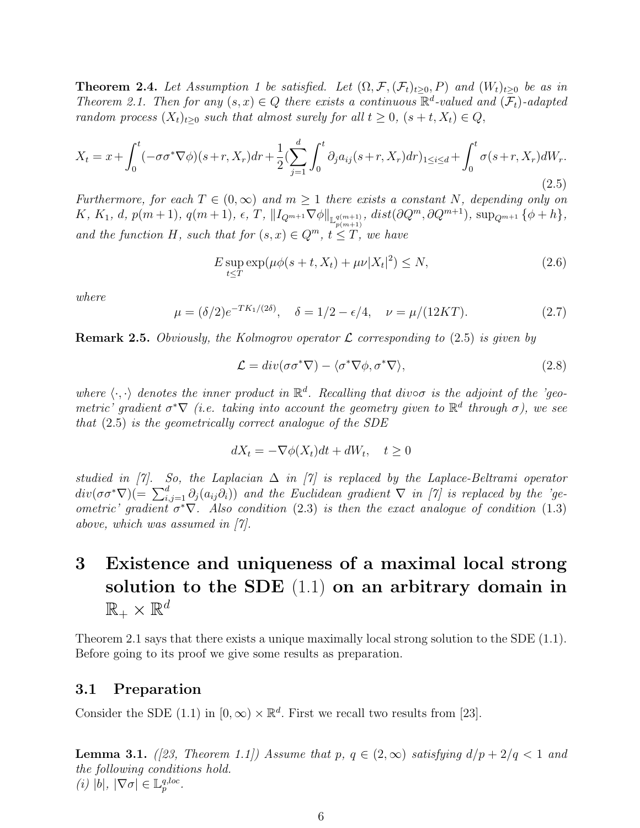**Theorem 2.4.** Let Assumption 1 be satisfied. Let  $(\Omega, \mathcal{F}, (\mathcal{F}_t)_{t\geq 0}, P)$  and  $(W_t)_{t\geq 0}$  be as in Theorem 2.1. Then for any  $(s, x) \in Q$  there exists a continuous  $\mathbb{R}^d$ -valued and  $(\mathcal{F}_t)$ -adapted random process  $(X_t)_{t\geq 0}$  such that almost surely for all  $t \geq 0$ ,  $(s + t, X_t) \in Q$ ,

$$
X_t = x + \int_0^t (-\sigma \sigma^* \nabla \phi)(s+r, X_r) dr + \frac{1}{2} \left( \sum_{j=1}^d \int_0^t \partial_j a_{ij} (s+r, X_r) dr \right)_{1 \le i \le d} + \int_0^t \sigma(s+r, X_r) dW_r. \tag{2.5}
$$

Furthermore, for each  $T \in (0,\infty)$  and  $m \geq 1$  there exists a constant N, depending only on  $K, K_1, d, p(m+1), q(m+1), \epsilon, T, \|I_{Q^{m+1}}\nabla\phi\|_{\mathbb{L}_{p(m+1)}^{q(m+1)}}, dist(\partial Q^m, \partial Q^{m+1}), \sup_{Q^{m+1}} {\{\phi+h\}},$ and the function H, such that for  $(s, x) \in Q^m$ ,  $t \leq T$ , we have

$$
E \sup_{t \le T} \exp(\mu \phi(s+t, X_t) + \mu \nu |X_t|^2) \le N,
$$
\n(2.6)

where

$$
\mu = (\delta/2)e^{-TK_1/(2\delta)}, \quad \delta = 1/2 - \epsilon/4, \quad \nu = \mu/(12KT). \tag{2.7}
$$

**Remark 2.5.** Obviously, the Kolmogrov operator  $\mathcal{L}$  corresponding to (2.5) is given by

$$
\mathcal{L} = div(\sigma \sigma^* \nabla) - \langle \sigma^* \nabla \phi, \sigma^* \nabla \rangle, \tag{2.8}
$$

where  $\langle \cdot, \cdot \rangle$  denotes the inner product in  $\mathbb{R}^d$ . Recalling that divoo is the adjoint of the 'geometric' gradient  $\sigma^*\nabla$  (i.e. taking into account the geometry given to  $\mathbb{R}^d$  through  $\sigma$ ), we see that (2.5) is the geometrically correct analogue of the SDE

$$
dX_t = -\nabla \phi(X_t)dt + dW_t, \quad t \ge 0
$$

studied in [7]. So, the Laplacian  $\Delta$  in [7] is replaced by the Laplace-Beltrami operator  $div(\sigma\sigma^*\nabla)(=\sum_{i,j=1}^d\partial_j(a_{ij}\partial_i))$  and the Euclidean gradient  $\nabla$  in [7] is replaced by the 'geometric' gradient  $\sigma^*\nabla$ . Also condition (2.3) is then the exact analogue of condition (1.3) above, which was assumed in [7].

# 3 Existence and uniqueness of a maximal local strong solution to the SDE (1.1) on an arbitrary domain in  $\mathbb{R}_+\times\mathbb{R}^d$

Theorem 2.1 says that there exists a unique maximally local strong solution to the SDE  $(1.1)$ . Before going to its proof we give some results as preparation.

## 3.1 Preparation

Consider the SDE (1.1) in  $[0, \infty) \times \mathbb{R}^d$ . First we recall two results from [23].

**Lemma 3.1.** ([23, Theorem 1.1]) Assume that p,  $q \in (2,\infty)$  satisfying  $d/p + 2/q < 1$  and the following conditions hold. (i)  $|b|, |\nabla \sigma| \in \mathbb{L}_p^{q, loc}.$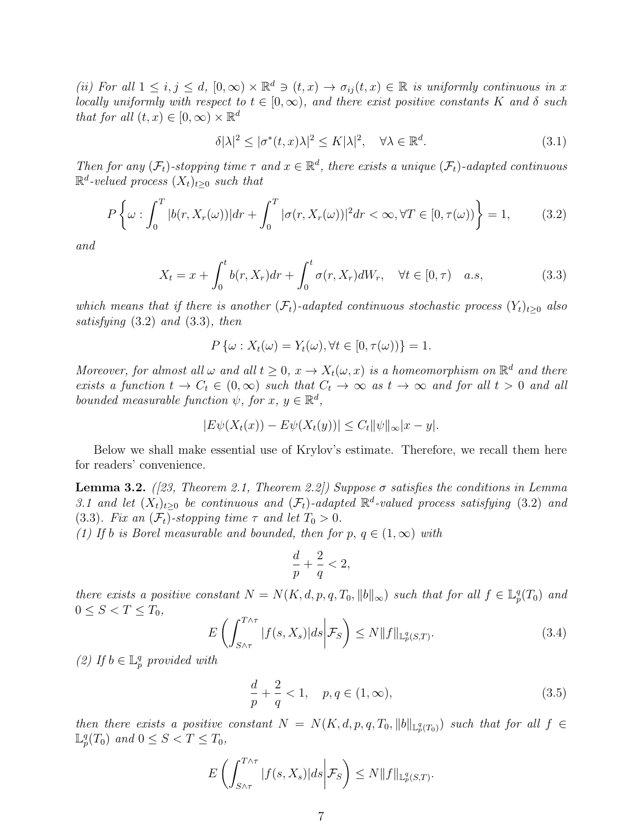(ii) For all  $1 \leq i, j \leq d$ ,  $[0, \infty) \times \mathbb{R}^d \ni (t, x) \to \sigma_{ij}(t, x) \in \mathbb{R}$  is uniformly continuous in x locally uniformly with respect to  $t \in [0, \infty)$ , and there exist positive constants K and  $\delta$  such that for all  $(t, x) \in [0, \infty) \times \mathbb{R}^d$ 

$$
\delta |\lambda|^2 \le |\sigma^*(t, x)\lambda|^2 \le K|\lambda|^2, \quad \forall \lambda \in \mathbb{R}^d. \tag{3.1}
$$

Then for any  $(\mathcal{F}_t)$ -stopping time  $\tau$  and  $x \in \mathbb{R}^d$ , there exists a unique  $(\mathcal{F}_t)$ -adapted continuous  $\mathbb{R}^d$ -velued process  $(X_t)_{t\geq 0}$  such that

$$
P\left\{\omega:\int_{0}^{T}|b(r,X_{r}(\omega))|dr+\int_{0}^{T}|\sigma(r,X_{r}(\omega))|^{2}dr<\infty,\forall T\in[0,\tau(\omega))\right\}=1,
$$
 (3.2)

and

$$
X_t = x + \int_0^t b(r, X_r) dr + \int_0^t \sigma(r, X_r) dW_r, \quad \forall t \in [0, \tau) \quad a.s,
$$
\n(3.3)

which means that if there is another  $(\mathcal{F}_t)$ -adapted continuous stochastic process  $(Y_t)_{t\geq0}$  also satisfying (3.2) and (3.3), then

$$
P\{\omega: X_t(\omega) = Y_t(\omega), \forall t \in [0, \tau(\omega))\} = 1.
$$

Moreover, for almost all  $\omega$  and all  $t \geq 0$ ,  $x \to X_t(\omega, x)$  is a homeomorphism on  $\mathbb{R}^d$  and there exists a function  $t \to C_t \in (0,\infty)$  such that  $C_t \to \infty$  as  $t \to \infty$  and for all  $t > 0$  and all bounded measurable function  $\psi$ , for  $x, y \in \mathbb{R}^d$ ,

$$
|E\psi(X_t(x)) - E\psi(X_t(y))| \leq C_t \|\psi\|_{\infty} |x - y|.
$$

Below we shall make essential use of Krylov's estimate. Therefore, we recall them here for readers' convenience.

**Lemma 3.2.** ([23, Theorem 2.1, Theorem 2.2]) Suppose  $\sigma$  satisfies the conditions in Lemma 3.1 and let  $(X_t)_{t\geq0}$  be continuous and  $(\mathcal{F}_t)$ -adapted  $\mathbb{R}^d$ -valued process satisfying (3.2) and (3.3). Fix an  $(\mathcal{F}_t)$ -stopping time  $\tau$  and let  $T_0 > 0$ .

(1) If b is Borel measurable and bounded, then for p,  $q \in (1,\infty)$  with

$$
\frac{d}{p} + \frac{2}{q} < 2,
$$

there exists a positive constant  $N = N(K, d, p, q, T_0, ||b||_{\infty})$  such that for all  $f \in \mathbb{L}_p^q(T_0)$  and  $0 \le S < T \le T_0$ ,

$$
E\left(\int_{S\wedge\tau}^{T\wedge\tau} |f(s,X_s)|ds\bigg|\mathcal{F}_S\right)\leq N\|f\|_{\mathbb{L}_p^q(S,T)}.\tag{3.4}
$$

(2) If  $b \in \mathbb{L}_p^q$  provided with

$$
\frac{d}{p} + \frac{2}{q} < 1, \quad p, q \in (1, \infty), \tag{3.5}
$$

then there exists a positive constant  $N = N(K, d, p, q, T_0, ||b||_{\mathbb{L}^q_p(T_0)})$  such that for all  $f \in$  $\mathbb{L}_p^q(T_0)$  and  $0 \leq S < T \leq T_0$ ,

$$
E\left(\int_{S\wedge\tau}^{T\wedge\tau} |f(s,X_s)|ds\bigg|\mathcal{F}_S\right)\leq N\|f\|_{\mathbb{L}_p^q(S,T)}.
$$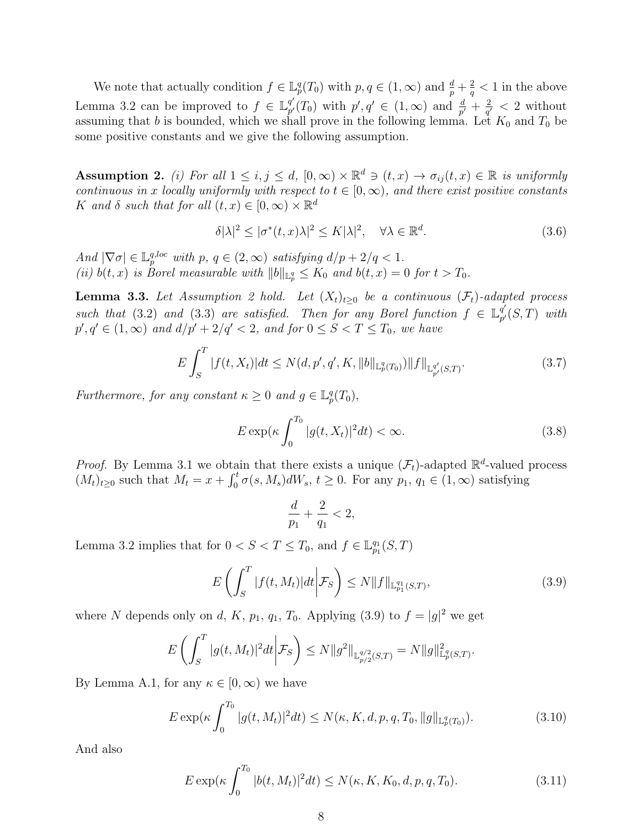We note that actually condition  $f \in \mathbb{L}_p^q(T_0)$  with  $p, q \in (1, \infty)$  and  $\frac{d}{p} + \frac{2}{q}$  $\frac{2}{q}$  < 1 in the above Lemma 3.2 can be improved to  $f \in \mathbb{L}^{q'}_{n'}$  $p'(T_0)$  with  $p', q' \in (1, \infty)$  and  $\frac{d}{p'} + \frac{2}{q'}$  $\frac{2}{q'} < 2$  without assuming that b is bounded, which we shall prove in the following lemma. Let  $K_0$  and  $T_0$  be some positive constants and we give the following assumption.

**Assumption 2.** (i) For all  $1 \leq i, j \leq d$ ,  $[0, \infty) \times \mathbb{R}^d \ni (t, x) \to \sigma_{ij}(t, x) \in \mathbb{R}$  is uniformly continuous in x locally uniformly with respect to  $t \in [0, \infty)$ , and there exist positive constants K and  $\delta$  such that for all  $(t, x) \in [0, \infty) \times \mathbb{R}^d$ 

$$
\delta |\lambda|^2 \le |\sigma^*(t, x)\lambda|^2 \le K|\lambda|^2, \quad \forall \lambda \in \mathbb{R}^d. \tag{3.6}
$$

And  $|\nabla \sigma| \in \mathbb{L}_p^{q, loc}$  with  $p, q \in (2, \infty)$  satisfying  $d/p + 2/q < 1$ . (ii)  $b(t, x)$  is Borel measurable with  $||b||_{\mathbb{L}_p^q} \leq K_0$  and  $b(t, x) = 0$  for  $t > T_0$ .

**Lemma 3.3.** Let Assumption 2 hold. Let  $(X_t)_{t\geq0}$  be a continuous  $(\mathcal{F}_t)$ -adapted process such that (3.2) and (3.3) are satisfied. Then for any Borel function  $f \in \mathbb{L}^{q'}_{n'}$  $_{p^{\prime }}^{q^{\prime }}(S,T)\text{ }$  with  $p', q' \in (1, \infty)$  and  $d/p' + 2/q' < 2$ , and for  $0 \le S < T \le T_0$ , we have

$$
E\int_{S}^{T} |f(t, X_{t})|dt \le N(d, p', q', K, ||b||_{\mathbb{L}_{p}^{q}(T_{0})})||f||_{\mathbb{L}_{p'}^{q'}(S,T)}.
$$
\n(3.7)

Furthermore, for any constant  $\kappa \geq 0$  and  $g \in \mathbb{L}_p^q(T_0)$ ,

$$
E \exp\left(\kappa \int_0^{T_0} |g(t, X_t)|^2 dt\right) < \infty. \tag{3.8}
$$

*Proof.* By Lemma 3.1 we obtain that there exists a unique  $(\mathcal{F}_t)$ -adapted  $\mathbb{R}^d$ -valued process  $(M_t)_{t\geq0}$  such that  $M_t = x + \int_0^t \sigma(s, M_s) dW_s$ ,  $t \geq 0$ . For any  $p_1, q_1 \in (1, \infty)$  satisfying

$$
\frac{d}{p_1} + \frac{2}{q_1} < 2,
$$

Lemma 3.2 implies that for  $0 < S < T \leq T_0$ , and  $f \in \mathbb{L}_{p_1}^{q_1}(S,T)$ 

$$
E\left(\int_{S}^{T} |f(t, M_t)|dt \middle| \mathcal{F}_S\right) \le N \|f\|_{\mathbb{L}_{p_1}^{q_1}(S,T)},\tag{3.9}
$$

where N depends only on d, K,  $p_1$ ,  $q_1$ ,  $T_0$ . Applying (3.9) to  $f = |g|^2$  we get

$$
E\left(\int_{S}^{T} |g(t, M_{t})|^{2} dt \bigg| \mathcal{F}_{S}\right) \leq N \|g^{2}\|_{\mathbb{L}^{q/2}_{p/2}(S,T)} = N \|g\|_{\mathbb{L}^{q}_{p}(S,T)}^{2}.
$$

By Lemma A.1, for any  $\kappa \in [0,\infty)$  we have

$$
E \exp\left(\kappa \int_0^{T_0} |g(t, M_t)|^2 dt\right) \le N(\kappa, K, d, p, q, T_0, \|g\|_{\mathbb{L}_p^q(T_0)}).
$$
\n(3.10)

And also

$$
E \exp(\kappa \int_0^{T_0} |b(t, M_t)|^2 dt) \le N(\kappa, K, K_0, d, p, q, T_0).
$$
 (3.11)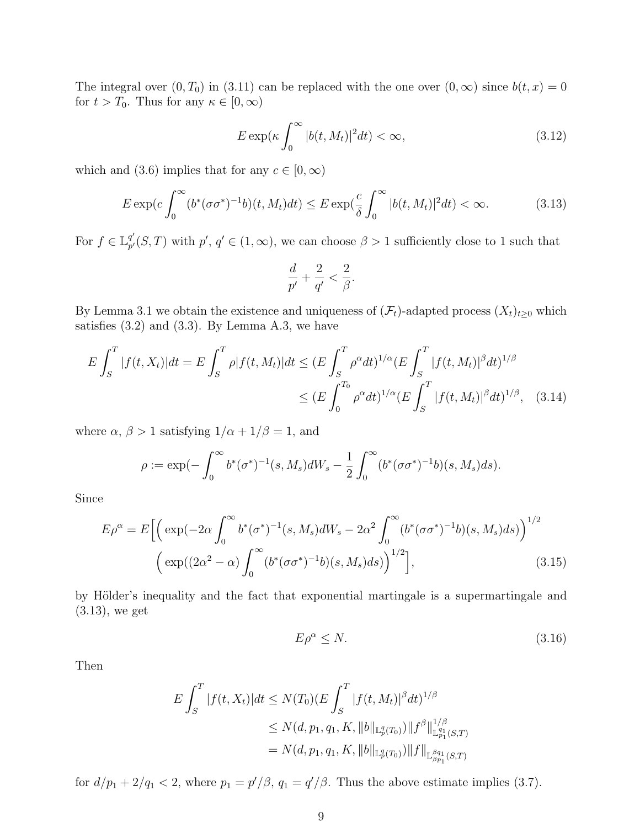The integral over  $(0, T_0)$  in  $(3.11)$  can be replaced with the one over  $(0, \infty)$  since  $b(t, x) = 0$ for  $t > T_0$ . Thus for any  $\kappa \in [0, \infty)$ 

$$
E \exp(\kappa \int_0^\infty |b(t, M_t)|^2 dt) < \infty,\tag{3.12}
$$

which and (3.6) implies that for any  $c \in [0, \infty)$ 

$$
E \exp(c \int_0^\infty (b^*(\sigma \sigma^*)^{-1} b)(t, M_t) dt) \le E \exp(\frac{c}{\delta} \int_0^\infty |b(t, M_t)|^2 dt) < \infty.
$$
 (3.13)

For  $f \in \mathbb{L}^{q'}_{n'}$  $p'_{p'}(S,T)$  with  $p', q' \in (1,\infty)$ , we can choose  $\beta > 1$  sufficiently close to 1 such that

$$
\frac{d}{p'} + \frac{2}{q'} < \frac{2}{\beta}.
$$

By Lemma 3.1 we obtain the existence and uniqueness of  $(\mathcal{F}_t)$ -adapted process  $(X_t)_{t\geq0}$  which satisfies  $(3.2)$  and  $(3.3)$ . By Lemma A.3, we have

$$
E \int_{S}^{T} |f(t, X_{t})| dt = E \int_{S}^{T} \rho |f(t, M_{t})| dt \le (E \int_{S}^{T} \rho^{\alpha} dt)^{1/\alpha} (E \int_{S}^{T} |f(t, M_{t})|^{\beta} dt)^{1/\beta}
$$
  

$$
\le (E \int_{0}^{T_{0}} \rho^{\alpha} dt)^{1/\alpha} (E \int_{S}^{T} |f(t, M_{t})|^{\beta} dt)^{1/\beta}, \quad (3.14)
$$

where  $\alpha$ ,  $\beta > 1$  satisfying  $1/\alpha + 1/\beta = 1$ , and

$$
\rho := \exp(-\int_0^\infty b^*(\sigma^*)^{-1}(s, M_s)dW_s - \frac{1}{2}\int_0^\infty (b^*(\sigma\sigma^*)^{-1}b)(s, M_s)ds).
$$

Since

$$
E\rho^{\alpha} = E\Big[\Big(\exp(-2\alpha \int_0^{\infty} b^*(\sigma^*)^{-1}(s, M_s) dW_s - 2\alpha^2 \int_0^{\infty} (b^*(\sigma \sigma^*)^{-1}b)(s, M_s) ds)\Big)^{1/2}\Big]
$$
  

$$
\Big(\exp((2\alpha^2 - \alpha) \int_0^{\infty} (b^*(\sigma \sigma^*)^{-1}b)(s, M_s) ds)\Big)^{1/2}\Big],
$$
 (3.15)

by Hölder's inequality and the fact that exponential martingale is a supermartingale and (3.13), we get

$$
E\rho^{\alpha} \le N. \tag{3.16}
$$

Then

$$
E \int_{S}^{T} |f(t, X_{t})| dt \leq N(T_{0}) (E \int_{S}^{T} |f(t, M_{t})|^{\beta} dt)^{1/\beta}
$$
  
\n
$$
\leq N(d, p_{1}, q_{1}, K, ||b||_{\mathbb{L}_{p}^{q}(T_{0})}) ||f^{\beta}||_{\mathbb{L}_{p_{1}}^{q_{1}}(S,T)}^{1/\beta}
$$
  
\n
$$
= N(d, p_{1}, q_{1}, K, ||b||_{\mathbb{L}_{p}^{q}(T_{0})}) ||f||_{\mathbb{L}_{\beta p_{1}}^{\beta q_{1}}(S,T)}
$$

for  $d/p_1 + 2/q_1 < 2$ , where  $p_1 = p'/\beta$ ,  $q_1 = q'/\beta$ . Thus the above estimate implies (3.7).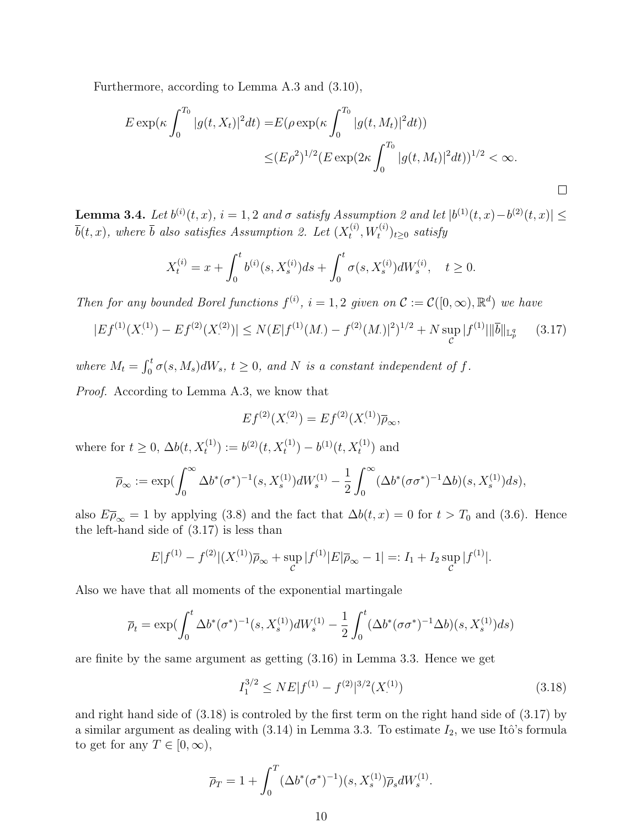Furthermore, according to Lemma A.3 and (3.10),

$$
E \exp\left(\kappa \int_0^{T_0} |g(t, X_t)|^2 dt\right) = E(\rho \exp\left(\kappa \int_0^{T_0} |g(t, M_t)|^2 dt\right))
$$
  

$$
\leq (E\rho^2)^{1/2} (E \exp(2\kappa \int_0^{T_0} |g(t, M_t)|^2 dt))^{1/2} < \infty.
$$

**Lemma 3.4.** Let  $b^{(i)}(t, x)$ ,  $i = 1, 2$  and  $\sigma$  satisfy Assumption 2 and let  $|b^{(1)}(t, x)-b^{(2)}(t, x)| \le$  $\bar{b}(t,x)$ , where  $\bar{b}$  also satisfies Assumption 2. Let  $(X_t^{(i)})$  $t^{(i)}, W_t^{(i)})_{t\geq 0}$  satisfy

$$
X_t^{(i)} = x + \int_0^t b^{(i)}(s, X_s^{(i)})ds + \int_0^t \sigma(s, X_s^{(i)})dW_s^{(i)}, \quad t \ge 0.
$$

Then for any bounded Borel functions  $f^{(i)}$ ,  $i = 1, 2$  given on  $\mathcal{C} := \mathcal{C}([0, \infty), \mathbb{R}^d)$  we have

$$
|Ef^{(1)}(X^{(1)}_-) - Ef^{(2)}(X^{(2)}_-)| \le N(E|f^{(1)}(M_-) - f^{(2)}(M_-)|^2)^{1/2} + N \sup_{\mathcal{C}} |f^{(1)}| \|\bar{b}\|_{\mathbb{L}_p^q} \tag{3.17}
$$

where  $M_t = \int_0^t \sigma(s, M_s) dW_s$ ,  $t \geq 0$ , and N is a constant independent of f. Proof. According to Lemma A.3, we know that

$$
Ef^{(2)}(X^{(2)}_{\cdot}) = Ef^{(2)}(X^{(1)}_{\cdot})\overline{\rho}_{\infty},
$$

where for  $t \geq 0$ ,  $\Delta b(t, X_t^{(1)}) := b^{(2)}(t, X_t^{(1)}) - b^{(1)}(t, X_t^{(1)})$  and

$$
\overline{\rho}_{\infty} := \exp(\int_0^{\infty} \Delta b^*(\sigma^*)^{-1}(s, X_s^{(1)}) dW_s^{(1)} - \frac{1}{2} \int_0^{\infty} (\Delta b^*(\sigma \sigma^*)^{-1} \Delta b)(s, X_s^{(1)}) ds),
$$

also  $E\overline{\rho}_{\infty} = 1$  by applying (3.8) and the fact that  $\Delta b(t, x) = 0$  for  $t > T_0$  and (3.6). Hence the left-hand side of (3.17) is less than

$$
E|f^{(1)} - f^{(2)}|(X^{(1)}_-)\overline{\rho}_{\infty} + \sup_{\mathcal{C}} |f^{(1)}|E|\overline{\rho}_{\infty} - 1| =: I_1 + I_2 \sup_{\mathcal{C}} |f^{(1)}|.
$$

Also we have that all moments of the exponential martingale

$$
\overline{\rho}_t = \exp(\int_0^t \Delta b^*(\sigma^*)^{-1}(s, X_s^{(1)})dW_s^{(1)} - \frac{1}{2}\int_0^t (\Delta b^*(\sigma \sigma^*)^{-1} \Delta b)(s, X_s^{(1)})ds)
$$

are finite by the same argument as getting (3.16) in Lemma 3.3. Hence we get

$$
I_1^{3/2} \le NE|f^{(1)} - f^{(2)}|^{3/2}(X^{(1)}.)
$$
\n(3.18)

and right hand side of (3.18) is controled by the first term on the right hand side of (3.17) by a similar argument as dealing with  $(3.14)$  in Lemma 3.3. To estimate  $I_2$ , we use Itô's formula to get for any  $T \in [0, \infty)$ ,

$$
\overline{\rho}_T = 1 + \int_0^T (\Delta b^*(\sigma^*)^{-1})(s, X_s^{(1)}) \overline{\rho}_s dW_s^{(1)}.
$$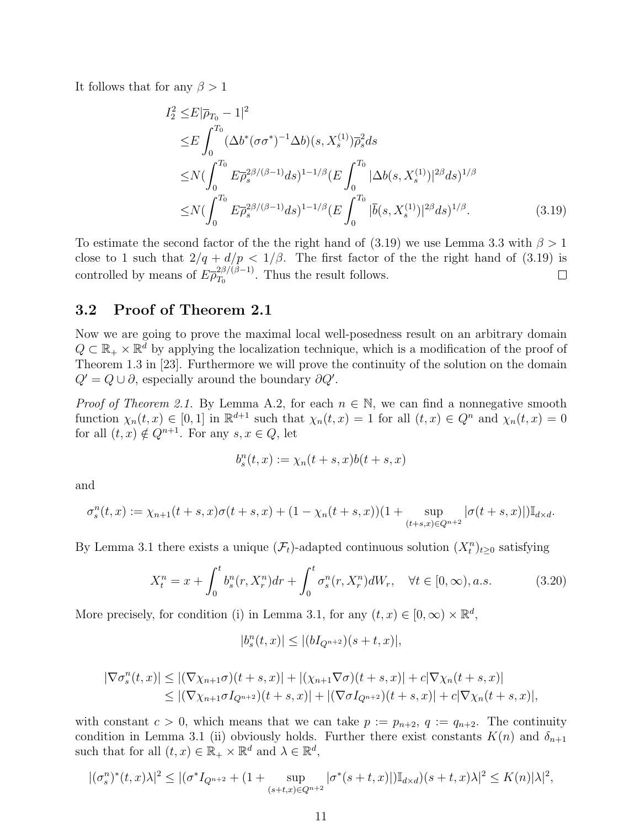It follows that for any  $\beta > 1$ 

$$
I_2^2 \le E|\overline{\rho}_{T_0} - 1|^2
$$
  
\n
$$
\le E \int_0^{T_0} (\Delta b^* (\sigma \sigma^*)^{-1} \Delta b)(s, X_s^{(1)}) \overline{\rho}_s^2 ds
$$
  
\n
$$
\le N \Big( \int_0^{T_0} E \overline{\rho}_s^{2\beta/(\beta - 1)} ds \Big)^{1 - 1/\beta} (E \int_0^{T_0} |\Delta b(s, X_s^{(1)})|^{2\beta} ds)^{1/\beta}
$$
  
\n
$$
\le N \Big( \int_0^{T_0} E \overline{\rho}_s^{2\beta/(\beta - 1)} ds \Big)^{1 - 1/\beta} (E \int_0^{T_0} |\overline{b}(s, X_s^{(1)})|^{2\beta} ds)^{1/\beta}.
$$
 (3.19)

To estimate the second factor of the the right hand of (3.19) we use Lemma 3.3 with  $\beta > 1$ close to 1 such that  $2/q + d/p < 1/\beta$ . The first factor of the right hand of (3.19) is controlled by means of  $E \bar{\rho}_{T_0}^{2\beta/(\beta-1)}$  $T_0^{2\beta/(\beta-1)}$ . Thus the result follows.  $\Box$ 

#### 3.2 Proof of Theorem 2.1

Now we are going to prove the maximal local well-posedness result on an arbitrary domain  $Q \subset \mathbb{R}_+ \times \mathbb{R}^d$  by applying the localization technique, which is a modification of the proof of Theorem 1.3 in [23]. Furthermore we will prove the continuity of the solution on the domain  $Q' = Q \cup \partial$ , especially around the boundary  $\partial Q'$ .

*Proof of Theorem 2.1.* By Lemma A.2, for each  $n \in \mathbb{N}$ , we can find a nonnegative smooth function  $\chi_n(t,x) \in [0,1]$  in  $\mathbb{R}^{d+1}$  such that  $\chi_n(t,x) = 1$  for all  $(t,x) \in Q^n$  and  $\chi_n(t,x) = 0$ for all  $(t, x) \notin Q^{n+1}$ . For any  $s, x \in Q$ , let

$$
b_s^n(t,x):=\chi_n(t+s,x)b(t+s,x)
$$

and

$$
\sigma_s^n(t,x) := \chi_{n+1}(t+s,x)\sigma(t+s,x) + (1-\chi_n(t+s,x))(1+\sup_{(t+s,x)\in Q^{n+2}}|\sigma(t+s,x)|)\mathbb{I}_{d\times d}.
$$

By Lemma 3.1 there exists a unique  $(\mathcal{F}_t)$ -adapted continuous solution  $(X_t^n)_{t\geq 0}$  satisfying

$$
X_t^n = x + \int_0^t b_s^n(r, X_r^n) dr + \int_0^t \sigma_s^n(r, X_r^n) dW_r, \quad \forall t \in [0, \infty), a.s.
$$
 (3.20)

More precisely, for condition (i) in Lemma 3.1, for any  $(t, x) \in [0, \infty) \times \mathbb{R}^d$ ,

$$
|b_s^n(t, x)| \le |(bI_{Q^{n+2}})(s+t, x)|,
$$

$$
|\nabla \sigma_s^n(t,x)| \le |(\nabla \chi_{n+1} \sigma)(t+s,x)| + |(\chi_{n+1} \nabla \sigma)(t+s,x)| + c|\nabla \chi_n(t+s,x)|
$$
  
\n
$$
\le |(\nabla \chi_{n+1} \sigma I_{Q^{n+2}})(t+s,x)| + |(\nabla \sigma I_{Q^{n+2}})(t+s,x)| + c|\nabla \chi_n(t+s,x)|,
$$

with constant  $c > 0$ , which means that we can take  $p := p_{n+2}$ ,  $q := q_{n+2}$ . The continuity condition in Lemma 3.1 (ii) obviously holds. Further there exist constants  $K(n)$  and  $\delta_{n+1}$ such that for all  $(t, x) \in \mathbb{R}_+ \times \mathbb{R}^d$  and  $\lambda \in \mathbb{R}^d$ ,

$$
|(\sigma_s^n)^*(t,x)\lambda|^2 \le |(\sigma^* I_{Q^{n+2}} + (1 + \sup_{(s+t,x)\in Q^{n+2}} |\sigma^*(s+t,x)|) \mathbb{I}_{d\times d})(s+t,x)\lambda|^2 \le K(n)|\lambda|^2,
$$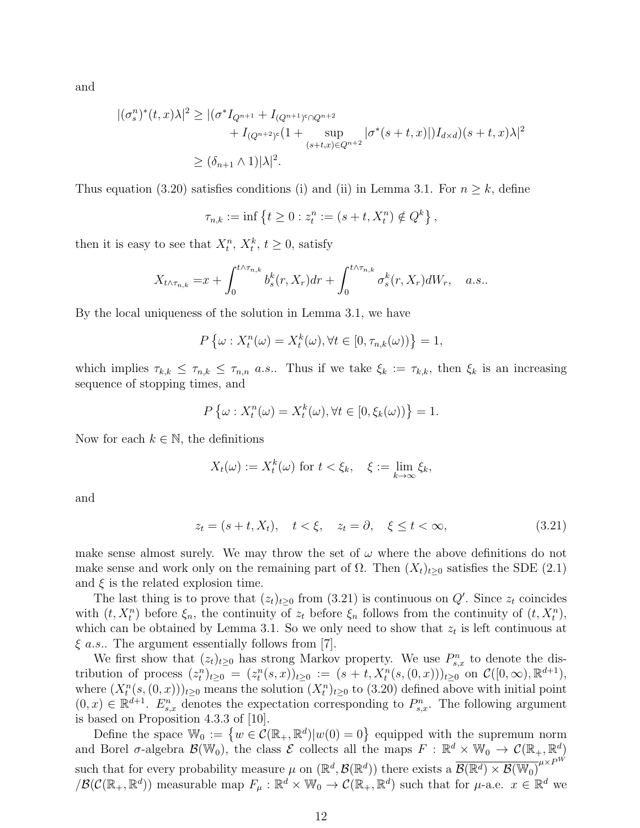and

$$
\begin{aligned} |(\sigma_s^n)^*(t,x)\lambda|^2 &\ge |(\sigma^* I_{Q^{n+1}} + I_{(Q^{n+1})^c \cap Q^{n+2}} \\ &+ I_{(Q^{n+2})^c} (1 + \sup_{(s+t,x)\in Q^{n+2}} |\sigma^*(s+t,x)|) I_{d\times d}) (s+t,x)\lambda|^2 \\ &\ge (\delta_{n+1}\wedge 1)|\lambda|^2. \end{aligned}
$$

Thus equation (3.20) satisfies conditions (i) and (ii) in Lemma 3.1. For  $n \geq k$ , define

$$
\tau_{n,k} := \inf \{ t \ge 0 : z_t^n := (s + t, X_t^n) \notin Q^k \},
$$

then it is easy to see that  $X_t^n$ ,  $X_t^k$ ,  $t \geq 0$ , satisfy

$$
X_{t \wedge \tau_{n,k}} = x + \int_0^{t \wedge \tau_{n,k}} b_s^k(r, X_r) dr + \int_0^{t \wedge \tau_{n,k}} \sigma_s^k(r, X_r) dW_r, \quad a.s..
$$

By the local uniqueness of the solution in Lemma 3.1, we have

$$
P\left\{\omega: X_t^n(\omega) = X_t^k(\omega), \forall t \in [0, \tau_{n,k}(\omega))\right\} = 1,
$$

which implies  $\tau_{k,k} \leq \tau_{n,k} \leq \tau_{n,n}$  a.s.. Thus if we take  $\xi_k := \tau_{k,k}$ , then  $\xi_k$  is an increasing sequence of stopping times, and

$$
P\left\{\omega: X_t^n(\omega) = X_t^k(\omega), \forall t \in [0, \xi_k(\omega))\right\} = 1.
$$

Now for each  $k \in \mathbb{N}$ , the definitions

$$
X_t(\omega) := X_t^k(\omega) \text{ for } t < \xi_k, \quad \xi := \lim_{k \to \infty} \xi_k,
$$

and

$$
z_t = (s+t, X_t), \quad t < \xi, \quad z_t = \partial, \quad \xi \le t < \infty,
$$
\n
$$
(3.21)
$$

make sense almost surely. We may throw the set of  $\omega$  where the above definitions do not make sense and work only on the remaining part of  $\Omega$ . Then  $(X_t)_{t>0}$  satisfies the SDE (2.1) and  $\xi$  is the related explosion time.

The last thing is to prove that  $(z_t)_{t\geq0}$  from (3.21) is continuous on  $Q'$ . Since  $z_t$  coincides with  $(t, X_t^n)$  before  $\xi_n$ , the continuity of  $z_t$  before  $\xi_n$  follows from the continuity of  $(t, X_t^n)$ , which can be obtained by Lemma 3.1. So we only need to show that  $z_t$  is left continuous at  $\xi$  *a.s.*. The argument essentially follows from [7].

We first show that  $(z_t)_{t\geq 0}$  has strong Markov property. We use  $P_{s,x}^n$  to denote the distribution of process  $(z_t^n)_{t\geq 0} = (z_t^n(s,x))_{t\geq 0} := (s+t, X_t^n(s,(0,x)))_{t\geq 0}$  on  $\mathcal{C}([0,\infty), \mathbb{R}^{d+1}),$ where  $(X_t^n(s, (0, x)))_{t\geq0}$  means the solution  $(X_t^n)_{t\geq0}$  to  $(3.20)$  defined above with initial point  $(0, x) \in \mathbb{R}^{d+1}$ .  $E_{s,x}^n$  denotes the expectation corresponding to  $P_{s,x}^n$ . The following argument is based on Proposition 4.3.3 of [10].

Define the space  $\mathbb{W}_0 := \{ w \in C(\mathbb{R}_+, \mathbb{R}^d) | w(0) = 0 \}$  equipped with the supremum norm and Borel  $\sigma$ -algebra  $\mathcal{B}(\mathbb{W}_0)$ , the class  $\mathcal{E}$  collects all the maps  $F : \mathbb{R}^d \times \mathbb{W}_0 \to \mathcal{C}(\mathbb{R}_+, \mathbb{R}^d)$ such that for every probability measure  $\mu$  on  $(\mathbb{R}^d, \mathcal{B}(\mathbb{R}^d))$  there exists a  $\overline{\mathcal{B}(\mathbb{R}^d) \times \mathcal{B}(\mathbb{W}_0)}^{\mu \times P^W}$  $/\mathcal{B}(\mathcal{C}(\mathbb{R}_+,\mathbb{R}^d))$  measurable map  $F_\mu:\mathbb{R}^d\times\mathbb{W}_0\to\mathcal{C}(\mathbb{R}_+,\mathbb{R}^d)$  such that for  $\mu$ -a.e.  $x\in\mathbb{R}^d$  we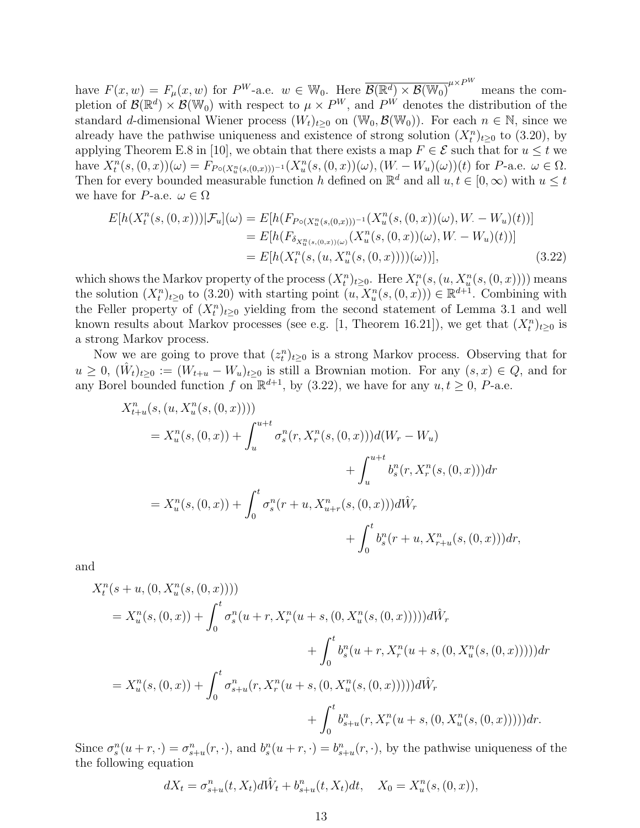have  $F(x, w) = F_{\mu}(x, w)$  for  $P^W$ -a.e.  $w \in \mathbb{W}_0$ . Here  $\overline{\mathcal{B}(\mathbb{R}^d) \times \mathcal{B}(\mathbb{W}_0)}^{\mu \times P^W}$ means the completion of  $\mathcal{B}(\mathbb{R}^d) \times \mathcal{B}(\mathbb{W}_0)$  with respect to  $\mu \times P^W$ , and  $P^W$  denotes the distribution of the standard d-dimensional Wiener process  $(W_t)_{t>0}$  on  $(\mathbb{W}_0, \mathcal{B}(\mathbb{W}_0))$ . For each  $n \in \mathbb{N}$ , since we already have the pathwise uniqueness and existence of strong solution  $(X_t^n)_{t\geq 0}$  to (3.20), by applying Theorem E.8 in [10], we obtain that there exists a map  $F \in \mathcal{E}$  such that for  $u \leq t$  we have  $X_t^n(s, (0, x))(\omega) = F_{P \circ (X_u^n(s, (0, x)))^{-1}}(X_u^n(s, (0, x))(\omega), (W - W_u)(\omega))(t)$  for P-a.e.  $\omega \in \Omega$ . Then for every bounded measurable function h defined on  $\mathbb{R}^d$  and all  $u, t \in [0, \infty)$  with  $u \leq t$ we have for P-a.e.  $\omega \in \Omega$ 

$$
E[h(X_t^n(s,(0,x)))|\mathcal{F}_u](\omega) = E[h(F_{P\circ(X_u^n(s,(0,x)))^{-1}}(X_u^n(s,(0,x))(\omega),W-W_u)(t))]
$$
  
\n
$$
= E[h(F_{\delta_{X_u^n(s,(0,x))(\omega)}}(X_u^n(s,(0,x))(\omega),W-W_u)(t))]
$$
  
\n
$$
= E[h(X_t^n(s,(u,X_u^n(s,(0,x))))(\omega))], \qquad (3.22)
$$

which shows the Markov property of the process  $(X_t^n)_{t\geq 0}$ . Here  $X_t^n(s,(u,X_u^n(s,(0,x))))$  means the solution  $(X_t^n)_{t\geq 0}$  to  $(3.20)$  with starting point  $(u, X_u^n(s, (0, x))) \in \mathbb{R}^{d+1}$ . Combining with the Feller property of  $(X_t^n)_{t\geq 0}$  yielding from the second statement of Lemma 3.1 and well known results about Markov processes (see e.g. [1, Theorem 16.21]), we get that  $(X_t^n)_{t\geq 0}$  is a strong Markov process.

Now we are going to prove that  $(z_t^n)_{t\geq 0}$  is a strong Markov process. Observing that for  $u \geq 0$ ,  $(\hat{W}_t)_{t \geq 0} := (W_{t+u} - W_u)_{t \geq 0}$  is still a Brownian motion. For any  $(s, x) \in Q$ , and for any Borel bounded function f on  $\mathbb{R}^{d+1}$ , by (3.22), we have for any  $u, t \geq 0$ , P-a.e.

$$
X_{t+u}^{n}(s,(u, X_{u}^{n}(s,(0,x))))
$$
  
=  $X_{u}^{n}(s,(0,x)) + \int_{u}^{u+t} \sigma_{s}^{n}(r, X_{r}^{n}(s,(0,x)))d(W_{r} - W_{u})$   
+  $\int_{u}^{u+t} b_{s}^{n}(r, X_{r}^{n}(s,(0,x)))dr$   
=  $X_{u}^{n}(s,(0,x)) + \int_{0}^{t} \sigma_{s}^{n}(r+u, X_{u+r}^{n}(s,(0,x)))d\hat{W}_{r}$   
+  $\int_{0}^{t} b_{s}^{n}(r+u, X_{r+u}^{n}(s,(0,x)))dr,$ 

and

$$
X_t^n(s+u, (0, X_u^n(s, (0, x))))
$$
  
=  $X_u^n(s, (0, x)) + \int_0^t \sigma_s^n(u+r, X_r^n(u+s, (0, X_u^n(s, (0, x)))))d\hat{W}_r$   
+  $\int_0^t b_s^n(u+r, X_r^n(u+s, (0, X_u^n(s, (0, x)))))dr$   
=  $X_u^n(s, (0, x)) + \int_0^t \sigma_{s+u}^n(r, X_r^n(u+s, (0, X_u^n(s, (0, x)))))d\hat{W}_r$   
+  $\int_0^t b_{s+u}^n(r, X_r^n(u+s, (0, X_u^n(s, (0, x)))))dr.$ 

Since  $\sigma_s^n(u+r,\cdot) = \sigma_{s+u}^n(r,\cdot)$ , and  $b_s^n(u+r,\cdot) = b_{s+u}^n(r,\cdot)$ , by the pathwise uniqueness of the the following equation

$$
dX_t = \sigma_{s+u}^n(t, X_t) d\hat{W}_t + b_{s+u}^n(t, X_t) dt, \quad X_0 = X_u^n(s, (0, x)),
$$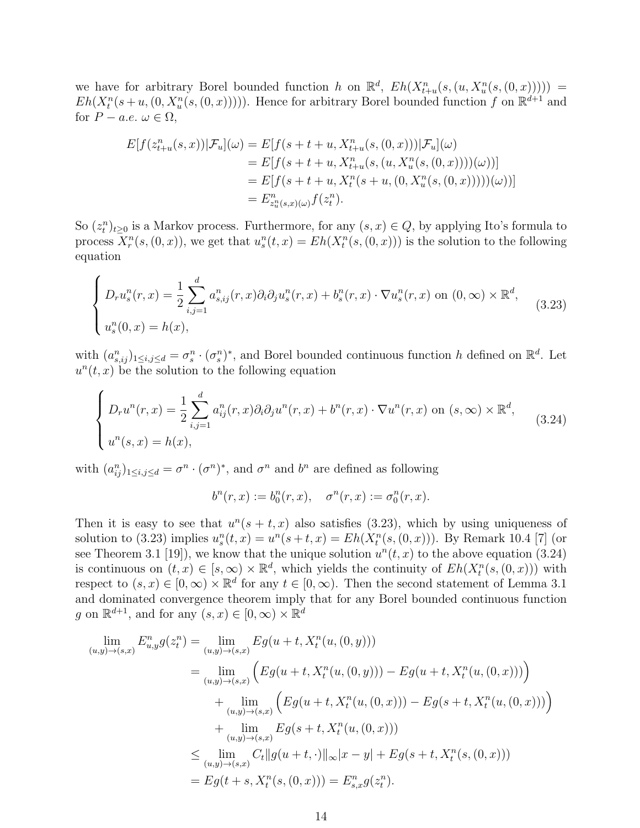we have for arbitrary Borel bounded function h on  $\mathbb{R}^d$ ,  $Eh(X_{t+u}^n(s,(u,X_u^n(s,(0,x))))$  =  $Eh(X_t^n(s+u, (0, X_u^n(s, (0, x))))).$  Hence for arbitrary Borel bounded function f on  $\mathbb{R}^{d+1}$  and for  $P - a.e. \omega \in \Omega$ ,

$$
E[f(z_{t+u}^n(s,x))|\mathcal{F}_u](\omega) = E[f(s+t+u, X_{t+u}^n(s,(0,x)))|\mathcal{F}_u](\omega)
$$
  
\n
$$
= E[f(s+t+u, X_{t+u}^n(s,(u, X_u^n(s,(0,x))))(\omega))]
$$
  
\n
$$
= E[f(s+t+u, X_t^n(s+u,(0, X_u^n(s,(0,x))))(\omega))]
$$
  
\n
$$
= E_{z_u^n(s,x)(\omega)}^n f(z_t^n).
$$

So  $(z_t^n)_{t\geq 0}$  is a Markov process. Furthermore, for any  $(s, x) \in Q$ , by applying Ito's formula to process  $X_r^n(s, (0, x))$ , we get that  $u_s^n(t, x) = Eh(X_t^n(s, (0, x)))$  is the solution to the following equation

$$
\begin{cases}\nD_r u_s^n(r, x) = \frac{1}{2} \sum_{i,j=1}^d a_{s,ij}^n(r, x) \partial_i \partial_j u_s^n(r, x) + b_s^n(r, x) \cdot \nabla u_s^n(r, x) \text{ on } (0, \infty) \times \mathbb{R}^d, \\
u_s^n(0, x) = h(x),\n\end{cases} \tag{3.23}
$$

with  $(a_{s,ij}^n)_{1\leq i,j\leq d}=\sigma_s^n\cdot (\sigma_s^n)^*$ , and Borel bounded continuous function h defined on  $\mathbb{R}^d$ . Let  $u^{n}(t, x)$  be the solution to the following equation

$$
\begin{cases}\nD_r u^n(r,x) = \frac{1}{2} \sum_{i,j=1}^d a_{ij}^n(r,x) \partial_i \partial_j u^n(r,x) + b^n(r,x) \cdot \nabla u^n(r,x) \text{ on } (s,\infty) \times \mathbb{R}^d, \\
u^n(s,x) = h(x),\n\end{cases}
$$
\n(3.24)

with  $(a_{ij}^n)_{1\leq i,j\leq d} = \sigma^n \cdot (\sigma^n)^*$ , and  $\sigma^n$  and  $b^n$  are defined as following

$$
b^{n}(r, x) := b_{0}^{n}(r, x), \quad \sigma^{n}(r, x) := \sigma_{0}^{n}(r, x).
$$

Then it is easy to see that  $u^n(s + t, x)$  also satisfies (3.23), which by using uniqueness of solution to (3.23) implies  $u_s^n(t, x) = u^n(s + t, x) = Eh(X_t^n(s, (0, x)))$ . By Remark 10.4 [7] (or see Theorem 3.1 [19]), we know that the unique solution  $u^{n}(t, x)$  to the above equation (3.24) is continuous on  $(t, x) \in [s, \infty) \times \mathbb{R}^d$ , which yields the continuity of  $Eh(X_t^n(s, (0, x)))$  with respect to  $(s, x) \in [0, \infty) \times \mathbb{R}^d$  for any  $t \in [0, \infty)$ . Then the second statement of Lemma 3.1 and dominated convergence theorem imply that for any Borel bounded continuous function g on  $\mathbb{R}^{d+1}$ , and for any  $(s, x) \in [0, \infty) \times \mathbb{R}^d$ 

$$
\lim_{(u,y)\to(s,x)} E_{u,y}^n g(z_t^n) = \lim_{(u,y)\to(s,x)} E g(u+t, X_t^n(u,(0,y)))
$$
\n
$$
= \lim_{(u,y)\to(s,x)} \left( E g(u+t, X_t^n(u,(0,y))) - E g(u+t, X_t^n(u,(0,x))) \right)
$$
\n
$$
+ \lim_{(u,y)\to(s,x)} \left( E g(u+t, X_t^n(u,(0,x))) - E g(s+t, X_t^n(u,(0,x))) \right)
$$
\n
$$
+ \lim_{(u,y)\to(s,x)} E g(s+t, X_t^n(u,(0,x)))
$$
\n
$$
\leq \lim_{(u,y)\to(s,x)} C_t \|g(u+t, \cdot)\|_{\infty} |x-y| + E g(s+t, X_t^n(s,(0,x)))
$$
\n
$$
= E g(t+s, X_t^n(s,(0,x))) = E_{s,x}^n g(z_t^n).
$$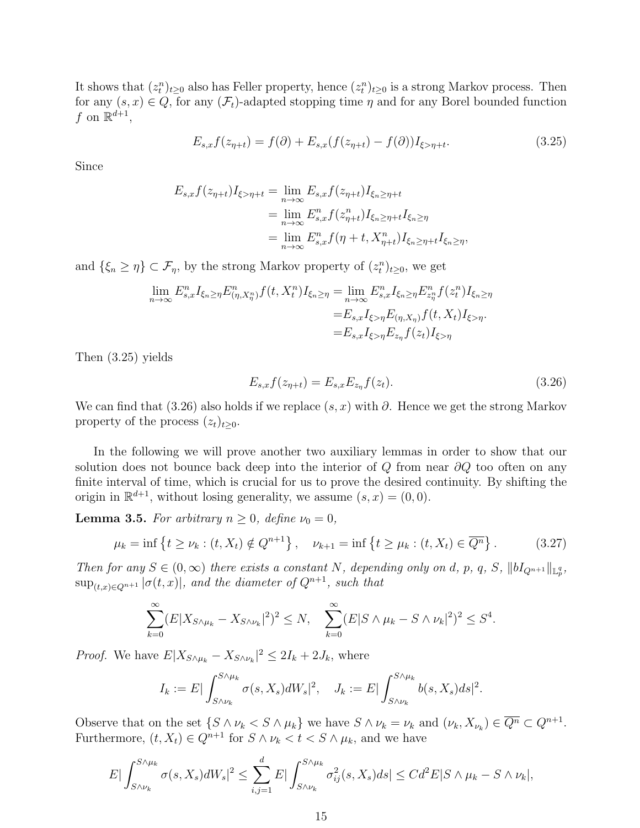It shows that  $(z_t^n)_{t\geq 0}$  also has Feller property, hence  $(z_t^n)_{t\geq 0}$  is a strong Markov process. Then for any  $(s, x) \in Q$ , for any  $(\mathcal{F}_t)$ -adapted stopping time  $\eta$  and for any Borel bounded function f on  $\mathbb{R}^{d+1}$ ,

$$
E_{s,x}f(z_{\eta+t}) = f(\partial) + E_{s,x}(f(z_{\eta+t}) - f(\partial))I_{\xi > \eta+t}.
$$
\n(3.25)

Since

$$
E_{s,x}f(z_{\eta+t})I_{\xi>\eta+t} = \lim_{n\to\infty} E_{s,x}f(z_{\eta+t})I_{\xi_n\geq \eta+t}
$$
  
= 
$$
\lim_{n\to\infty} E_{s,x}^n f(z_{\eta+t}^n)I_{\xi_n\geq \eta+t}I_{\xi_n\geq \eta}
$$
  
= 
$$
\lim_{n\to\infty} E_{s,x}^n f(\eta+t, X_{\eta+t}^n)I_{\xi_n\geq \eta+t}I_{\xi_n\geq \eta},
$$

and  $\{\xi_n \geq \eta\} \subset \mathcal{F}_\eta$ , by the strong Markov property of  $(z_t^n)_{t \geq 0}$ , we get

$$
\lim_{n \to \infty} E_{s,x}^n I_{\xi_n \ge \eta} E_{(\eta, X_\eta^n)}^n f(t, X_t^n) I_{\xi_n \ge \eta} = \lim_{n \to \infty} E_{s,x}^n I_{\xi_n \ge \eta} E_{z_\eta^n}^n f(z_t^n) I_{\xi_n \ge \eta}
$$
\n
$$
= E_{s,x} I_{\xi > \eta} E_{(\eta, X_\eta)} f(t, X_t) I_{\xi > \eta}.
$$
\n
$$
= E_{s,x} I_{\xi > \eta} E_{z_\eta} f(z_t) I_{\xi > \eta}
$$

Then (3.25) yields

$$
E_{s,x}f(z_{\eta+t}) = E_{s,x}E_{z_{\eta}}f(z_t).
$$
\n(3.26)

We can find that (3.26) also holds if we replace  $(s, x)$  with  $\partial$ . Hence we get the strong Markov property of the process  $(z_t)_{t\geq0}$ .

In the following we will prove another two auxiliary lemmas in order to show that our solution does not bounce back deep into the interior of Q from near  $\partial Q$  too often on any finite interval of time, which is crucial for us to prove the desired continuity. By shifting the origin in  $\mathbb{R}^{d+1}$ , without losing generality, we assume  $(s, x) = (0, 0)$ .

**Lemma 3.5.** For arbitrary  $n \geq 0$ , define  $\nu_0 = 0$ ,

$$
\mu_k = \inf \{ t \ge \nu_k : (t, X_t) \notin Q^{n+1} \}, \quad \nu_{k+1} = \inf \{ t \ge \mu_k : (t, X_t) \in \overline{Q^n} \}.
$$
\n(3.27)

Then for any  $S \in (0,\infty)$  there exists a constant N, depending only on d, p, q, S,  $||bI_{Q^{n+1}}||_{\mathbb{L}_p^q}$ ,  $\sup_{(t,x)\in Q^{n+1}} |\sigma(t,x)|$ , and the diameter of  $Q^{n+1}$ , such that

$$
\sum_{k=0}^{\infty} (E|X_{S\wedge\mu_k} - X_{S\wedge\nu_k}|^2)^2 \le N, \quad \sum_{k=0}^{\infty} (E|S\wedge\mu_k - S\wedge\nu_k|^2)^2 \le S^4.
$$

*Proof.* We have  $E|X_{S \wedge \mu_k} - X_{S \wedge \nu_k}|^2 \leq 2I_k + 2J_k$ , where

$$
I_k := E \big| \int_{S \wedge \nu_k}^{S \wedge \mu_k} \sigma(s, X_s) dW_s \big|^2, \quad J_k := E \big| \int_{S \wedge \nu_k}^{S \wedge \mu_k} b(s, X_s) ds \big|^2.
$$

Observe that on the set  $\{S \wedge \nu_k S \wedge \mu_k\}$  we have  $S \wedge \nu_k = \nu_k$  and  $(\nu_k, X_{\nu_k}) \in \overline{Q^n} \subset Q^{n+1}$ . Furthermore,  $(t, X_t) \in Q^{n+1}$  for  $S \wedge \nu_k < t < S \wedge \mu_k$ , and we have

$$
E|\int_{S\wedge\nu_k}^{S\wedge\mu_k}\sigma(s,X_s)dW_s|^2\leq \sum_{i,j=1}^d E|\int_{S\wedge\nu_k}^{S\wedge\mu_k}\sigma_{ij}^2(s,X_s)ds|\leq Cd^2E|S\wedge\mu_k-S\wedge\nu_k|,
$$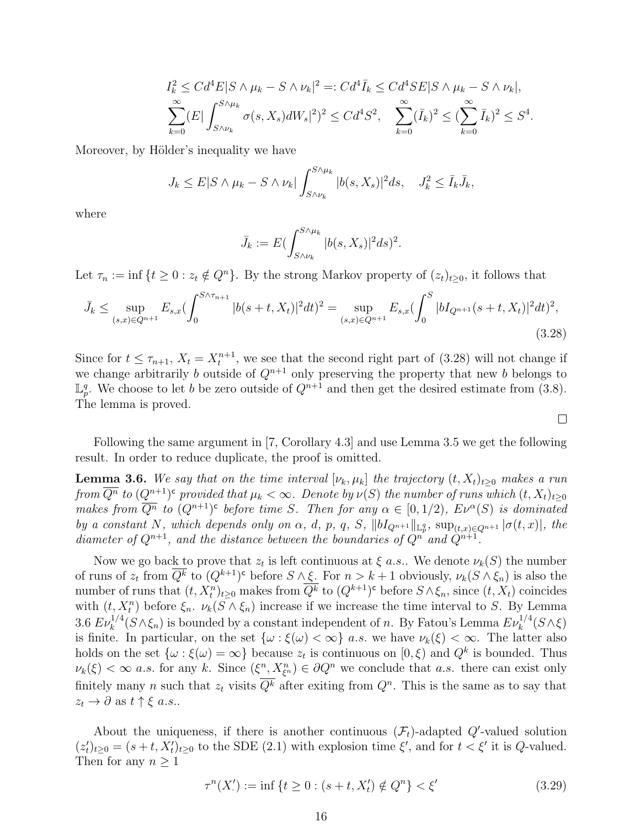$$
I_k^2 \leq C d^4 E |S \wedge \mu_k - S \wedge \nu_k|^2 =: C d^4 \bar{I}_k \leq C d^4 SE |S \wedge \mu_k - S \wedge \nu_k|,
$$
  

$$
\sum_{k=0}^{\infty} (E | \int_{S \wedge \nu_k}^{S \wedge \mu_k} \sigma(s, X_s) dW_s |^2)^2 \leq C d^4 S^2, \quad \sum_{k=0}^{\infty} (\bar{I}_k)^2 \leq (\sum_{k=0}^{\infty} \bar{I}_k)^2 \leq S^4.
$$

Moreover, by Hölder's inequality we have

$$
J_k \leq E|S \wedge \mu_k - S \wedge \nu_k| \int_{S \wedge \nu_k}^{S \wedge \mu_k} |b(s, X_s)|^2 ds, \quad J_k^2 \leq \bar{I}_k \bar{J}_k,
$$

where

$$
\bar{J}_k := E\left(\int_{S\wedge\nu_k}^{S\wedge\mu_k} |b(s,X_s)|^2 ds\right)^2.
$$

Let  $\tau_n := \inf \{t \geq 0 : z_t \notin Q^n\}$ . By the strong Markov property of  $(z_t)_{t>0}$ , it follows that

$$
\bar{J}_k \le \sup_{(s,x)\in Q^{n+1}} E_{s,x} (\int_0^{S\wedge\tau_{n+1}} |b(s+t,X_t)|^2 dt)^2 = \sup_{(s,x)\in Q^{n+1}} E_{s,x} (\int_0^S |bI_{Q^{n+1}}(s+t,X_t)|^2 dt)^2,
$$
\n(3.28)

Since for  $t \leq \tau_{n+1}$ ,  $X_t = X_t^{n+1}$ , we see that the second right part of (3.28) will not change if we change arbitrarily b outside of  $Q^{n+1}$  only preserving the property that new b belongs to  $\mathbb{L}_p^q$ . We choose to let b be zero outside of  $Q^{n+1}$  and then get the desired estimate from (3.8). The lemma is proved.

Following the same argument in [7, Corollary 4.3] and use Lemma 3.5 we get the following result. In order to reduce duplicate, the proof is omitted.

 $\Box$ 

**Lemma 3.6.** We say that on the time interval  $[\nu_k, \mu_k]$  the trajectory  $(t, X_t)_{t\geq0}$  makes a run from  $\overline{Q^n}$  to  $(Q^{n+1})^{\mathsf{c}}$  provided that  $\mu_k<\infty$ . Denote by  $\nu(S)$  the number of runs which  $(t,X_t)_{t\geq 0}$ makes from  $\overline{Q^n}$  to  $(Q^{n+1})^c$  before time S. Then for any  $\alpha \in [0,1/2)$ ,  $E\nu^{\alpha}(S)$  is dominated by a constant N, which depends only on  $\alpha$ , d, p, q, S,  $||bI_{Q^{n+1}}||_{\mathbb{L}_p^q}$ ,  $\sup_{(t,x)\in Q^{n+1}} |\sigma(t,x)|$ , the diameter of  $Q^{n+1}$ , and the distance between the boundaries of  $Q^n$  and  $\hat{Q}^{n+1}$ .

Now we go back to prove that  $z_t$  is left continuous at  $\xi$  *a.s.*. We denote  $\nu_k(S)$  the number of runs of  $z_t$  from  $\overline{Q^k}$  to  $(Q^{k+1})^c$  before  $S \wedge \xi$ . For  $n > k+1$  obviously,  $\nu_k(S \wedge \xi_n)$  is also the number of runs that  $(t, X_t^n)_{t \geq 0}$  makes from  $\overline{Q^k}$  to  $(Q^{k+1})^c$  before  $S \wedge \xi_n$ , since  $(t, X_t)$  coincides with  $(t, X_t^n)$  before  $\xi_n$ .  $\nu_k(S \wedge \xi_n)$  increase if we increase the time interval to S. By Lemma 3.6  $Ev_k^{1/4}(S \wedge \xi_n)$  is bounded by a constant independent of n. By Fatou's Lemma  $Ev_k^{1/4}(S \wedge \xi)$ is finite. In particular, on the set  $\{\omega : \xi(\omega) < \infty\}$  a.s. we have  $\nu_k(\xi) < \infty$ . The latter also holds on the set  $\{\omega : \xi(\omega) = \infty\}$  because  $z_t$  is continuous on  $[0, \xi)$  and  $Q^k$  is bounded. Thus  $\nu_k(\xi) < \infty$  a.s. for any k. Since  $(\xi^n, X_{\xi^n}^n) \in \partial Q^n$  we conclude that a.s. there can exist only finitely many n such that  $z_t$  visits  $\overline{Q^k}$  after exiting from  $Q^n$ . This is the same as to say that  $z_t \to \partial$  as  $t \uparrow \xi$  a.s..

About the uniqueness, if there is another continuous  $(\mathcal{F}_t)$ -adapted  $Q'$ -valued solution  $(z'_t)_{t\geq 0} = (s+t, X'_t)_{t\geq 0}$  to the SDE (2.1) with explosion time  $\xi'$ , and for  $t < \xi'$  it is Q-valued. Then for any  $n \geq 1$ 

$$
\tau^{n}(X') := \inf \{ t \ge 0 : (s + t, X'_{t}) \notin Q^{n} \} < \xi'
$$
\n(3.29)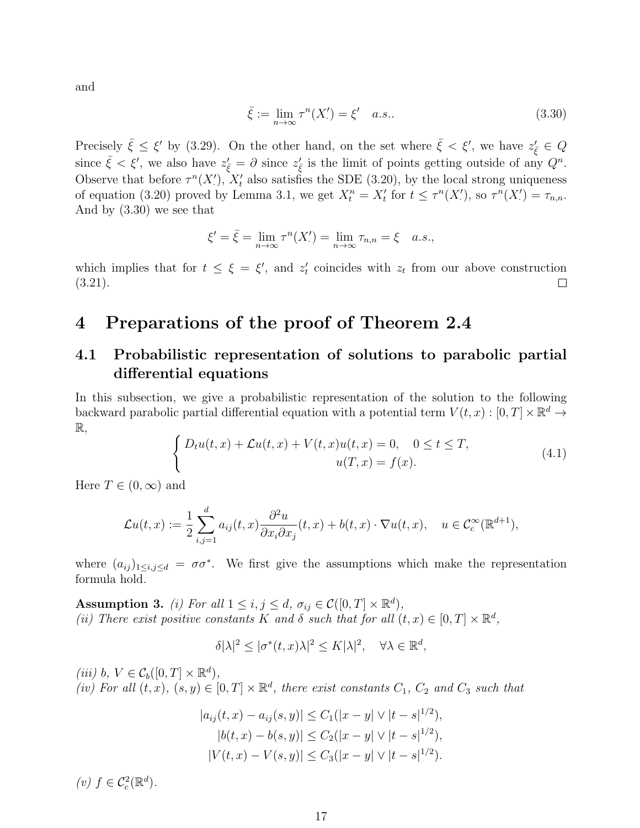and

$$
\bar{\xi} := \lim_{n \to \infty} \tau^n(X') = \xi' \quad a.s.. \tag{3.30}
$$

Precisely  $\bar{\xi} \leq \xi'$  by (3.29). On the other hand, on the set where  $\bar{\xi} < \xi'$ , we have  $z'_{\bar{\xi}} \in Q$ since  $\bar{\xi} < \xi'$ , we also have  $z'_{\bar{\xi}} = \partial$  since  $z'_{\bar{\xi}}$  is the limit of points getting outside of any  $Q^n$ . Observe that before  $\tau^{n}(X')$ ,  $X'_{t}$  also satisfies the SDE (3.20), by the local strong uniqueness of equation (3.20) proved by Lemma 3.1, we get  $X_t^n = X_t'$  for  $t \leq \tau^n(X_t')$ , so  $\tau^n(X_t') = \tau_{n,n}$ . And by (3.30) we see that

$$
\xi' = \bar{\xi} = \lim_{n \to \infty} \tau^n(X') = \lim_{n \to \infty} \tau_{n,n} = \xi \quad a.s.,
$$

which implies that for  $t \leq \xi = \xi'$ , and  $z'_t$  coincides with  $z_t$  from our above construction (3.21).  $\Box$ 

# 4 Preparations of the proof of Theorem 2.4

## 4.1 Probabilistic representation of solutions to parabolic partial differential equations

In this subsection, we give a probabilistic representation of the solution to the following backward parabolic partial differential equation with a potential term  $V(t, x) : [0, T] \times \mathbb{R}^d \to$ R,

$$
\begin{cases}\nD_t u(t,x) + \mathcal{L}u(t,x) + V(t,x)u(t,x) = 0, & 0 \le t \le T, \\
u(T,x) = f(x).\n\end{cases}
$$
\n(4.1)

Here  $T \in (0, \infty)$  and

$$
\mathcal{L}u(t,x) := \frac{1}{2} \sum_{i,j=1}^d a_{ij}(t,x) \frac{\partial^2 u}{\partial x_i \partial x_j}(t,x) + b(t,x) \cdot \nabla u(t,x), \quad u \in C_c^{\infty}(\mathbb{R}^{d+1}),
$$

where  $(a_{ij})_{1\leq i,j\leq d} = \sigma\sigma^*$ . We first give the assumptions which make the representation formula hold.

**Assumption 3.** (i) For all  $1 \leq i, j \leq d$ ,  $\sigma_{ij} \in C([0, T] \times \mathbb{R}^d)$ , (ii) There exist positive constants K and  $\delta$  such that for all  $(t, x) \in [0, T] \times \mathbb{R}^d$ ,

$$
\delta |\lambda|^2 \le |\sigma^*(t, x)\lambda|^2 \le K|\lambda|^2, \quad \forall \lambda \in \mathbb{R}^d,
$$

(iii) b,  $V \in C_b([0, T] \times \mathbb{R}^d)$ , (iv) For all  $(t, x)$ ,  $(s, y) \in [0, T] \times \mathbb{R}^d$ , there exist constants  $C_1$ ,  $C_2$  and  $C_3$  such that

$$
|a_{ij}(t, x) - a_{ij}(s, y)| \le C_1(|x - y| \vee |t - s|^{1/2}),
$$
  
\n
$$
|b(t, x) - b(s, y)| \le C_2(|x - y| \vee |t - s|^{1/2}),
$$
  
\n
$$
|V(t, x) - V(s, y)| \le C_3(|x - y| \vee |t - s|^{1/2}).
$$

(*v*)  $f \in C_c^2(\mathbb{R}^d)$ .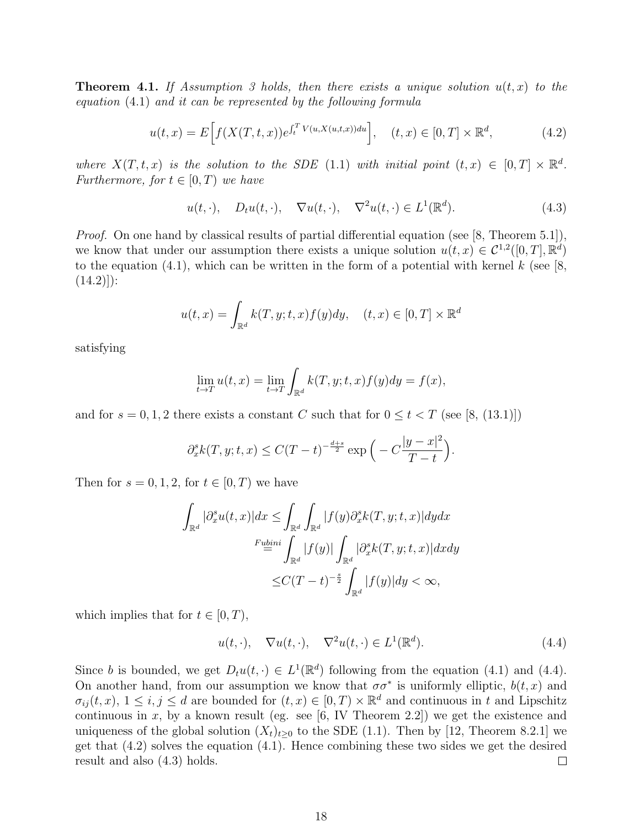**Theorem 4.1.** If Assumption 3 holds, then there exists a unique solution  $u(t, x)$  to the equation (4.1) and it can be represented by the following formula

$$
u(t,x) = E\Big[f(X(T,t,x))e^{\int_t^T V(u,X(u,t,x))du}\Big], \quad (t,x) \in [0,T] \times \mathbb{R}^d,
$$
 (4.2)

where  $X(T, t, x)$  is the solution to the SDE (1.1) with initial point  $(t, x) \in [0, T] \times \mathbb{R}^d$ . Furthermore, for  $t \in [0, T)$  we have

$$
u(t, \cdot), \quad D_t u(t, \cdot), \quad \nabla u(t, \cdot), \quad \nabla^2 u(t, \cdot) \in L^1(\mathbb{R}^d). \tag{4.3}
$$

Proof. On one hand by classical results of partial differential equation (see [8, Theorem 5.1]), we know that under our assumption there exists a unique solution  $u(t, x) \in C^{1,2}([0, T], \mathbb{R}^d)$ to the equation (4.1), which can be written in the form of a potential with kernel  $k$  (see [8,  $(14.2))$ :

$$
u(t,x) = \int_{\mathbb{R}^d} k(T, y; t, x) f(y) dy, \quad (t, x) \in [0, T] \times \mathbb{R}^d
$$

satisfying

$$
\lim_{t \to T} u(t, x) = \lim_{t \to T} \int_{\mathbb{R}^d} k(T, y; t, x) f(y) dy = f(x),
$$

and for  $s = 0, 1, 2$  there exists a constant C such that for  $0 \le t < T$  (see [8, (13.1)])

$$
\partial_x^s k(T, y; t, x) \le C(T - t)^{-\frac{d+s}{2}} \exp\left(-C\frac{|y - x|^2}{T - t}\right).
$$

Then for  $s = 0, 1, 2$ , for  $t \in [0, T)$  we have

$$
\int_{\mathbb{R}^d} |\partial_x^s u(t,x)| dx \leq \int_{\mathbb{R}^d} \int_{\mathbb{R}^d} |f(y)\partial_x^s k(T, y; t, x)| dy dx
$$

$$
\xrightarrow{F \underline{u} \underline{b} \underline{m}i} \int_{\mathbb{R}^d} |f(y)| \int_{\mathbb{R}^d} |\partial_x^s k(T, y; t, x)| dx dy
$$

$$
\leq C(T - t)^{-\frac{s}{2}} \int_{\mathbb{R}^d} |f(y)| dy < \infty,
$$

which implies that for  $t \in [0, T)$ ,

$$
u(t, \cdot), \quad \nabla u(t, \cdot), \quad \nabla^2 u(t, \cdot) \in L^1(\mathbb{R}^d). \tag{4.4}
$$

Since b is bounded, we get  $D_t u(t, \cdot) \in L^1(\mathbb{R}^d)$  following from the equation (4.1) and (4.4). On another hand, from our assumption we know that  $\sigma \sigma^*$  is uniformly elliptic,  $b(t, x)$  and  $\sigma_{ij}(t, x), 1 \leq i, j \leq d$  are bounded for  $(t, x) \in [0, T) \times \mathbb{R}^d$  and continuous in t and Lipschitz continuous in  $x$ , by a known result (eg. see [6, IV Theorem 2.2]) we get the existence and uniqueness of the global solution  $(X_t)_{t\geq 0}$  to the SDE (1.1). Then by [12, Theorem 8.2.1] we get that (4.2) solves the equation (4.1). Hence combining these two sides we get the desired result and also (4.3) holds.  $\Box$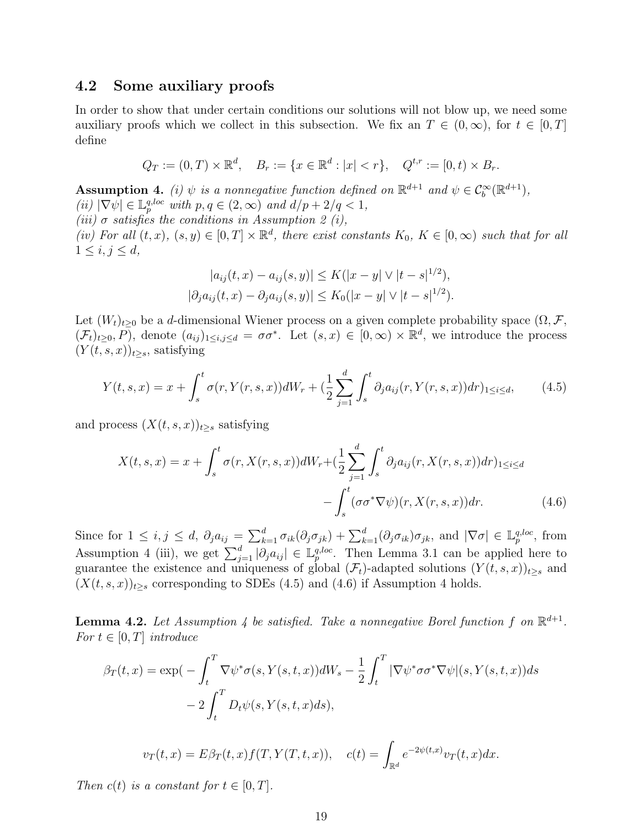#### 4.2 Some auxiliary proofs

In order to show that under certain conditions our solutions will not blow up, we need some auxiliary proofs which we collect in this subsection. We fix an  $T \in (0,\infty)$ , for  $t \in [0,T]$ define

$$
Q_T := (0, T) \times \mathbb{R}^d, \quad B_r := \{ x \in \mathbb{R}^d : |x| < r \}, \quad Q^{t, r} := [0, t) \times B_r.
$$

**Assumption 4.** (i)  $\psi$  is a nonnegative function defined on  $\mathbb{R}^{d+1}$  and  $\psi \in C_b^{\infty}(\mathbb{R}^{d+1})$ , (ii)  $|\nabla \psi| \in \mathbb{L}_p^{q,loc}$  with  $p, q \in (2, \infty)$  and  $d/p + 2/q < 1$ , (iii)  $\sigma$  satisfies the conditions in Assumption 2 (i), (iv) For all  $(t, x)$ ,  $(s, y) \in [0, T] \times \mathbb{R}^d$ , there exist constants  $K_0$ ,  $K \in [0, \infty)$  such that for all  $1 \le i, j \le d$ ,

$$
|a_{ij}(t, x) - a_{ij}(s, y)| \le K(|x - y| \vee |t - s|^{1/2}),
$$
  

$$
|\partial_j a_{ij}(t, x) - \partial_j a_{ij}(s, y)| \le K_0(|x - y| \vee |t - s|^{1/2}).
$$

Let  $(W_t)_{t>0}$  be a d-dimensional Wiener process on a given complete probability space  $(\Omega, \mathcal{F},$  $(\mathcal{F}_t)_{t\geq0}, P$ , denote  $(a_{ij})_{1\leq i,j\leq d} = \sigma\sigma^*$ . Let  $(s, x) \in [0, \infty) \times \mathbb{R}^d$ , we introduce the process  $(Y(t, s, x))_{t>s}$ , satisfying

$$
Y(t,s,x) = x + \int_{s}^{t} \sigma(r, Y(r,s,x))dW_r + \left(\frac{1}{2}\sum_{j=1}^{d} \int_{s}^{t} \partial_j a_{ij}(r, Y(r,s,x))dr\right)_{1 \le i \le d},\tag{4.5}
$$

and process  $(X(t, s, x))_{t>s}$  satisfying

$$
X(t,s,x) = x + \int_s^t \sigma(r, X(r,s,x))dW_r + \left(\frac{1}{2}\sum_{j=1}^d \int_s^t \partial_j a_{ij}(r, X(r,s,x))dr\right)_{1 \le i \le d}
$$

$$
- \int_s^t (\sigma \sigma^* \nabla \psi)(r, X(r,s,x))dr. \tag{4.6}
$$

Since for  $1 \leq i, j \leq d$ ,  $\partial_j a_{ij} = \sum_{k=1}^d \sigma_{ik}(\partial_j \sigma_{jk}) + \sum_{k=1}^d (\partial_j \sigma_{ik}) \sigma_{jk}$ , and  $|\nabla \sigma| \in \mathbb{L}_p^{q,loc}$ , from Assumption 4 (iii), we get  $\sum_{j=1}^d |\partial_j a_{ij}| \in \mathbb{L}_p^{q, loc}$ . Then Lemma 3.1 can be applied here to guarantee the existence and uniqueness of global  $(\mathcal{F}_t)$ -adapted solutions  $(Y(t, s, x))_{t\geq s}$  and  $(X(t, s, x))_{t\geq s}$  corresponding to SDEs (4.5) and (4.6) if Assumption 4 holds.

**Lemma 4.2.** Let Assumption 4 be satisfied. Take a nonnegative Borel function f on  $\mathbb{R}^{d+1}$ . For  $t \in [0, T]$  introduce

$$
\beta_T(t,x) = \exp\left(-\int_t^T \nabla \psi^* \sigma(s, Y(s,t,x))dW_s - \frac{1}{2}\int_t^T |\nabla \psi^* \sigma \sigma^* \nabla \psi|(s, Y(s,t,x))ds\right) - 2\int_t^T D_t \psi(s, Y(s,t,x)ds),
$$

 $v_T(t,x) = E \beta_T(t,x) f(T,Y(T,t,x)), \quad c(t) = \int_{\mathbb{R}^d}$  $e^{-2\psi(t,x)}v_T(t,x)dx$ .

Then  $c(t)$  is a constant for  $t \in [0, T]$ .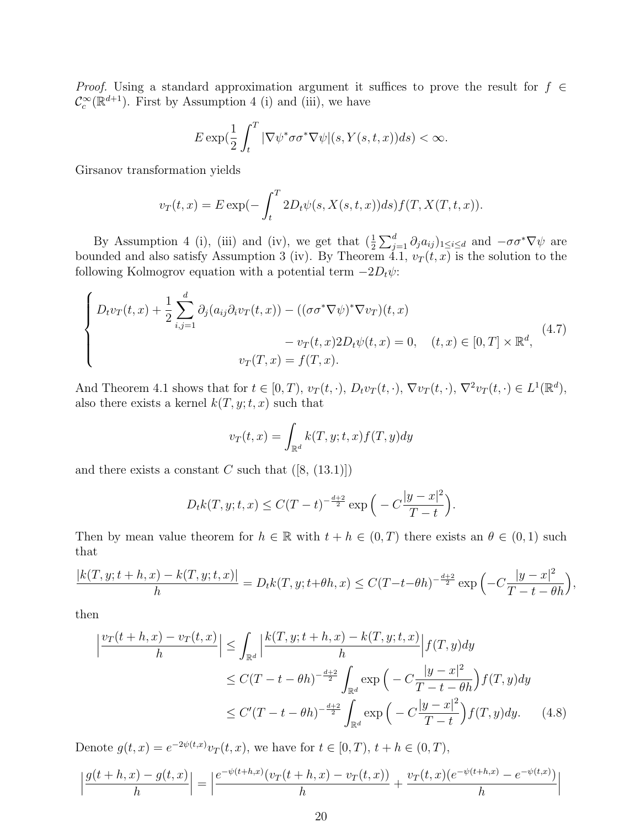*Proof.* Using a standard approximation argument it suffices to prove the result for  $f \in$  $\mathcal{C}_c^{\infty}(\mathbb{R}^{d+1})$ . First by Assumption 4 (i) and (iii), we have

$$
E \exp\left(\frac{1}{2}\int_t^T |\nabla \psi^* \sigma \sigma^* \nabla \psi|(s, Y(s, t, x)) ds\right) < \infty.
$$

Girsanov transformation yields

$$
v_T(t,x) = E \exp(-\int_t^T 2D_t \psi(s, X(s,t,x))ds) f(T, X(T,t,x)).
$$

By Assumption 4 (i), (iii) and (iv), we get that  $(\frac{1}{2}\sum_{j=1}^d \partial_j a_{ij})_{1\leq i\leq d}$  and  $-\sigma \sigma^* \nabla \psi$  are bounded and also satisfy Assumption 3 (iv). By Theorem 4.1,  $v_T(t, x)$  is the solution to the following Kolmogrov equation with a potential term  $-2D_t\psi$ :

$$
\begin{cases}\nD_t v_T(t,x) + \frac{1}{2} \sum_{i,j=1}^d \partial_j (a_{ij} \partial_i v_T(t,x)) - ((\sigma \sigma^* \nabla \psi)^* \nabla v_T)(t,x) \\
- v_T(t,x) 2D_t \psi(t,x) = 0, \quad (t,x) \in [0,T] \times \mathbb{R}^d, \\
v_T(T,x) = f(T,x).\n\end{cases} \tag{4.7}
$$

And Theorem 4.1 shows that for  $t \in [0, T)$ ,  $v_T(t, \cdot)$ ,  $D_t v_T(t, \cdot)$ ,  $\nabla v_T(t, \cdot)$ ,  $\nabla^2 v_T(t, \cdot) \in L^1(\mathbb{R}^d)$ , also there exists a kernel  $k(T, y; t, x)$  such that

$$
v_T(t,x) = \int_{\mathbb{R}^d} k(T, y; t, x) f(T, y) dy
$$

and there exists a constant C such that  $([8, (13.1)])$ 

$$
D_t k(T, y; t, x) \le C(T - t)^{-\frac{d+2}{2}} \exp\left(-C\frac{|y - x|^2}{T - t}\right).
$$

Then by mean value theorem for  $h \in \mathbb{R}$  with  $t + h \in (0, T)$  there exists an  $\theta \in (0, 1)$  such that

$$
\frac{|k(T, y; t + h, x) - k(T, y; t, x)|}{h} = D_t k(T, y; t + \theta h, x) \le C(T - t - \theta h)^{-\frac{d+2}{2}} \exp\left(-C\frac{|y - x|^2}{T - t - \theta h}\right),
$$

then

$$
\left| \frac{v_T(t+h,x) - v_T(t,x)}{h} \right| \leq \int_{\mathbb{R}^d} \left| \frac{k(T,y;t+h,x) - k(T,y;t,x)}{h} \right| f(T,y) dy
$$
  
\n
$$
\leq C(T-t-\theta h)^{-\frac{d+2}{2}} \int_{\mathbb{R}^d} \exp\left( -C \frac{|y-x|^2}{T-t-\theta h} \right) f(T,y) dy
$$
  
\n
$$
\leq C'(T-t-\theta h)^{-\frac{d+2}{2}} \int_{\mathbb{R}^d} \exp\left( -C \frac{|y-x|^2}{T-t} \right) f(T,y) dy. \tag{4.8}
$$

Denote  $g(t, x) = e^{-2\psi(t, x)} v_T(t, x)$ , we have for  $t \in [0, T)$ ,  $t + h \in (0, T)$ ,

$$
\left| \frac{g(t+h,x) - g(t,x)}{h} \right| = \left| \frac{e^{-\psi(t+h,x)}(v_T(t+h,x) - v_T(t,x))}{h} + \frac{v_T(t,x)(e^{-\psi(t+h,x)} - e^{-\psi(t,x)})}{h} \right|
$$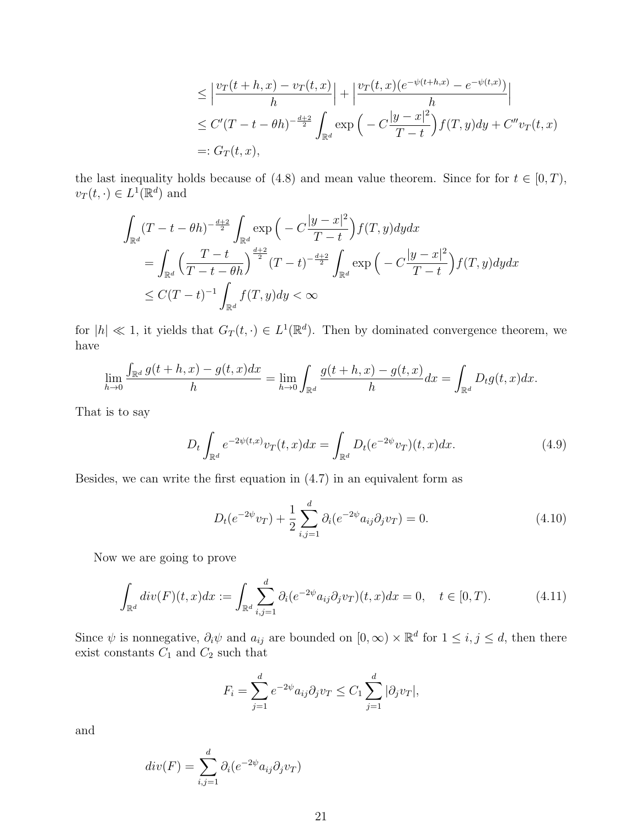$$
\leq \left| \frac{v_T(t+h,x) - v_T(t,x)}{h} \right| + \left| \frac{v_T(t,x)(e^{-\psi(t+h,x)} - e^{-\psi(t,x)})}{h} \right|
$$
  
\n
$$
\leq C'(T-t-\theta h)^{-\frac{d+2}{2}} \int_{\mathbb{R}^d} \exp\left(-C\frac{|y-x|^2}{T-t}\right) f(T,y) dy + C''v_T(t,x)
$$
  
\n
$$
=: G_T(t,x),
$$

the last inequality holds because of (4.8) and mean value theorem. Since for for  $t \in [0, T)$ ,  $v_T(t, \cdot) \in L^1(\mathbb{R}^d)$  and

$$
\int_{\mathbb{R}^d} (T - t - \theta h)^{-\frac{d+2}{2}} \int_{\mathbb{R}^d} \exp\left(-C\frac{|y - x|^2}{T - t}\right) f(T, y) dy dx \n= \int_{\mathbb{R}^d} \left(\frac{T - t}{T - t - \theta h}\right)^{\frac{d+2}{2}} (T - t)^{-\frac{d+2}{2}} \int_{\mathbb{R}^d} \exp\left(-C\frac{|y - x|^2}{T - t}\right) f(T, y) dy dx \n\le C(T - t)^{-1} \int_{\mathbb{R}^d} f(T, y) dy < \infty
$$

for  $|h| \ll 1$ , it yields that  $G_T(t, \cdot) \in L^1(\mathbb{R}^d)$ . Then by dominated convergence theorem, we have

$$
\lim_{h\to 0}\frac{\int_{\mathbb{R}^d}g(t+h,x)-g(t,x)dx}{h}=\lim_{h\to 0}\int_{\mathbb{R}^d}\frac{g(t+h,x)-g(t,x)}{h}dx=\int_{\mathbb{R}^d}D_tg(t,x)dx.
$$

That is to say

$$
D_t \int_{\mathbb{R}^d} e^{-2\psi(t,x)} v_T(t,x) dx = \int_{\mathbb{R}^d} D_t(e^{-2\psi} v_T)(t,x) dx.
$$
 (4.9)

Besides, we can write the first equation in (4.7) in an equivalent form as

$$
D_t(e^{-2\psi}v_T) + \frac{1}{2}\sum_{i,j=1}^d \partial_i(e^{-2\psi}a_{ij}\partial_j v_T) = 0.
$$
 (4.10)

Now we are going to prove

$$
\int_{\mathbb{R}^d} \operatorname{div}(F)(t, x) dx := \int_{\mathbb{R}^d} \sum_{i,j=1}^d \partial_i (e^{-2\psi} a_{ij} \partial_j v_T)(t, x) dx = 0, \quad t \in [0, T). \tag{4.11}
$$

Since  $\psi$  is nonnegative,  $\partial_i \psi$  and  $a_{ij}$  are bounded on  $[0,\infty) \times \mathbb{R}^d$  for  $1 \leq i,j \leq d$ , then there exist constants  $C_1$  and  $C_2$  such that

$$
F_i = \sum_{j=1}^d e^{-2\psi} a_{ij} \partial_j v_T \le C_1 \sum_{j=1}^d |\partial_j v_T|,
$$

and

$$
div(F) = \sum_{i,j=1}^{d} \partial_i (e^{-2\psi} a_{ij} \partial_j v_T)
$$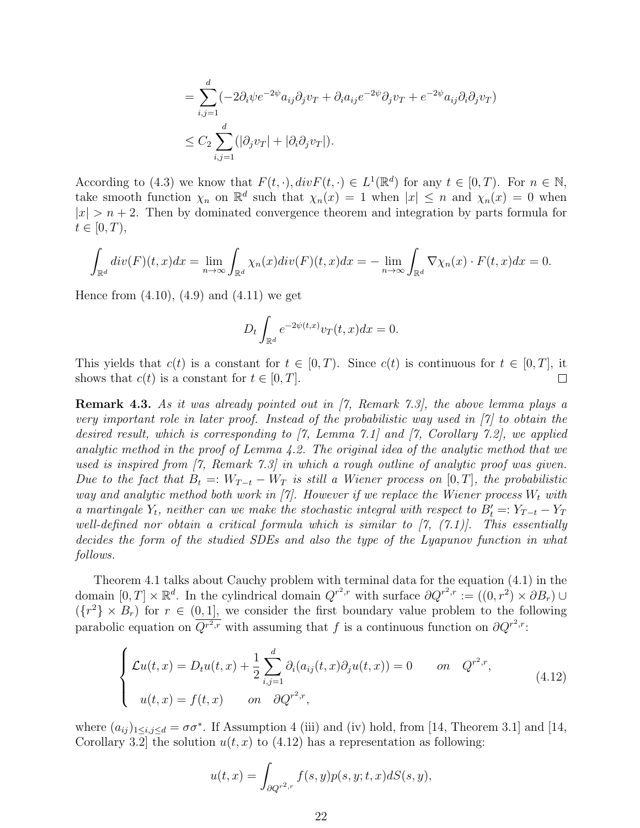$$
= \sum_{i,j=1}^{d} (-2\partial_i \psi e^{-2\psi} a_{ij} \partial_j v_T + \partial_i a_{ij} e^{-2\psi} \partial_j v_T + e^{-2\psi} a_{ij} \partial_i \partial_j v_T)
$$
  

$$
\leq C_2 \sum_{i,j=1}^{d} (|\partial_j v_T| + |\partial_i \partial_j v_T|).
$$

According to (4.3) we know that  $F(t, \cdot), div F(t, \cdot) \in L^1(\mathbb{R}^d)$  for any  $t \in [0, T)$ . For  $n \in \mathbb{N}$ , take smooth function  $\chi_n$  on  $\mathbb{R}^d$  such that  $\chi_n(x) = 1$  when  $|x| \leq n$  and  $\chi_n(x) = 0$  when  $|x| > n + 2$ . Then by dominated convergence theorem and integration by parts formula for  $t\in[0,T),$ 

$$
\int_{\mathbb{R}^d} div(F)(t,x)dx = \lim_{n \to \infty} \int_{\mathbb{R}^d} \chi_n(x)div(F)(t,x)dx = -\lim_{n \to \infty} \int_{\mathbb{R}^d} \nabla \chi_n(x) \cdot F(t,x)dx = 0.
$$

Hence from  $(4.10)$ ,  $(4.9)$  and  $(4.11)$  we get

$$
D_t \int_{\mathbb{R}^d} e^{-2\psi(t,x)} v_T(t,x) dx = 0.
$$

This yields that  $c(t)$  is a constant for  $t \in [0, T)$ . Since  $c(t)$  is continuous for  $t \in [0, T]$ , it shows that  $c(t)$  is a constant for  $t \in [0, T]$ .  $\Box$ 

Remark 4.3. As it was already pointed out in [7, Remark 7.3], the above lemma plays a very important role in later proof. Instead of the probabilistic way used in [7] to obtain the desired result, which is corresponding to [7, Lemma 7.1] and [7, Corollary 7.2], we applied analytic method in the proof of Lemma 4.2. The original idea of the analytic method that we used is inspired from [7, Remark 7.3] in which a rough outline of analytic proof was given. Due to the fact that  $B_t =: W_{T-t} - W_T$  is still a Wiener process on [0, T], the probabilistic way and analytic method both work in [7]. However if we replace the Wiener process  $W_t$  with a martingale  $Y_t$ , neither can we make the stochastic integral with respect to  $B'_t =: Y_{T-t} - Y_T$ well-defined nor obtain a critical formula which is similar to  $[7, (7.1)]$ . This essentially decides the form of the studied SDEs and also the type of the Lyapunov function in what follows.

Theorem 4.1 talks about Cauchy problem with terminal data for the equation (4.1) in the domain  $[0,T] \times \mathbb{R}^d$ . In the cylindrical domain  $Q^{r^2,r}$  with surface  $\partial Q^{r^2,r} := ((0, r^2) \times \partial B_r) \cup$  $({r<sup>2</sup>} \times B_r)$  for  $r \in (0,1]$ , we consider the first boundary value problem to the following parabolic equation on  $\overline{Q^{r^2,r}}$  with assuming that f is a continuous function on  $\partial Q^{r^2,r}$ :

$$
\begin{cases}\n\mathcal{L}u(t,x) = D_t u(t,x) + \frac{1}{2} \sum_{i,j=1}^d \partial_i (a_{ij}(t,x) \partial_j u(t,x)) = 0 & \text{on} \quad Q^{r^2,r}, \\
u(t,x) = f(t,x) & \text{on} \quad \partial Q^{r^2,r},\n\end{cases}
$$
\n(4.12)

where  $(a_{ij})_{1\leq i,j\leq d}=\sigma\sigma^*$ . If Assumption 4 (iii) and (iv) hold, from [14, Theorem 3.1] and [14, Corollary 3.2 the solution  $u(t, x)$  to (4.12) has a representation as following:

$$
u(t,x) = \int_{\partial Q^{r^2,r}} f(s,y)p(s,y;t,x)dS(s,y),
$$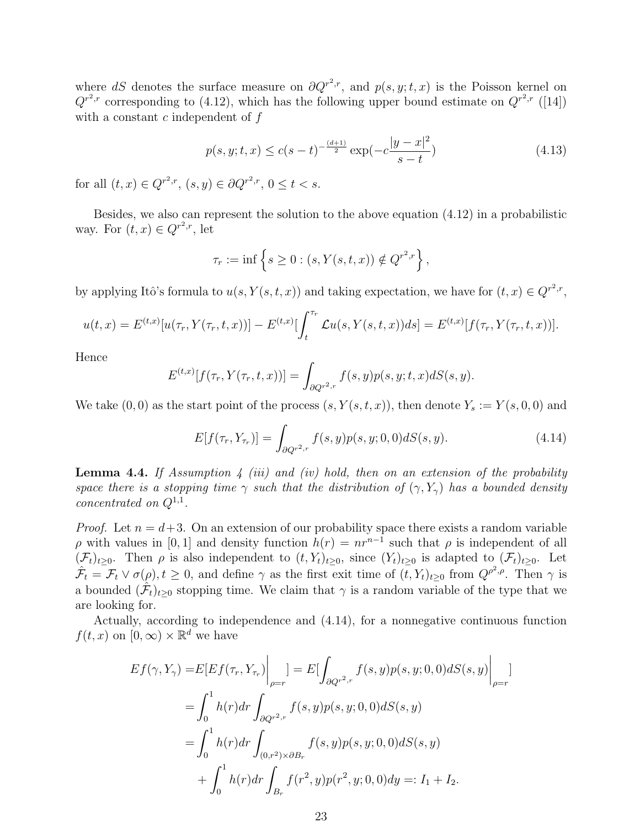where dS denotes the surface measure on  $\partial Q^{r^2,r}$ , and  $p(s, y; t, x)$  is the Poisson kernel on  $Q^{r^2,r}$  corresponding to (4.12), which has the following upper bound estimate on  $Q^{r^2,r}$  ([14]) with a constant  $c$  independent of  $f$ 

$$
p(s, y; t, x) \le c(s - t)^{-\frac{(d+1)}{2}} \exp(-c\frac{|y - x|^2}{s - t})
$$
\n(4.13)

for all  $(t, x) \in Q^{r^2,r}$ ,  $(s, y) \in \partial Q^{r^2,r}$ ,  $0 \le t < s$ .

Besides, we also can represent the solution to the above equation (4.12) in a probabilistic way. For  $(t, x) \in Q^{r^2,r}$ , let

$$
\tau_r := \inf \{ s \ge 0 : (s, Y(s, t, x)) \notin Q^{r^2, r} \},
$$

by applying Itô's formula to  $u(s, Y(s,t,x))$  and taking expectation, we have for  $(t, x) \in Q^{r^2,r}$ ,

$$
u(t,x) = E^{(t,x)}[u(\tau_r, Y(\tau_r, t, x))] - E^{(t,x)}[\int_t^{\tau_r} \mathcal{L}u(s, Y(s, t, x))ds] = E^{(t,x)}[f(\tau_r, Y(\tau_r, t, x))].
$$

Hence

$$
E^{(t,x)}[f(\tau_r,Y(\tau_r,t,x))] = \int_{\partial Q^{r^2,r}} f(s,y)p(s,y;t,x)dS(s,y).
$$

We take  $(0,0)$  as the start point of the process  $(s, Y(s,t,x))$ , then denote  $Y_s := Y(s,0,0)$  and

$$
E[f(\tau_r, Y_{\tau_r})] = \int_{\partial Q^{r^2,r}} f(s, y) p(s, y; 0, 0) dS(s, y).
$$
 (4.14)

**Lemma 4.4.** If Assumption 4 (iii) and (iv) hold, then on an extension of the probability space there is a stopping time  $\gamma$  such that the distribution of  $(\gamma, Y_{\gamma})$  has a bounded density *concentrated on*  $Q^{1,1}$ .

*Proof.* Let  $n = d+3$ . On an extension of our probability space there exists a random variable  $ρ$  with values in [0, 1] and density function  $h(r) = nr^{n-1}$  such that  $ρ$  is independent of all  $(\mathcal{F}_t)_{t>0}$ . Then  $\rho$  is also independent to  $(t, Y_t)_{t>0}$ , since  $(Y_t)_{t>0}$  is adapted to  $(\mathcal{F}_t)_{t>0}$ . Let  $\hat{\mathcal{F}}_t = \mathcal{F}_t \vee \sigma(\rho), t \geq 0$ , and define  $\gamma$  as the first exit time of  $(\overline{t}, Y_t)_{t \geq 0}$  from  $Q^{\rho^2, \rho}$ . Then  $\gamma$  is a bounded  $(\hat{\mathcal{F}}_t)_{t\geq 0}$  stopping time. We claim that  $\gamma$  is a random variable of the type that we are looking for.

Actually, according to independence and (4.14), for a nonnegative continuous function  $f(t, x)$  on  $[0, \infty) \times \mathbb{R}^d$  we have

$$
Ef(\gamma, Y_{\gamma}) = E[Ef(\tau_r, Y_{\tau_r})\Big|_{\rho=r}] = E[\int_{\partial Q^{r^2,r}} f(s, y)p(s, y; 0, 0)dS(s, y)\Big|_{\rho=r}]
$$
  
=  $\int_0^1 h(r)dr \int_{\partial Q^{r^2,r}} f(s, y)p(s, y; 0, 0)dS(s, y)$   
=  $\int_0^1 h(r)dr \int_{(0, r^2) \times \partial B_r} f(s, y)p(s, y; 0, 0)dS(s, y)$   
+  $\int_0^1 h(r)dr \int_{B_r} f(r^2, y)p(r^2, y; 0, 0)dy =: I_1 + I_2.$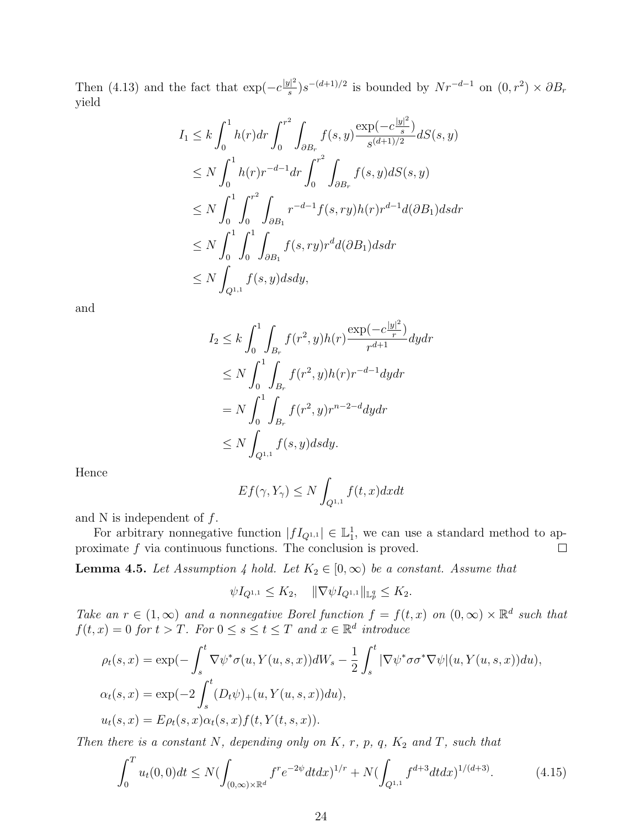Then (4.13) and the fact that  $\exp(-c\frac{|y|^2}{g})$  $\frac{d|s|}{ds}$ )s<sup>-(d+1)/2</sup> is bounded by  $Nr^{-d-1}$  on  $(0, r^2) \times \partial B_r$ yield

$$
I_{1} \leq k \int_{0}^{1} h(r) dr \int_{0}^{r^{2}} \int_{\partial B_{r}} f(s, y) \frac{\exp(-c\frac{|y|^{2}}{s})}{s^{(d+1)/2}} dS(s, y)
$$
  
\n
$$
\leq N \int_{0}^{1} h(r)r^{-d-1} dr \int_{0}^{r^{2}} \int_{\partial B_{r}} f(s, y) dS(s, y)
$$
  
\n
$$
\leq N \int_{0}^{1} \int_{0}^{r^{2}} \int_{\partial B_{1}} r^{-d-1} f(s, ry) h(r) r^{d-1} d(\partial B_{1}) ds dr
$$
  
\n
$$
\leq N \int_{0}^{1} \int_{0}^{1} \int_{\partial B_{1}} f(s, ry) r^{d} d(\partial B_{1}) ds dr
$$
  
\n
$$
\leq N \int_{Q^{1,1}} f(s, y) ds dy,
$$

and

$$
I_2 \le k \int_0^1 \int_{B_r} f(r^2, y) h(r) \frac{\exp(-c\frac{|y|^2}{r})}{r^{d+1}} dy dr
$$
  
\n
$$
\le N \int_0^1 \int_{B_r} f(r^2, y) h(r) r^{-d-1} dy dr
$$
  
\n
$$
= N \int_0^1 \int_{B_r} f(r^2, y) r^{n-2-d} dy dr
$$
  
\n
$$
\le N \int_{Q^{1,1}} f(s, y) ds dy.
$$

Hence

$$
Ef(\gamma, Y_{\gamma}) \le N \int_{Q^{1,1}} f(t, x) dx dt
$$

and N is independent of  $f$ .

For arbitrary nonnegative function  $|fI_{Q^{1,1}}| \in \mathbb{L}_1^1$ , we can use a standard method to approximate f via continuous functions. The conclusion is proved.  $\Box$ 

**Lemma 4.5.** Let Assumption 4 hold. Let  $K_2 \in [0, \infty)$  be a constant. Assume that

$$
\psi I_{Q^{1,1}} \leq K_2, \quad \|\nabla \psi I_{Q^{1,1}}\|_{\mathbb{L}_p^q} \leq K_2.
$$

Take an  $r \in (1,\infty)$  and a nonnegative Borel function  $f = f(t,x)$  on  $(0,\infty) \times \mathbb{R}^d$  such that  $f(t, x) = 0$  for  $t > T$ . For  $0 \le s \le t \le T$  and  $x \in \mathbb{R}^d$  introduce

$$
\rho_t(s, x) = \exp(-\int_s^t \nabla \psi^* \sigma(u, Y(u, s, x))dW_s - \frac{1}{2}\int_s^t |\nabla \psi^* \sigma \sigma^* \nabla \psi|(u, Y(u, s, x))du),
$$
  
\n
$$
\alpha_t(s, x) = \exp(-2\int_s^t (D_t \psi)_+(u, Y(u, s, x))du),
$$
  
\n
$$
u_t(s, x) = E\rho_t(s, x)\alpha_t(s, x)f(t, Y(t, s, x)).
$$

Then there is a constant N, depending only on  $K$ ,  $r$ ,  $p$ ,  $q$ ,  $K_2$  and  $T$ , such that

$$
\int_0^T u_t(0,0)dt \le N(\int_{(0,\infty)\times\mathbb{R}^d} f^r e^{-2\psi} dt dx)^{1/r} + N(\int_{Q^{1,1}} f^{d+3} dt dx)^{1/(d+3)}.
$$
 (4.15)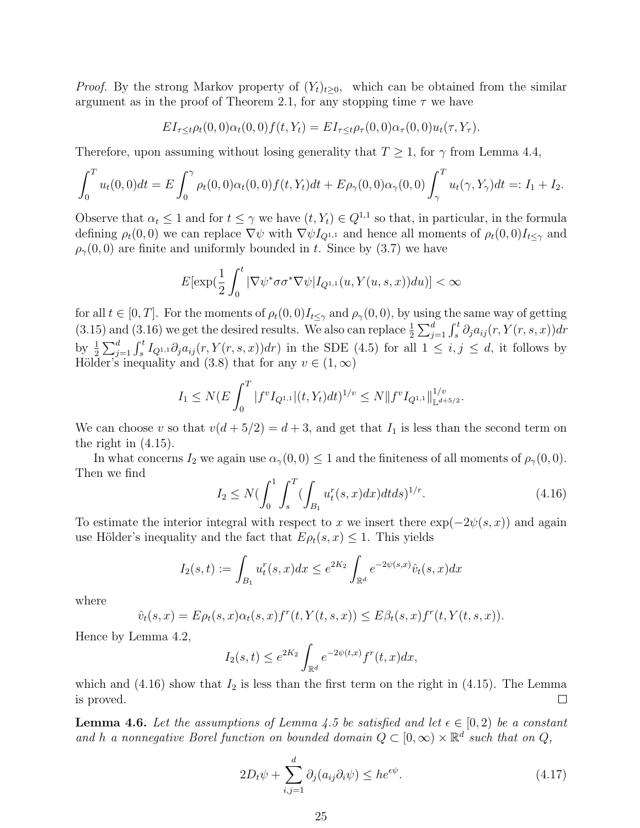*Proof.* By the strong Markov property of  $(Y_t)_{t\geq0}$ , which can be obtained from the similar argument as in the proof of Theorem 2.1, for any stopping time  $\tau$  we have

$$
EI_{\tau \leq t} \rho_t(0,0)\alpha_t(0,0)f(t,Y_t) = EI_{\tau \leq t} \rho_{\tau}(0,0)\alpha_{\tau}(0,0)u_t(\tau,Y_{\tau}).
$$

Therefore, upon assuming without losing generality that  $T \geq 1$ , for  $\gamma$  from Lemma 4.4,

$$
\int_0^T u_t(0,0)dt = E \int_0^{\gamma} \rho_t(0,0) \alpha_t(0,0) f(t,Y_t)dt + E \rho_{\gamma}(0,0) \alpha_{\gamma}(0,0) \int_{\gamma}^T u_t(\gamma,Y_{\gamma})dt =: I_1 + I_2.
$$

Observe that  $\alpha_t \leq 1$  and for  $t \leq \gamma$  we have  $(t, Y_t) \in Q^{1,1}$  so that, in particular, in the formula defining  $\rho_t(0,0)$  we can replace  $\nabla \psi$  with  $\nabla \psi I_{Q^{1,1}}$  and hence all moments of  $\rho_t(0,0)I_{t\leq \gamma}$  and  $\rho_{\gamma}(0,0)$  are finite and uniformly bounded in t. Since by (3.7) we have

$$
E[\exp(\frac{1}{2}\int_0^t |\nabla\psi^*\sigma\sigma^*\nabla\psi|I_{Q^{1,1}}(u,Y(u,s,x))du)] < \infty
$$

for all  $t \in [0, T]$ . For the moments of  $\rho_t(0, 0)I_{t \leq \gamma}$  and  $\rho_\gamma(0, 0)$ , by using the same way of getting (3.15) and (3.16) we get the desired results. We also can replace  $\frac{1}{2}\sum_{j=1}^d \int_s^t \partial_j a_{ij}(r, Y(r, s, x)) dr$ by  $\frac{1}{2}\sum_{j=1}^d \int_s^t I_{Q^{1,1}} \partial_j a_{ij}(r, Y(r,s,x)) dr$  in the SDE (4.5) for all  $1 \leq i, j \leq d$ , it follows by Hölder's inequality and (3.8) that for any  $v \in (1,\infty)$ 

$$
I_1 \le N(E \int_0^T |f^v I_{Q^{1,1}}|(t, Y_t) dt)^{1/v} \le N \|f^v I_{Q^{1,1}}\|_{\mathbb{L}^{d+5/2}}^{1/v}.
$$

We can choose v so that  $v(d + 5/2) = d + 3$ , and get that  $I_1$  is less than the second term on the right in (4.15).

In what concerns  $I_2$  we again use  $\alpha_{\gamma}(0,0) \leq 1$  and the finiteness of all moments of  $\rho_{\gamma}(0,0)$ . Then we find

$$
I_2 \le N \bigl(\int_0^1 \int_s^T \bigl(\int_{B_1} u_t^r(s, x) dx\bigr) dt ds\bigr)^{1/r}.\tag{4.16}
$$

To estimate the interior integral with respect to x we insert there  $\exp(-2\psi(s, x))$  and again use Hölder's inequality and the fact that  $E\rho_t(s, x) \leq 1$ . This yields

$$
I_2(s,t) := \int_{B_1} u_t^r(s,x)dx \le e^{2K_2} \int_{\mathbb{R}^d} e^{-2\psi(s,x)} \hat{v}_t(s,x)dx
$$

where

$$
\hat{v}_t(s,x) = E \rho_t(s,x) \alpha_t(s,x) f^r(t,Y(t,s,x)) \leq E \beta_t(s,x) f^r(t,Y(t,s,x)).
$$

Hence by Lemma 4.2,

$$
I_2(s,t) \le e^{2K_2} \int_{\mathbb{R}^d} e^{-2\psi(t,x)} f^r(t,x) dx,
$$

which and  $(4.16)$  show that  $I_2$  is less than the first term on the right in  $(4.15)$ . The Lemma is proved.  $\Box$ 

**Lemma 4.6.** Let the assumptions of Lemma 4.5 be satisfied and let  $\epsilon \in [0,2)$  be a constant and h a nonnegative Borel function on bounded domain  $Q \subset [0,\infty) \times \mathbb{R}^d$  such that on Q,

$$
2D_t \psi + \sum_{i,j=1}^d \partial_j (a_{ij} \partial_i \psi) \le h e^{\epsilon \psi}.
$$
\n(4.17)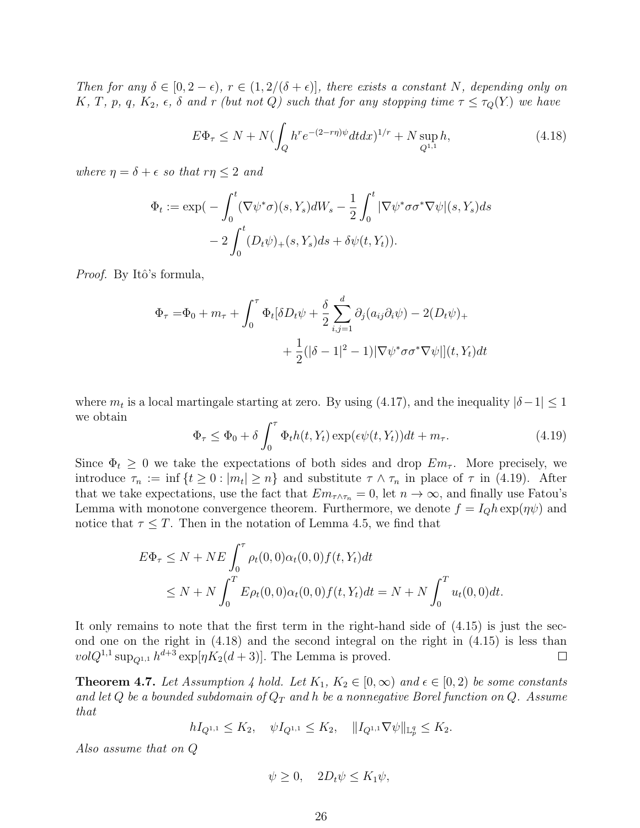Then for any  $\delta \in [0, 2-\epsilon)$ ,  $r \in (1, 2/(\delta + \epsilon)]$ , there exists a constant N, depending only on K, T, p, q,  $K_2$ ,  $\epsilon$ ,  $\delta$  and r (but not Q) such that for any stopping time  $\tau \leq \tau_Q(Y)$  we have

$$
E\Phi_{\tau} \le N + N(\int_{Q} h^{r} e^{-(2-r\eta)\psi} dt dx)^{1/r} + N \sup_{Q^{1,1}} h,
$$
\n(4.18)

where  $\eta = \delta + \epsilon$  so that  $r\eta \leq 2$  and

$$
\Phi_t := \exp\left(-\int_0^t (\nabla \psi^* \sigma)(s, Y_s) dW_s - \frac{1}{2} \int_0^t |\nabla \psi^* \sigma \sigma^* \nabla \psi|(s, Y_s) ds - 2 \int_0^t (D_t \psi)_+(s, Y_s) ds + \delta \psi(t, Y_t)\right).
$$

*Proof.* By Itô's formula,

$$
\Phi_{\tau} = \Phi_0 + m_{\tau} + \int_0^{\tau} \Phi_t [\delta D_t \psi + \frac{\delta}{2} \sum_{i,j=1}^d \partial_j (a_{ij} \partial_i \psi) - 2(D_t \psi)_+ \n+ \frac{1}{2} (|\delta - 1|^2 - 1) |\nabla \psi^* \sigma \sigma^* \nabla \psi|](t, Y_t) dt
$$

where  $m_t$  is a local martingale starting at zero. By using (4.17), and the inequality  $|\delta - 1| \leq 1$ we obtain

$$
\Phi_{\tau} \le \Phi_0 + \delta \int_0^{\tau} \Phi_t h(t, Y_t) \exp(\epsilon \psi(t, Y_t)) dt + m_{\tau}.
$$
\n(4.19)

Since  $\Phi_t \geq 0$  we take the expectations of both sides and drop  $Em_{\tau}$ . More precisely, we introduce  $\tau_n := \inf \{ t \geq 0 : |m_t| \geq n \}$  and substitute  $\tau \wedge \tau_n$  in place of  $\tau$  in (4.19). After that we take expectations, use the fact that  $Em_{\tau \wedge \tau_n} = 0$ , let  $n \to \infty$ , and finally use Fatou's Lemma with monotone convergence theorem. Furthermore, we denote  $f = I_Q h \exp(\eta \psi)$  and notice that  $\tau \leq T$ . Then in the notation of Lemma 4.5, we find that

$$
E\Phi_{\tau} \le N + NE \int_0^{\tau} \rho_t(0,0)\alpha_t(0,0) f(t, Y_t) dt
$$
  
 
$$
\le N + N \int_0^T E\rho_t(0,0)\alpha_t(0,0) f(t, Y_t) dt = N + N \int_0^T u_t(0,0) dt.
$$

It only remains to note that the first term in the right-hand side of (4.15) is just the second one on the right in (4.18) and the second integral on the right in (4.15) is less than  $vol Q^{1,1} \sup_{Q^{1,1}} h^{d+3} \exp[\eta K_2(d+3)]$ . The Lemma is proved.  $\Box$ 

**Theorem 4.7.** Let Assumption 4 hold. Let  $K_1, K_2 \in [0, \infty)$  and  $\epsilon \in [0, 2)$  be some constants and let Q be a bounded subdomain of  $Q_T$  and h be a nonnegative Borel function on Q. Assume that

$$
hI_{Q^{1,1}} \leq K_2, \quad \psi I_{Q^{1,1}} \leq K_2, \quad \|I_{Q^{1,1}} \nabla \psi\|_{\mathbb{L}_p^q} \leq K_2.
$$

Also assume that on Q

$$
\psi \ge 0, \quad 2D_t \psi \le K_1 \psi,
$$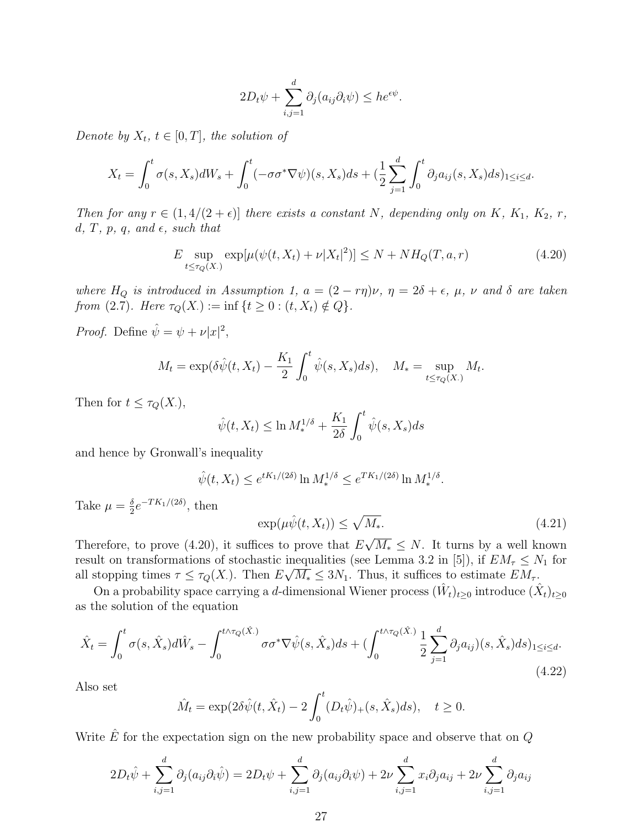$$
2D_t\psi + \sum_{i,j=1}^d \partial_j(a_{ij}\partial_i\psi) \le h e^{\epsilon \psi}.
$$

Denote by  $X_t$ ,  $t \in [0, T]$ , the solution of

$$
X_t = \int_0^t \sigma(s, X_s) dW_s + \int_0^t (-\sigma \sigma^* \nabla \psi)(s, X_s) ds + \left(\frac{1}{2} \sum_{j=1}^d \int_0^t \partial_j a_{ij}(s, X_s) ds\right)_{1 \le i \le d}.
$$

Then for any  $r \in (1, 4/(2 + \epsilon))$  there exists a constant N, depending only on K, K<sub>1</sub>, K<sub>2</sub>, r, d, T, p, q, and  $\epsilon$ , such that

$$
E \sup_{t \le \tau_Q(X)} \exp[\mu(\psi(t, X_t) + \nu |X_t|^2)] \le N + NH_Q(T, a, r)
$$
\n(4.20)

where  $H_Q$  is introduced in Assumption 1,  $a = (2 - r\eta)\nu$ ,  $\eta = 2\delta + \epsilon$ ,  $\mu$ ,  $\nu$  and  $\delta$  are taken from (2.7). Here  $\tau_Q(X) := \inf \{ t \geq 0 : (t, X_t) \notin Q \}.$ 

*Proof.* Define  $\hat{\psi} = \psi + \nu |x|^2$ ,

$$
M_t = \exp(\delta \hat{\psi}(t, X_t) - \frac{K_1}{2} \int_0^t \hat{\psi}(s, X_s) ds), \quad M_* = \sup_{t \le \tau_Q(X)} M_t.
$$

Then for  $t \leq \tau_Q(X)$ ,

$$
\hat{\psi}(t, X_t) \le \ln M_*^{1/\delta} + \frac{K_1}{2\delta} \int_0^t \hat{\psi}(s, X_s) ds
$$

and hence by Gronwall's inequality

$$
\hat{\psi}(t, X_t) \le e^{tK_1/(2\delta)} \ln M_*^{1/\delta} \le e^{TK_1/(2\delta)} \ln M_*^{1/\delta}.
$$

Take  $\mu = \frac{\delta}{2}$  $\frac{\delta}{2}e^{-TK_1/(2\delta)},\,\text{then}$ 

$$
\exp(\mu \hat{\psi}(t, X_t)) \le \sqrt{M_*}.\tag{4.21}
$$

Therefore, to prove  $(4.20)$ , it suffices to prove that E  $\overline{M_*} \leq N$ . It turns by a well known result on transformations of stochastic inequalities (see Lemma 3.2 in [5]), if  $EM_\tau \leq N_1$  for all stopping times  $\tau \leq \tau_Q(X)$ . Then  $E\sqrt{M_*} \leq 3N_1$ . Thus, it suffices to estimate  $EM_{\tau}$ .

On a probability space carrying a d-dimensional Wiener process  $(\hat{W}_t)_{t\geq0}$  introduce  $(\hat{X}_t)_{t\geq0}$ as the solution of the equation

$$
\hat{X}_t = \int_0^t \sigma(s, \hat{X}_s) d\hat{W}_s - \int_0^{t \wedge \tau_Q(\hat{X}_\cdot)} \sigma \sigma^* \nabla \hat{\psi}(s, \hat{X}_s) ds + (\int_0^{t \wedge \tau_Q(\hat{X}_\cdot)} \frac{1}{2} \sum_{j=1}^d \partial_j a_{ij})(s, \hat{X}_s) ds)_{1 \le i \le d}.
$$
\n(4.22)

Also set

$$
\hat{M}_t = \exp(2\delta\hat{\psi}(t,\hat{X}_t) - 2\int_0^t (D_t\hat{\psi})_+(s,\hat{X}_s)ds), \quad t \ge 0.
$$

Write  $\hat{E}$  for the expectation sign on the new probability space and observe that on  $Q$ 

$$
2D_t\hat{\psi} + \sum_{i,j=1}^d \partial_j(a_{ij}\partial_i\hat{\psi}) = 2D_t\psi + \sum_{i,j=1}^d \partial_j(a_{ij}\partial_i\psi) + 2\nu \sum_{i,j=1}^d x_i\partial_j a_{ij} + 2\nu \sum_{i,j=1}^d \partial_j a_{ij}
$$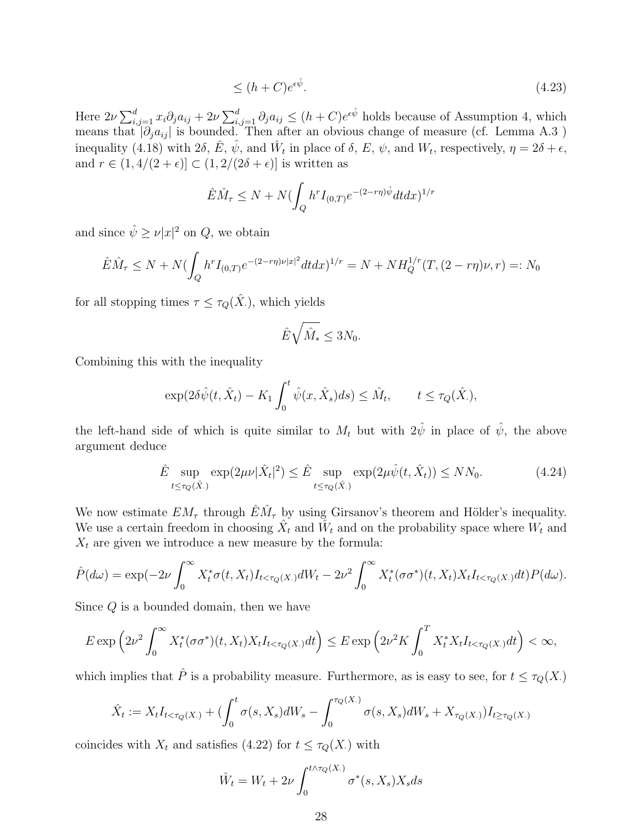$$
\leq (h+C)e^{\epsilon \hat{\psi}}.\tag{4.23}
$$

Here  $2\nu\sum_{i,j=1}^dx_i\partial_ja_{ij} + 2\nu\sum_{i,j=1}^d\partial_ja_{ij} \leq (h+C)e^{\epsilon\hat{\psi}}$  holds because of Assumption 4, which means that  $|\partial_j a_{ij}|$  is bounded. Then after an obvious change of measure (cf. Lemma A.3) inequality (4.18) with  $2\delta$ ,  $\hat{E}$ ,  $\hat{\psi}$ , and  $\hat{W}_t$  in place of  $\delta$ ,  $E$ ,  $\psi$ , and  $W_t$ , respectively,  $\eta = 2\delta + \epsilon$ , and  $r \in (1, 4/(2 + \epsilon)] \subset (1, 2/(2\delta + \epsilon)]$  is written as

$$
\hat{E}\hat{M}_{\tau} \le N + N\left(\int_{Q} h^{r} I_{(0,T)}e^{-(2-r\eta)\hat{\psi}}dtdx\right)^{1/r}
$$

and since  $\hat{\psi} \ge \nu |x|^2$  on  $Q$ , we obtain

$$
\hat{E}\hat{M}_{\tau} \le N + N\left(\int_{Q} h^{r} I_{(0,T)}e^{-(2-r\eta)\nu|x|^{2}} dt dx\right)^{1/r} = N + NH_{Q}^{1/r}(T,(2-r\eta)\nu,r) =: N_{0}
$$

for all stopping times  $\tau \leq \tau_Q(\hat{X})$ , which yields

$$
\hat{E}\sqrt{\hat{M}_*} \le 3N_0.
$$

Combining this with the inequality

$$
\exp(2\delta\hat{\psi}(t,\hat{X}_t) - K_1 \int_0^t \hat{\psi}(x,\hat{X}_s)ds) \leq \hat{M}_t, \qquad t \leq \tau_Q(\hat{X}_t),
$$

the left-hand side of which is quite similar to  $M_t$  but with  $2\hat{\psi}$  in place of  $\hat{\psi}$ , the above argument deduce

$$
\hat{E} \sup_{t \le \tau_Q(\hat{X})} \exp(2\mu\nu |\hat{X}_t|^2) \le \hat{E} \sup_{t \le \tau_Q(\hat{X})} \exp(2\mu \hat{\psi}(t, \hat{X}_t)) \le NN_0.
$$
\n(4.24)

We now estimate  $EM_{\tau}$  through  $\hat{E}\hat{M}_{\tau}$  by using Girsanov's theorem and Hölder's inequality. We use a certain freedom in choosing  $\hat{X}_t$  and  $\hat{W}_t$  and on the probability space where  $W_t$  and  $X_t$  are given we introduce a new measure by the formula:

$$
\hat{P}(d\omega) = \exp(-2\nu \int_0^\infty X_t^* \sigma(t, X_t) I_{t < \tau_Q(X)} dW_t - 2\nu^2 \int_0^\infty X_t^* (\sigma \sigma^*)(t, X_t) X_t I_{t < \tau_Q(X)} dt) P(d\omega).
$$

Since Q is a bounded domain, then we have

$$
E \exp\left(2\nu^2 \int_0^\infty X_t^*(\sigma \sigma^*)(t, X_t) X_t I_{t < \tau_Q(X)} dt\right) \le E \exp\left(2\nu^2 K \int_0^T X_t^* X_t I_{t < \tau_Q(X)} dt\right) < \infty,
$$

which implies that  $\hat{P}$  is a probability measure. Furthermore, as is easy to see, for  $t \leq \tau_Q(X)$ .

$$
\hat{X}_t := X_t I_{t < \tau_Q(X.)} + \left( \int_0^t \sigma(s, X_s) dW_s - \int_0^{\tau_Q(X.)} \sigma(s, X_s) dW_s + X_{\tau_Q(X.)} \right) I_{t \ge \tau_Q(X.)}
$$

coincides with  $X_t$  and satisfies (4.22) for  $t \leq \tau_Q(X)$  with

$$
\hat{W}_t = W_t + 2\nu \int_0^{t \wedge \tau_Q(X)} \sigma^*(s, X_s) X_s ds
$$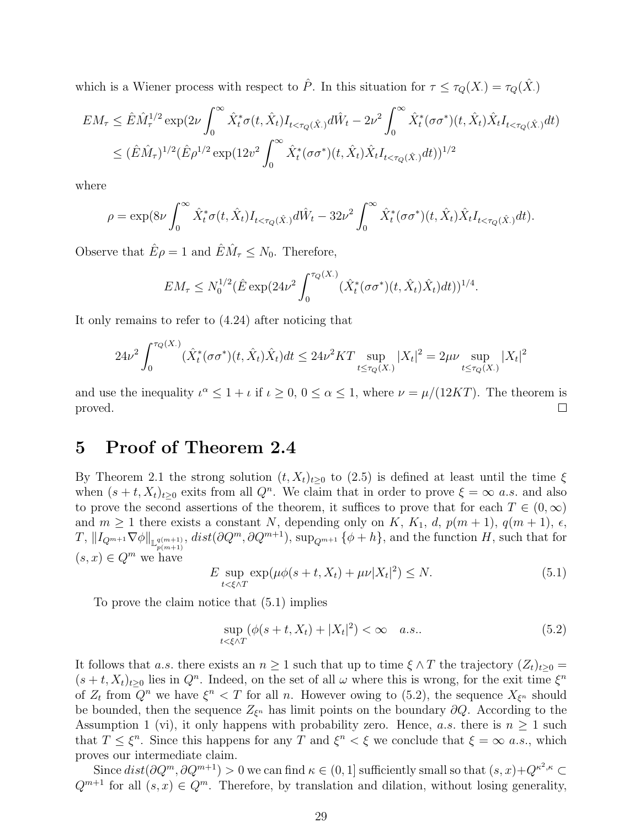which is a Wiener process with respect to  $\hat{P}$ . In this situation for  $\tau \leq \tau_Q(X) = \tau_Q(\hat{X})$ .

$$
EM_{\tau} \leq \hat{E}\hat{M}_{\tau}^{1/2} \exp(2\nu \int_{0}^{\infty} \hat{X}_{t}^{*} \sigma(t, \hat{X}_{t}) I_{t < \tau_{Q}(\hat{X}_{\cdot})} d\hat{W}_{t} - 2\nu^{2} \int_{0}^{\infty} \hat{X}_{t}^{*} (\sigma \sigma^{*})(t, \hat{X}_{t}) \hat{X}_{t} I_{t < \tau_{Q}(\hat{X}_{\cdot})} dt)
$$
  

$$
\leq (\hat{E}\hat{M}_{\tau})^{1/2} (\hat{E}\rho^{1/2} \exp(12v^{2} \int_{0}^{\infty} \hat{X}_{t}^{*} (\sigma \sigma^{*})(t, \hat{X}_{t}) \hat{X}_{t} I_{t < \tau_{Q}(\hat{X}_{\cdot})} dt))^{1/2}
$$

where

$$
\rho = \exp(8\nu \int_0^\infty \hat{X}_t^* \sigma(t, \hat{X}_t) I_{t < \tau_Q(\hat{X}_t)} d\hat{W}_t - 32\nu^2 \int_0^\infty \hat{X}_t^* (\sigma \sigma^*)(t, \hat{X}_t) \hat{X}_t I_{t < \tau_Q(\hat{X}_t)} dt).
$$

Observe that  $\hat{E}\rho = 1$  and  $\hat{E}\hat{M}_{\tau} \leq N_0$ . Therefore,

$$
EM_{\tau} \leq N_0^{1/2} (\hat{E} \exp(24\nu^2 \int_0^{\tau_Q(X)} (\hat{X}_t^*(\sigma \sigma^*)(t, \hat{X}_t) \hat{X}_t) dt))^{1/4}.
$$

It only remains to refer to (4.24) after noticing that

$$
24\nu^2 \int_0^{\tau_Q(X)} (\hat{X}_t^*(\sigma \sigma^*)(t, \hat{X}_t) \hat{X}_t) dt \le 24\nu^2 KT \sup_{t \le \tau_Q(X)} |X_t|^2 = 2\mu\nu \sup_{t \le \tau_Q(X)} |X_t|^2
$$

and use the inequality  $\iota^{\alpha} \leq 1 + \iota$  if  $\iota \geq 0$ ,  $0 \leq \alpha \leq 1$ , where  $\nu = \mu/(12KT)$ . The theorem is proved.  $\Box$ 

# 5 Proof of Theorem 2.4

By Theorem 2.1 the strong solution  $(t, X_t)_{t>0}$  to  $(2.5)$  is defined at least until the time  $\xi$ when  $(s+t, X_t)_{t\geq 0}$  exits from all  $Q^n$ . We claim that in order to prove  $\xi = \infty$  a.s. and also to prove the second assertions of the theorem, it suffices to prove that for each  $T \in (0,\infty)$ and  $m \geq 1$  there exists a constant N, depending only on K,  $K_1$ , d,  $p(m+1)$ ,  $q(m+1)$ ,  $\epsilon$ ,  $T,$   $||I_{Q^{m+1}}\nabla\phi||_{\mathbb{L}^{q(m+1)}_{p(m+1)}},$   $dist(\partial Q^m, \partial Q^{m+1}),$  sup<sub>Q<sup>m+1</sub></sup> { $\phi + h$ }, and the function H, such that for</sub>  $(s, x) \in Q^m$  we have

$$
E \sup_{t < \xi \wedge T} \exp(\mu \phi(s + t, X_t) + \mu \nu |X_t|^2) \le N. \tag{5.1}
$$

To prove the claim notice that (5.1) implies

$$
\sup_{t < \xi \wedge T} (\phi(s + t, X_t) + |X_t|^2) < \infty \quad a.s.. \tag{5.2}
$$

It follows that a.s. there exists an  $n \geq 1$  such that up to time  $\xi \wedge T$  the trajectory  $(Z_t)_{t\geq 0}$  $(s+t, X_t)_{t\geq 0}$  lies in  $Q^n$ . Indeed, on the set of all  $\omega$  where this is wrong, for the exit time  $\xi^n$ of  $Z_t$  from  $Q^n$  we have  $\xi^n < T$  for all n. However owing to (5.2), the sequence  $X_{\xi^n}$  should be bounded, then the sequence  $Z_{\xi^n}$  has limit points on the boundary  $\partial Q$ . According to the Assumption 1 (vi), it only happens with probability zero. Hence, a.s. there is  $n \geq 1$  such that  $T \leq \xi^n$ . Since this happens for any T and  $\xi^n < \xi$  we conclude that  $\xi = \infty$  a.s., which proves our intermediate claim.

Since  $dist(\partial Q^m, \partial Q^{m+1}) > 0$  we can find  $\kappa \in (0, 1]$  sufficiently small so that  $(s, x) + Q^{\kappa^2, \kappa} \subset$  $Q^{m+1}$  for all  $(s, x) \in Q^m$ . Therefore, by translation and dilation, without losing generality,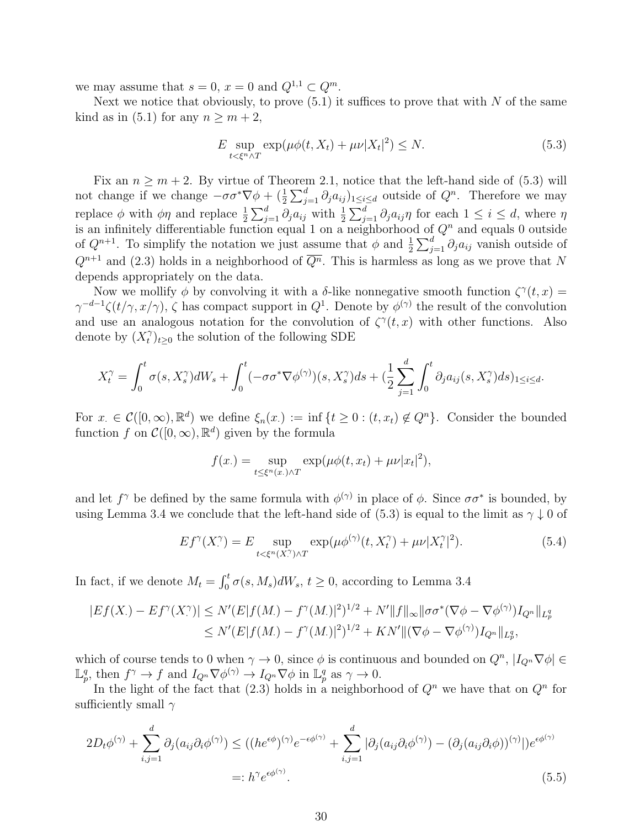we may assume that  $s = 0$ ,  $x = 0$  and  $Q^{1,1} \subset Q^m$ .

Next we notice that obviously, to prove  $(5.1)$  it suffices to prove that with N of the same kind as in (5.1) for any  $n \geq m+2$ ,

$$
E \sup_{t < \xi^n \wedge T} \exp(\mu \phi(t, X_t) + \mu \nu |X_t|^2) \le N. \tag{5.3}
$$

Fix an  $n > m + 2$ . By virtue of Theorem 2.1, notice that the left-hand side of (5.3) will not change if we change  $-\sigma \sigma^* \nabla \phi + (\frac{1}{2} \sum_{j=1}^d \partial_j a_{ij})_{1 \le i \le d}$  outside of  $Q^n$ . Therefore we may 2 replace  $\phi$  with  $\phi\eta$  and replace  $\frac{1}{2}\sum_{j=1}^d \partial_j a_{ij}$  with  $\frac{1}{2}\sum_{j=1}^d \partial_j a_{ij}\eta$  for each  $1 \le i \le d$ , where  $\eta$ is an infinitely differentiable function equal 1 on a neighborhood of  $Q<sup>n</sup>$  and equals 0 outside of  $Q^{n+1}$ . To simplify the notation we just assume that  $\phi$  and  $\frac{1}{2} \sum_{j=1}^{d} \partial_j a_{ij}$  vanish outside of  $Q^{n+1}$  and (2.3) holds in a neighborhood of  $\overline{Q^n}$ . This is harmless as long as we prove that N depends appropriately on the data.

Now we mollify  $\phi$  by convolving it with a  $\delta$ -like nonnegative smooth function  $\zeta^{\gamma}(t,x)$  $\gamma^{-d-1}\zeta(t/\gamma,x/\gamma)$ ,  $\zeta$  has compact support in  $Q^1$ . Denote by  $\phi^{(\gamma)}$  the result of the convolution and use an analogous notation for the convolution of  $\zeta^{\gamma}(t,x)$  with other functions. Also denote by  $(X_t^\gamma)$  $\hat{t}$ )<sub>t</sub><sub>20</sub> the solution of the following SDE

$$
X_t^{\gamma} = \int_0^t \sigma(s, X_s^{\gamma}) dW_s + \int_0^t (-\sigma \sigma^* \nabla \phi^{(\gamma)})(s, X_s^{\gamma}) ds + \left(\frac{1}{2} \sum_{j=1}^d \int_0^t \partial_j a_{ij}(s, X_s^{\gamma}) ds\right)_{1 \le i \le d}.
$$

For  $x \in \mathcal{C}([0,\infty), \mathbb{R}^d)$  we define  $\xi_n(x) := \inf \{ t \geq 0 : (t, x_t) \notin Q^n \}.$  Consider the bounded function f on  $\mathcal{C}([0,\infty), \mathbb{R}^d)$  given by the formula

$$
f(x.) = \sup_{t \le \xi^n(x.) \wedge T} \exp(\mu \phi(t, x_t) + \mu \nu |x_t|^2),
$$

and let  $f^{\gamma}$  be defined by the same formula with  $\phi^{(\gamma)}$  in place of  $\phi$ . Since  $\sigma\sigma^*$  is bounded, by using Lemma 3.4 we conclude that the left-hand side of (5.3) is equal to the limit as  $\gamma \downarrow 0$  of

$$
Ef^{\gamma}(X^{\gamma}) = E \sup_{t < \xi^n(X^{\gamma}) \land T} \exp(\mu \phi^{(\gamma)}(t, X^{\gamma}_t) + \mu \nu |X^{\gamma}_t|^2). \tag{5.4}
$$

In fact, if we denote  $M_t = \int_0^t \sigma(s, M_s) dW_s$ ,  $t \ge 0$ , according to Lemma 3.4

$$
|Ef(X_{\cdot}) - Ef^{\gamma}(X_{\cdot}^{\gamma})| \le N'(E|f(M_{\cdot}) - f^{\gamma}(M_{\cdot})|^2)^{1/2} + N'\|f\|_{\infty} \|\sigma\sigma^*(\nabla\phi - \nabla\phi^{(\gamma)})I_{Q^n}\|_{L_p^q}
$$
  

$$
\le N'(E|f(M_{\cdot}) - f^{\gamma}(M_{\cdot})|^2)^{1/2} + KN'\|(\nabla\phi - \nabla\phi^{(\gamma)})I_{Q^n}\|_{L_p^q},
$$

which of course tends to 0 when  $\gamma \to 0$ , since  $\phi$  is continuous and bounded on  $Q^n$ ,  $|I_{Q^n}\nabla\phi| \in$  $\mathbb{L}_p^q$ , then  $f^\gamma \to f$  and  $I_{Q^n} \nabla \phi^{(\gamma)} \to I_{Q^n} \nabla \phi$  in  $\mathbb{L}_p^q$  as  $\gamma \to 0$ .

In the light of the fact that (2.3) holds in a neighborhood of  $Q<sup>n</sup>$  we have that on  $Q<sup>n</sup>$  for sufficiently small  $\gamma$ 

$$
2D_t \phi^{(\gamma)} + \sum_{i,j=1}^d \partial_j (a_{ij} \partial_i \phi^{(\gamma)}) \le ((he^{\epsilon \phi})^{(\gamma)} e^{-\epsilon \phi^{(\gamma)}} + \sum_{i,j=1}^d |\partial_j (a_{ij} \partial_i \phi^{(\gamma)}) - (\partial_j (a_{ij} \partial_i \phi))^{(\gamma)}|) e^{\epsilon \phi^{(\gamma)}}
$$
  
=:  $h^\gamma e^{\epsilon \phi^{(\gamma)}}$ . (5.5)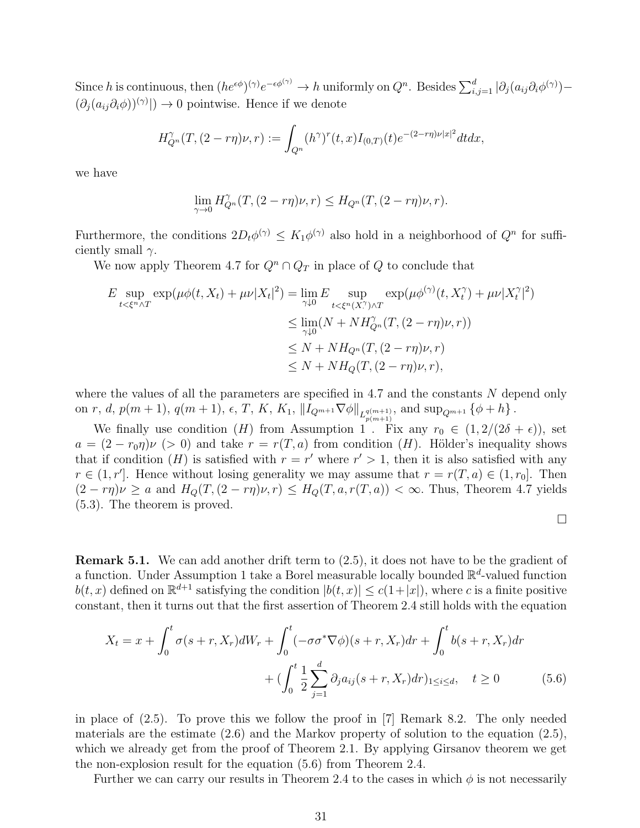Since h is continuous, then  $(he^{\epsilon\phi})^{(\gamma)}e^{-\epsilon\phi^{(\gamma)}} \to h$  uniformly on  $Q^n$ . Besides  $\sum_{i,j=1}^d |\partial_j(a_{ij}\partial_i\phi^{(\gamma)}) (\partial_j (a_{ij} \partial_i \phi)^{(\gamma)}$   $\rightarrow$  0 pointwise. Hence if we denote

$$
H_{Q^n}^{\gamma}(T,(2-r\eta)\nu,r) := \int_{Q^n}(h^{\gamma})^r(t,x)I_{(0,T)}(t)e^{-(2-r\eta)\nu|x|^2}dtdx,
$$

we have

$$
\lim_{\gamma \to 0} H_{Q^n}^{\gamma}(T, (2-r\eta)\nu, r) \leq H_{Q^n}(T, (2-r\eta)\nu, r).
$$

Furthermore, the conditions  $2D_t\phi^{(\gamma)} \leq K_1\phi^{(\gamma)}$  also hold in a neighborhood of  $Q^n$  for sufficiently small  $\gamma$ .

We now apply Theorem 4.7 for  $Q^n \cap Q_T$  in place of Q to conclude that

$$
E \sup_{t < \xi^n \wedge T} \exp(\mu \phi(t, X_t) + \mu \nu |X_t|^2) = \lim_{\gamma \downarrow 0} E \sup_{t < \xi^n (X^{\gamma}) \wedge T} \exp(\mu \phi^{(\gamma)}(t, X_t^{\gamma}) + \mu \nu |X_t^{\gamma}|^2)
$$
\n
$$
\leq \lim_{\gamma \downarrow 0} (N + N H_{Q^n}^{\gamma} (T, (2 - r\eta) \nu, r))
$$
\n
$$
\leq N + N H_{Q^n} (T, (2 - r\eta) \nu, r)
$$
\n
$$
\leq N + N H_Q (T, (2 - r\eta) \nu, r),
$$

where the values of all the parameters are specified in  $4.7$  and the constants N depend only on r, d,  $p(m+1)$ ,  $q(m+1)$ ,  $\epsilon$ , T, K, K<sub>1</sub>,  $\|I_{Q^{m+1}}\nabla\phi\|_{L_{p(m+1)}^{q(m+1)}},$  and  $\sup_{Q^{m+1}} {\{\phi+h\}}$ .

We finally use condition (H) from Assumption 1. Fix any  $r_0 \in (1, 2/(2\delta + \epsilon))$ , set  $a = (2 - r_0 \eta)\nu$  (> 0) and take  $r = r(T, a)$  from condition (H). Hölder's inequality shows that if condition (*H*) is satisfied with  $r = r'$  where  $r' > 1$ , then it is also satisfied with any  $r \in (1, r']$ . Hence without losing generality we may assume that  $r = r(T, a) \in (1, r_0]$ . Then  $(2-r\eta)\nu \ge a$  and  $H_Q(T,(2-r\eta)\nu, r) \le H_Q(T,a,r(T,a)) < \infty$ . Thus, Theorem 4.7 yields (5.3). The theorem is proved.

Remark 5.1. We can add another drift term to (2.5), it does not have to be the gradient of a function. Under Assumption 1 take a Borel measurable locally bounded  $\mathbb{R}^d$ -valued function  $b(t, x)$  defined on  $\mathbb{R}^{d+1}$  satisfying the condition  $|b(t, x)| \leq c(1+|x|)$ , where c is a finite positive constant, then it turns out that the first assertion of Theorem 2.4 still holds with the equation

$$
X_t = x + \int_0^t \sigma(s+r, X_r) dW_r + \int_0^t (-\sigma \sigma^* \nabla \phi)(s+r, X_r) dr + \int_0^t b(s+r, X_r) dr + (\int_0^t \frac{1}{2} \sum_{j=1}^d \partial_j a_{ij} (s+r, X_r) dr)_{1 \le i \le d}, \quad t \ge 0
$$
 (5.6)

in place of (2.5). To prove this we follow the proof in [7] Remark 8.2. The only needed materials are the estimate (2.6) and the Markov property of solution to the equation (2.5), which we already get from the proof of Theorem 2.1. By applying Girsanov theorem we get the non-explosion result for the equation (5.6) from Theorem 2.4.

Further we can carry our results in Theorem 2.4 to the cases in which  $\phi$  is not necessarily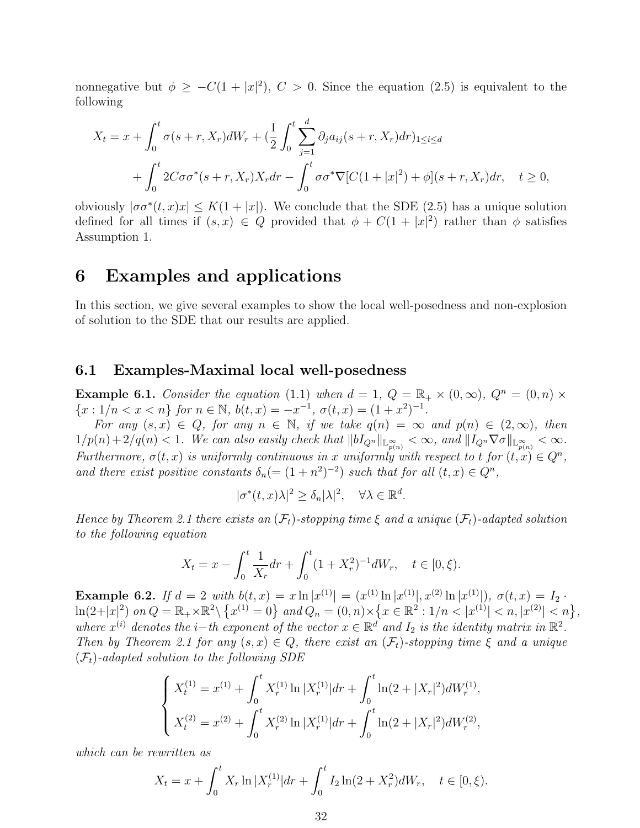nonnegative but  $\phi \geq -C(1+|x|^2)$ ,  $C > 0$ . Since the equation (2.5) is equivalent to the following

$$
X_t = x + \int_0^t \sigma(s+r, X_r) dW_r + \left(\frac{1}{2} \int_0^t \sum_{j=1}^d \partial_j a_{ij} (s+r, X_r) dr\right)_{1 \le i \le d}
$$
  
+ 
$$
\int_0^t 2C\sigma \sigma^*(s+r, X_r) X_r dr - \int_0^t \sigma \sigma^* \nabla [C(1+|x|^2) + \phi](s+r, X_r) dr, \quad t \ge 0,
$$

obviously  $|\sigma\sigma^*(t,x)x| \leq K(1+|x|)$ . We conclude that the SDE (2.5) has a unique solution defined for all times if  $(s, x) \in Q$  provided that  $\phi + C(1 + |x|^2)$  rather than  $\phi$  satisfies Assumption 1.

## 6 Examples and applications

In this section, we give several examples to show the local well-posedness and non-explosion of solution to the SDE that our results are applied.

#### 6.1 Examples-Maximal local well-posedness

**Example 6.1.** Consider the equation (1.1) when  $d = 1$ ,  $Q = \mathbb{R}_+ \times (0, \infty)$ ,  $Q^n = (0, n) \times$  ${x : 1/n < x < n}$  for  $n \in \mathbb{N}$ ,  $b(t, x) = -x^{-1}$ ,  $\sigma(t, x) = (1 + x^2)^{-1}$ .

For any  $(s, x) \in Q$ , for any  $n \in \mathbb{N}$ , if we take  $q(n) = \infty$  and  $p(n) \in (2, \infty)$ , then  $1/p(n)+2/q(n) < 1$ . We can also easily check that  $||bI_{Q^n}||_{\mathbb{L}_{p(n)}^{\infty}} < \infty$ , and  $||I_{Q^n}\nabla\sigma||_{\mathbb{L}_{p(n)}^{\infty}} < \infty$ . Furthermore,  $\sigma(t, x)$  is uniformly continuous in x uniformly with respect to t for  $(t, x) \in Q^n$ , and there exist positive constants  $\delta_n = (1 + n^2)^{-2}$  such that for all  $(t, x) \in Q^n$ ,

$$
|\sigma^*(t, x)\lambda|^2 \ge \delta_n |\lambda|^2, \quad \forall \lambda \in \mathbb{R}^d.
$$

Hence by Theorem 2.1 there exists an  $(\mathcal{F}_t)$ -stopping time  $\xi$  and a unique  $(\mathcal{F}_t)$ -adapted solution to the following equation

$$
X_t = x - \int_0^t \frac{1}{X_r} dr + \int_0^t (1 + X_r^2)^{-1} dW_r, \quad t \in [0, \xi).
$$

Example 6.2. If  $d = 2$  with  $b(t, x) = x \ln |x^{(1)}| = (x^{(1)} \ln |x^{(1)}|, x^{(2)} \ln |x^{(1)}|), \sigma(t, x) = I_2$ .  $\ln(2+|x|^2)$  on  $Q = \mathbb{R}_+ \times \mathbb{R}^2 \setminus \left\{ x^{(1)} = 0 \right\}$  and  $Q_n = (0, n) \times \left\{ x \in \mathbb{R}^2 : 1/n < |x^{(1)}| < n, |x^{(2)}| < n \right\}$ , where  $x^{(i)}$  denotes the *i*-th exponent of the vector  $x \in \mathbb{R}^d$  and  $I_2$  is the identity matrix in  $\mathbb{R}^2$ . Then by Theorem 2.1 for any  $(s, x) \in Q$ , there exist an  $(\mathcal{F}_t)$ -stopping time  $\xi$  and a unique  $(\mathcal{F}_t)$ -adapted solution to the following SDE

$$
\begin{cases} X_t^{(1)} = x^{(1)} + \int_0^t X_r^{(1)} \ln |X_r^{(1)}| dr + \int_0^t \ln(2 + |X_r|^2) dW_r^{(1)}, \\ X_t^{(2)} = x^{(2)} + \int_0^t X_r^{(2)} \ln |X_r^{(1)}| dr + \int_0^t \ln(2 + |X_r|^2) dW_r^{(2)}, \end{cases}
$$

which can be rewritten as

$$
X_t = x + \int_0^t X_r \ln |X_r^{(1)}| dr + \int_0^t I_2 \ln(2 + X_r^2) dW_r, \quad t \in [0, \xi).
$$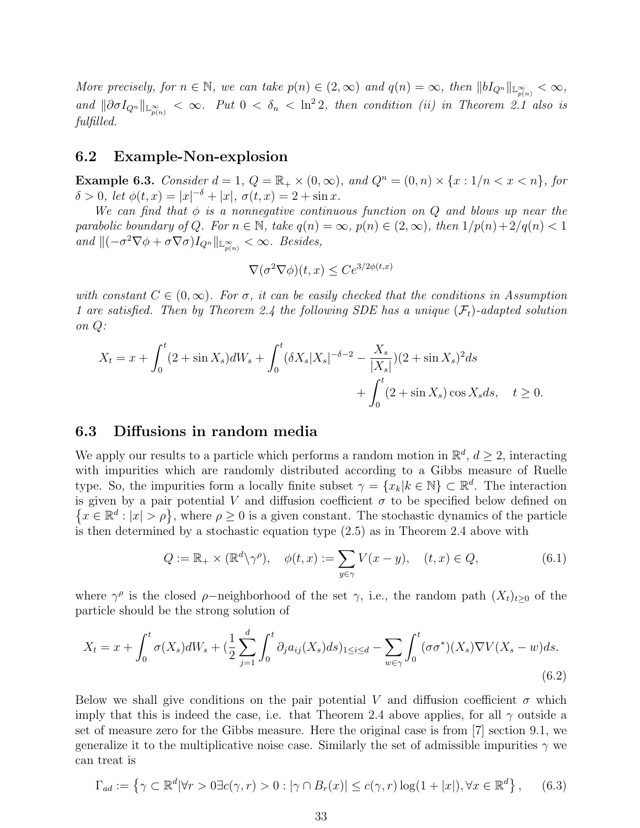More precisely, for  $n \in \mathbb{N}$ , we can take  $p(n) \in (2,\infty)$  and  $q(n) = \infty$ , then  $||bI_{Q^n}||_{\mathbb{L}^{\infty}_{p(n)}} < \infty$ , and  $\|\partial \sigma I_{Q^n}\|_{\mathbb{L}^\infty_{p(n)}} < \infty$ . Put  $0 < \delta_n < \ln^2 2$ , then condition (ii) in Theorem 2.1 also is fulfilled.

## 6.2 Example-Non-explosion

**Example 6.3.** Consider  $d = 1$ ,  $Q = \mathbb{R}_+ \times (0, \infty)$ , and  $Q^n = (0, n) \times \{x : 1/n < x < n\}$ , for  $\delta > 0$ , let  $\phi(t, x) = |x|^{-\delta} + |x|$ ,  $\sigma(t, x) = 2 + \sin x$ .

We can find that  $\phi$  is a nonnegative continuous function on Q and blows up near the parabolic boundary of Q. For  $n \in \mathbb{N}$ , take  $q(n) = \infty$ ,  $p(n) \in (2,\infty)$ , then  $1/p(n)+2/q(n) < 1$ and  $\|(-\sigma^2 \nabla \phi + \sigma \nabla \sigma)I_{Q^n}\|_{\mathbb{L}^\infty_{p(n)}} < \infty$ . Besides,

$$
\nabla(\sigma^2 \nabla \phi)(t, x) \le C e^{3/2\phi(t, x)}
$$

with constant  $C \in (0,\infty)$ . For  $\sigma$ , it can be easily checked that the conditions in Assumption 1 are satisfied. Then by Theorem 2.4 the following SDE has a unique  $(\mathcal{F}_t)$ -adapted solution on Q:

$$
X_t = x + \int_0^t (2 + \sin X_s) dW_s + \int_0^t (\delta X_s |X_s|^{-\delta - 2} - \frac{X_s}{|X_s|}) (2 + \sin X_s)^2 ds
$$
  
+ 
$$
\int_0^t (2 + \sin X_s) \cos X_s ds, \quad t \ge 0.
$$

## 6.3 Diffusions in random media

We apply our results to a particle which performs a random motion in  $\mathbb{R}^d$ ,  $d \geq 2$ , interacting with impurities which are randomly distributed according to a Gibbs measure of Ruelle type. So, the impurities form a locally finite subset  $\gamma = \{x_k | k \in \mathbb{N}\}\subset \mathbb{R}^d$ . The interaction is given by a pair potential V and diffusion coefficient  $\sigma$  to be specified below defined on  $\{x \in \mathbb{R}^d : |x| > \rho\}$ , where  $\rho \geq 0$  is a given constant. The stochastic dynamics of the particle is then determined by a stochastic equation type (2.5) as in Theorem 2.4 above with

$$
Q := \mathbb{R}_+ \times (\mathbb{R}^d \setminus \gamma^\rho), \quad \phi(t, x) := \sum_{y \in \gamma} V(x - y), \quad (t, x) \in Q,
$$
 (6.1)

where  $\gamma^{\rho}$  is the closed  $\rho$ -neighborhood of the set  $\gamma$ , i.e., the random path  $(X_t)_{t\geq0}$  of the particle should be the strong solution of

$$
X_t = x + \int_0^t \sigma(X_s)dW_s + \left(\frac{1}{2}\sum_{j=1}^d \int_0^t \partial_j a_{ij}(X_s)ds\right)_{1\le i\le d} - \sum_{w\in\gamma} \int_0^t (\sigma\sigma^*)(X_s)\nabla V(X_s - w)ds.
$$
\n(6.2)

Below we shall give conditions on the pair potential V and diffusion coefficient  $\sigma$  which imply that this is indeed the case, i.e. that Theorem 2.4 above applies, for all  $\gamma$  outside a set of measure zero for the Gibbs measure. Here the original case is from [7] section 9.1, we generalize it to the multiplicative noise case. Similarly the set of admissible impurities  $\gamma$  we can treat is

$$
\Gamma_{ad} := \left\{ \gamma \subset \mathbb{R}^d | \forall r > 0 \exists c(\gamma, r) > 0 : |\gamma \cap B_r(x)| \le c(\gamma, r) \log(1 + |x|), \forall x \in \mathbb{R}^d \right\},\tag{6.3}
$$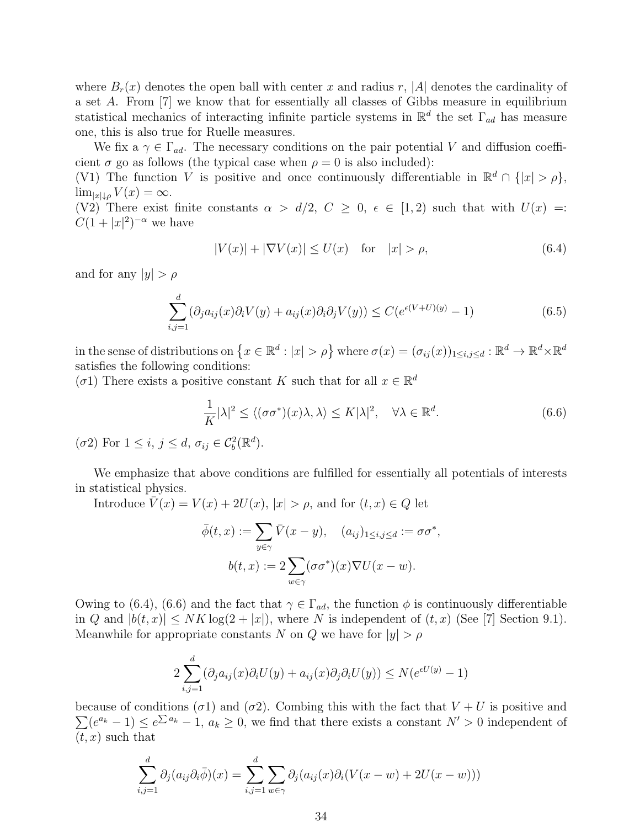where  $B_r(x)$  denotes the open ball with center x and radius r, |A| denotes the cardinality of a set A. From [7] we know that for essentially all classes of Gibbs measure in equilibrium statistical mechanics of interacting infinite particle systems in  $\mathbb{R}^d$  the set  $\Gamma_{ad}$  has measure one, this is also true for Ruelle measures.

We fix a  $\gamma \in \Gamma_{ad}$ . The necessary conditions on the pair potential V and diffusion coefficient  $\sigma$  go as follows (the typical case when  $\rho = 0$  is also included):

(V1) The function V is positive and once continuously differentiable in  $\mathbb{R}^d \cap \{|x| > \rho\},$  $\lim_{|x|\downarrow\rho} V(x) = \infty.$ 

(V2) There exist finite constants  $\alpha > d/2$ ,  $C \geq 0$ ,  $\epsilon \in [1,2)$  such that with  $U(x) =$ :  $C(1+|x|^2)^{-\alpha}$  we have

$$
|V(x)| + |\nabla V(x)| \le U(x) \quad \text{for} \quad |x| > \rho,
$$
\n
$$
(6.4)
$$

and for any  $|y| > \rho$ 

$$
\sum_{i,j=1}^{d} (\partial_j a_{ij}(x)\partial_i V(y) + a_{ij}(x)\partial_i \partial_j V(y)) \le C(e^{\epsilon(V+U)(y)} - 1)
$$
\n(6.5)

in the sense of distributions on  $\{x \in \mathbb{R}^d : |x| > \rho\}$  where  $\sigma(x) = (\sigma_{ij}(x))_{1 \le i,j \le d} : \mathbb{R}^d \to \mathbb{R}^d \times \mathbb{R}^d$ satisfies the following conditions:

( $\sigma$ 1) There exists a positive constant K such that for all  $x \in \mathbb{R}^d$ 

$$
\frac{1}{K}|\lambda|^2 \le \langle (\sigma\sigma^*)(x)\lambda, \lambda \rangle \le K|\lambda|^2, \quad \forall \lambda \in \mathbb{R}^d.
$$
 (6.6)

( $\sigma$ 2) For  $1 \leq i, j \leq d, \sigma_{ij} \in C_b^2(\mathbb{R}^d)$ .

We emphasize that above conditions are fulfilled for essentially all potentials of interests in statistical physics.

Introduce  $\overline{V}(x) = V(x) + 2U(x), |x| > \rho$ , and for  $(t, x) \in Q$  let

$$
\overline{\phi}(t,x) := \sum_{y \in \gamma} \overline{V}(x-y), \quad (a_{ij})_{1 \le i,j \le d} := \sigma \sigma^*,
$$

$$
b(t,x) := 2 \sum_{w \in \gamma} (\sigma \sigma^*)(x) \nabla U(x-w).
$$

Owing to (6.4), (6.6) and the fact that  $\gamma \in \Gamma_{ad}$ , the function  $\phi$  is continuously differentiable in Q and  $|b(t, x)| \leq NK \log(2 + |x|)$ , where N is independent of  $(t, x)$  (See [7] Section 9.1). Meanwhile for appropriate constants N on Q we have for  $|y| > \rho$ 

$$
2\sum_{i,j=1}^d(\partial_j a_{ij}(x)\partial_i U(y) + a_{ij}(x)\partial_j \partial_i U(y)) \le N(e^{\epsilon U(y)} - 1)
$$

 $\sum (e^{a_k} - 1) \le e^{\sum a_k} - 1$ ,  $a_k \ge 0$ , we find that there exists a constant  $N' > 0$  independent of because of conditions ( $\sigma$ 1) and ( $\sigma$ 2). Combing this with the fact that  $V + U$  is positive and  $(t, x)$  such that

$$
\sum_{i,j=1}^d \partial_j (a_{ij} \partial_i \overline{\phi})(x) = \sum_{i,j=1}^d \sum_{w \in \gamma} \partial_j (a_{ij}(x) \partial_i (V(x-w) + 2U(x-w)))
$$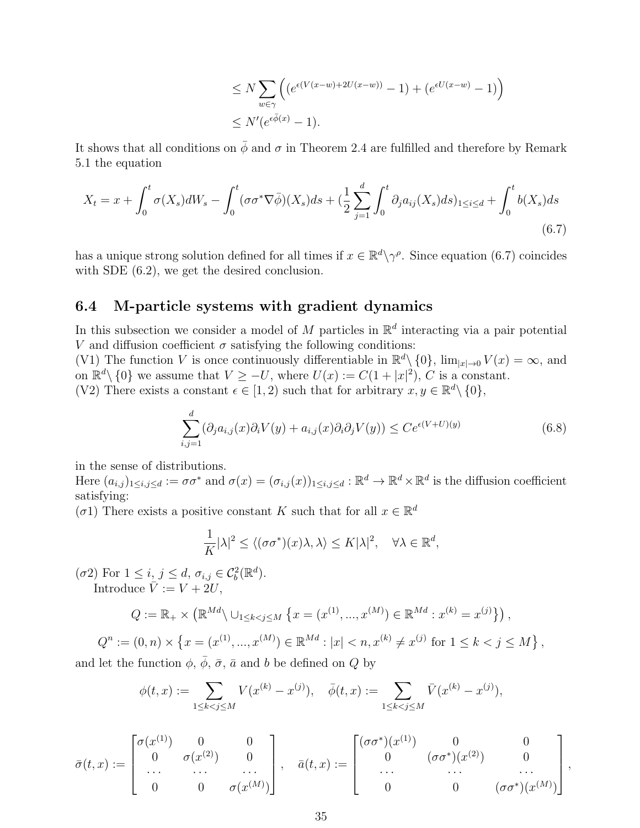$$
\leq N \sum_{w \in \gamma} \left( \left( e^{\epsilon (V(x-w) + 2U(x-w))} - 1 \right) + \left( e^{\epsilon U(x-w)} - 1 \right) \right)
$$
  

$$
\leq N' \left( e^{\epsilon \bar{\phi}(x)} - 1 \right).
$$

It shows that all conditions on  $\bar{\phi}$  and  $\sigma$  in Theorem 2.4 are fulfilled and therefore by Remark 5.1 the equation

$$
X_t = x + \int_0^t \sigma(X_s) dW_s - \int_0^t (\sigma \sigma^* \nabla \bar{\phi})(X_s) ds + (\frac{1}{2} \sum_{j=1}^d \int_0^t \partial_j a_{ij}(X_s) ds)_{1 \le i \le d} + \int_0^t b(X_s) ds
$$
\n(6.7)

has a unique strong solution defined for all times if  $x \in \mathbb{R}^d \setminus \gamma^\rho$ . Since equation (6.7) coincides with SDE  $(6.2)$ , we get the desired conclusion.

## 6.4 M-particle systems with gradient dynamics

In this subsection we consider a model of M particles in  $\mathbb{R}^d$  interacting via a pair potential V and diffusion coefficient  $\sigma$  satisfying the following conditions:

(V1) The function V is once continuously differentiable in  $\mathbb{R}^d \setminus \{0\}$ ,  $\lim_{|x| \to 0} V(x) = \infty$ , and on  $\mathbb{R}^d \setminus \{0\}$  we assume that  $V \geq -U$ , where  $U(x) := C(1+|x|^2)$ , C is a constant. (V2) There exists a constant  $\epsilon \in [1,2)$  such that for arbitrary  $x, y \in \mathbb{R}^d \setminus \{0\},$ 

$$
\sum_{i,j=1}^{d} (\partial_j a_{i,j}(x)\partial_i V(y) + a_{i,j}(x)\partial_i \partial_j V(y)) \le Ce^{\epsilon(V+U)(y)}
$$
(6.8)

in the sense of distributions.

Here  $(a_{i,j})_{1\leq i,j\leq d} := \sigma\sigma^*$  and  $\sigma(x) = (\sigma_{i,j}(x))_{1\leq i,j\leq d} : \mathbb{R}^d \to \mathbb{R}^d \times \mathbb{R}^d$  is the diffusion coefficient satisfying:

( $\sigma$ 1) There exists a positive constant K such that for all  $x \in \mathbb{R}^d$ 

$$
\frac{1}{K}|\lambda|^2 \le \langle (\sigma\sigma^*)(x)\lambda, \lambda \rangle \le K|\lambda|^2, \quad \forall \lambda \in \mathbb{R}^d,
$$

( $\sigma$ 2) For  $1 \leq i, j \leq d, \sigma_{i,j} \in C_b^2(\mathbb{R}^d)$ . Introduce  $\overline{V} := V + 2U$ ,

$$
Q := \mathbb{R}_{+} \times (\mathbb{R}^{Md} \setminus \cup_{1 \leq k < j \leq M} \{ x = (x^{(1)}, ..., x^{(M)}) \in \mathbb{R}^{Md} : x^{(k)} = x^{(j)} \},
$$

$$
Q^n := (0, n) \times \left\{ x = (x^{(1)}, ..., x^{(M)}) \in \mathbb{R}^{Md} : |x| < n, x^{(k)} \neq x^{(j)} \text{ for } 1 \leq k < j \leq M \right\},\
$$

and let the function  $\phi$ ,  $\phi$ ,  $\bar{\sigma}$ ,  $\bar{a}$  and b be defined on Q by

$$
\phi(t,x) := \sum_{1 \le k < j \le M} V(x^{(k)} - x^{(j)}), \quad \bar{\phi}(t,x) := \sum_{1 \le k < j \le M} \bar{V}(x^{(k)} - x^{(j)}),
$$

$$
\bar{\sigma}(t,x) := \begin{bmatrix} \sigma(x^{(1)}) & 0 & 0 \\ 0 & \sigma(x^{(2)}) & 0 \\ \cdots & \cdots & \cdots \\ 0 & 0 & \sigma(x^{(M)}) \end{bmatrix}, \quad \bar{a}(t,x) := \begin{bmatrix} (\sigma\sigma^*)(x^{(1)}) & 0 & 0 \\ 0 & (\sigma\sigma^*)(x^{(2)}) & 0 \\ \cdots & \cdots & \cdots \\ 0 & 0 & (\sigma\sigma^*)(x^{(M)}) \end{bmatrix},
$$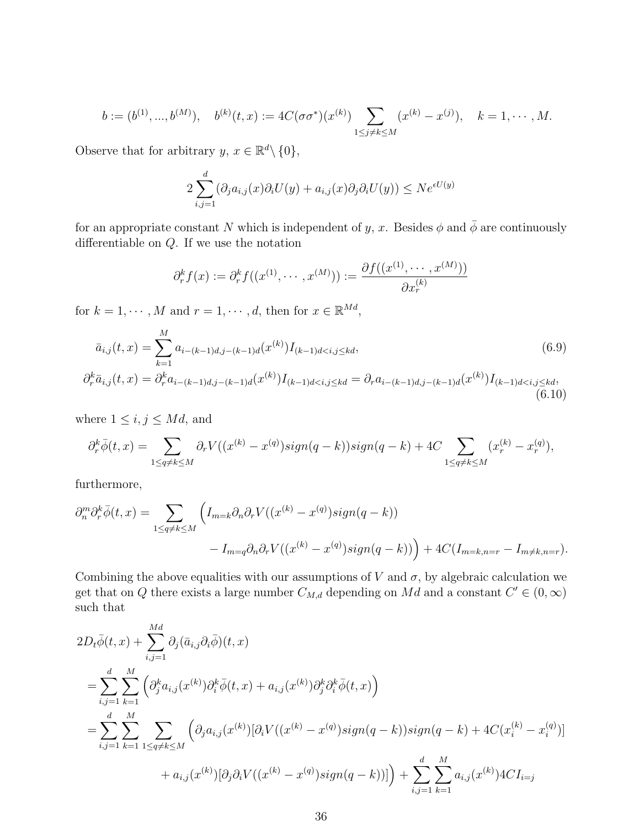$$
b := (b^{(1)}, ..., b^{(M)}), \quad b^{(k)}(t, x) := 4C(\sigma\sigma^*)(x^{(k)}) \sum_{1 \le j \ne k \le M} (x^{(k)} - x^{(j)}), \quad k = 1, \cdots, M.
$$

Observe that for arbitrary  $y, x \in \mathbb{R}^d \setminus \{0\},\$ 

$$
2\sum_{i,j=1}^d(\partial_j a_{i,j}(x)\partial_i U(y) + a_{i,j}(x)\partial_j \partial_i U(y)) \le N e^{\epsilon U(y)}
$$

for an appropriate constant N which is independent of y, x. Besides  $\phi$  and  $\bar{\phi}$  are continuously differentiable on Q. If we use the notation

$$
\partial_r^k f(x) := \partial_r^k f((x^{(1)}, \dots, x^{(M)})) := \frac{\partial f((x^{(1)}, \dots, x^{(M)}))}{\partial x_r^{(k)}}
$$

for  $k = 1, \dots, M$  and  $r = 1, \dots, d$ , then for  $x \in \mathbb{R}^{Md}$ ,

$$
\bar{a}_{i,j}(t,x) = \sum_{k=1}^{M} a_{i-(k-1)d,j-(k-1)d}(x^{(k)}) I_{(k-1)d\n
$$
\partial_r^k \bar{a}_{i,j}(t,x) = \partial_r^k a_{i-(k-1)d,j-(k-1)d}(x^{(k)}) I_{(k-1)d\n(6.10)
$$
$$

where  $1 \leq i, j \leq Md$ , and

$$
\partial_r^k \overline{\phi}(t,x) = \sum_{1 \le q \ne k \le M} \partial_r V((x^{(k)} - x^{(q)}) sign(q-k)) sign(q-k) + 4C \sum_{1 \le q \ne k \le M} (x_r^{(k)} - x_r^{(q)}),
$$

furthermore,

$$
\partial_n^m \partial_r^k \overline{\phi}(t,x) = \sum_{1 \le q \ne k \le M} \left( I_{m=k} \partial_n \partial_r V((x^{(k)} - x^{(q)}) sign(q-k)) - I_{m=q} \partial_n \partial_r V((x^{(k)} - x^{(q)}) sign(q-k)) \right) + 4C(I_{m=k,n=r} - I_{m \ne k,n=r}).
$$

Combining the above equalities with our assumptions of V and  $\sigma$ , by algebraic calculation we get that on Q there exists a large number  $C_{M,d}$  depending on Md and a constant  $C' \in (0,\infty)$ such that

$$
2D_{t}\bar{\phi}(t,x) + \sum_{i,j=1}^{Md} \partial_{j}(\bar{a}_{i,j}\partial_{i}\bar{\phi})(t,x)
$$
  
\n
$$
= \sum_{i,j=1}^{d} \sum_{k=1}^{M} \left( \partial_{j}^{k} a_{i,j}(x^{(k)}) \partial_{i}^{k} \bar{\phi}(t,x) + a_{i,j}(x^{(k)}) \partial_{j}^{k} \partial_{i}^{k} \bar{\phi}(t,x) \right)
$$
  
\n
$$
= \sum_{i,j=1}^{d} \sum_{k=1}^{M} \sum_{1 \leq q \neq k \leq M} \left( \partial_{j} a_{i,j}(x^{(k)}) [\partial_{i}V((x^{(k)} - x^{(q)}) sign(q - k)) sign(q - k) + 4C(x_{i}^{(k)} - x_{i}^{(q)})] + a_{i,j}(x^{(k)}) [\partial_{j} \partial_{i}V((x^{(k)} - x^{(q)}) sign(q - k))] \right) + \sum_{i,j=1}^{d} \sum_{k=1}^{M} a_{i,j}(x^{(k)}) 4CI_{i=j}
$$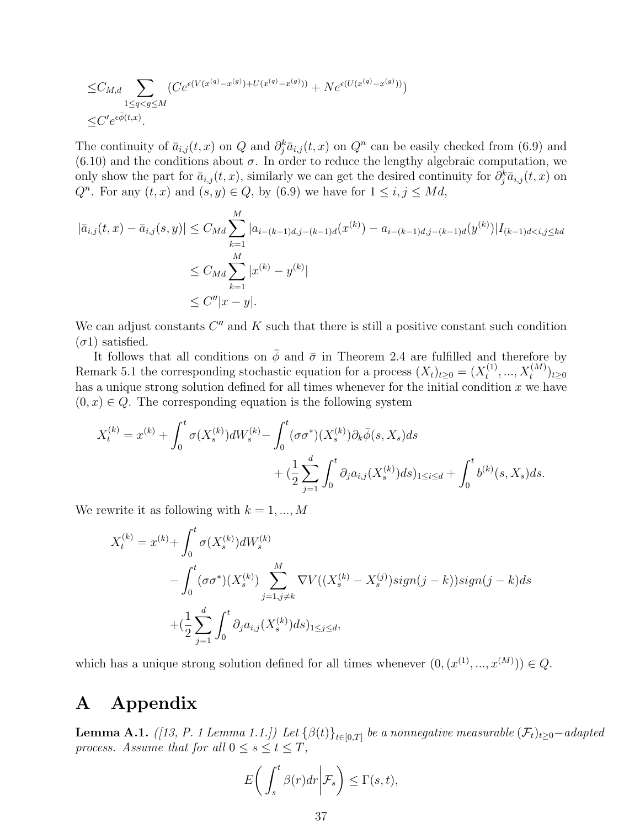$$
\leq C_{M,d} \sum_{1 \leq q < g \leq M} (Ce^{\epsilon(V(x^{(q)} - x^{(g)}) + U(x^{(q)} - x^{(g)}))} + Ne^{\epsilon(U(x^{(q)} - x^{(g)}))})
$$
\n
$$
\leq C'e^{\epsilon\bar{\phi}(t,x)}.
$$

The continuity of  $\bar{a}_{i,j}(t, x)$  on  $Q$  and  $\partial_j^k \bar{a}_{i,j}(t, x)$  on  $Q^n$  can be easily checked from (6.9) and  $(6.10)$  and the conditions about  $\sigma$ . In order to reduce the lengthy algebraic computation, we only show the part for  $\bar{a}_{i,j}(t, x)$ , similarly we can get the desired continuity for  $\partial_j^k \bar{a}_{i,j}(t, x)$  on  $Q<sup>n</sup>$ . For any  $(t, x)$  and  $(s, y) \in Q$ , by  $(6.9)$  we have for  $1 \leq i, j \leq Md$ ,

$$
|\bar{a}_{i,j}(t,x) - \bar{a}_{i,j}(s,y)| \le C_{Md} \sum_{k=1}^{M} |a_{i-(k-1)d,j-(k-1)d}(x^{(k)}) - a_{i-(k-1)d,j-(k-1)d}(y^{(k)})|I_{(k-1)d  

$$
\le C_{Md} \sum_{k=1}^{M} |x^{(k)} - y^{(k)}|
$$
  

$$
\le C''|x - y|.
$$
$$

We can adjust constants  $C''$  and  $K$  such that there is still a positive constant such condition  $(\sigma 1)$  satisfied.

It follows that all conditions on  $\bar{\phi}$  and  $\bar{\sigma}$  in Theorem 2.4 are fulfilled and therefore by Remark 5.1 the corresponding stochastic equation for a process  $(X_t)_{t\geq 0} = (X_t^{(1)})$  $(t^{(1)},...,X_t^{(M)})_{t\geq 0}$ has a unique strong solution defined for all times whenever for the initial condition  $x$  we have  $(0, x) \in Q$ . The corresponding equation is the following system

$$
X_t^{(k)} = x^{(k)} + \int_0^t \sigma(X_s^{(k)})dW_s^{(k)} - \int_0^t (\sigma \sigma^*)(X_s^{(k)})\partial_k \bar{\phi}(s, X_s)ds + \left(\frac{1}{2}\sum_{j=1}^d \int_0^t \partial_j a_{i,j}(X_s^{(k)})ds\right)_{1 \le i \le d} + \int_0^t b^{(k)}(s, X_s)ds.
$$

We rewrite it as following with  $k = 1, ..., M$ 

$$
X_t^{(k)} = x^{(k)} + \int_0^t \sigma(X_s^{(k)})dW_s^{(k)}
$$
  
 
$$
- \int_0^t (\sigma \sigma^*)(X_s^{(k)}) \sum_{j=1, j \neq k}^M \nabla V((X_s^{(k)} - X_s^{(j)}) sign(j-k)) sign(j-k) ds
$$
  
 
$$
+ (\frac{1}{2} \sum_{j=1}^d \int_0^t \partial_j a_{i,j}(X_s^{(k)}) ds)_{1 \leq j \leq d},
$$

which has a unique strong solution defined for all times whenever  $(0, (x^{(1)}, ..., x^{(M)})) \in Q$ .

# A Appendix

**Lemma A.1.** ([13, P. 1 Lemma 1.1.]) Let  $\{\beta(t)\}_{t\in[0,T]}$  be a nonnegative measurable  $(\mathcal{F}_t)_{t\geq 0}-adapted$ process. Assume that for all  $0 \leq s \leq t \leq T$ ,

$$
E\bigg(\int_s^t \beta(r) dr \bigg|\mathcal{F}_s\bigg) \le \Gamma(s,t),
$$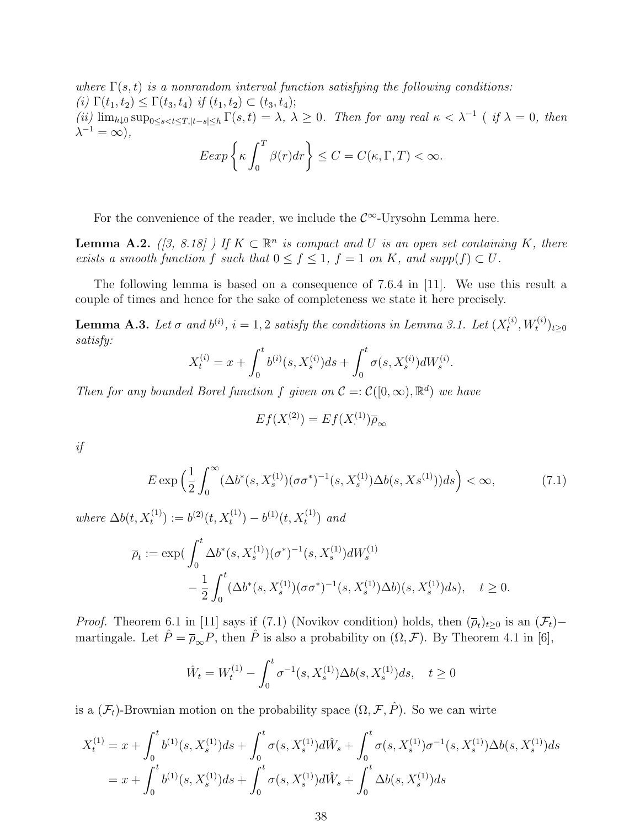where  $\Gamma(s,t)$  is a nonrandom interval function satisfying the following conditions: (i)  $\Gamma(t_1, t_2) \leq \Gamma(t_3, t_4)$  if  $(t_1, t_2) \subset (t_3, t_4);$ (ii)  $\lim_{h\downarrow 0} \sup_{0\leq s < t \leq T, |t-s|\leq h} \Gamma(s,t) = \lambda, \ \lambda \geq 0.$  Then for any real  $\kappa < \lambda^{-1}$  (if  $\lambda = 0$ , then  $\lambda^{-1} = \infty$ ),  $Eexp\left\{\kappa \int_0^T\right\}$ 0  $\beta(r)dr\bigg\} \leq C = C(\kappa, \Gamma, T) < \infty.$ 

For the convenience of the reader, we include the  $\mathcal{C}^{\infty}$ -Urysohn Lemma here.

**Lemma A.2.** ([3, 8.18]) If  $K \subset \mathbb{R}^n$  is compact and U is an open set containing K, there exists a smooth function f such that  $0 \le f \le 1$ ,  $f = 1$  on K, and supp $(f) \subset U$ .

The following lemma is based on a consequence of 7.6.4 in [11]. We use this result a couple of times and hence for the sake of completeness we state it here precisely.

**Lemma A.3.** Let  $\sigma$  and  $b^{(i)}$ ,  $i = 1, 2$  satisfy the conditions in Lemma 3.1. Let  $(X_t^{(i)})$  $(t^{(i)}_t, W_t^{(i)})_{t \geq 0}$ satisfy:

$$
X_t^{(i)} = x + \int_0^t b^{(i)}(s, X_s^{(i)})ds + \int_0^t \sigma(s, X_s^{(i)})dW_s^{(i)}
$$

Then for any bounded Borel function f given on  $\mathcal{C} = \mathcal{C}([0,\infty),\mathbb{R}^d)$  we have

$$
Ef(X^{(2)}.) = Ef(X^{(1)}.)\overline{\rho}_{\infty}
$$

if

$$
E \exp\left(\frac{1}{2} \int_0^\infty (\Delta b^*(s, X_s^{(1)})(\sigma \sigma^*)^{-1}(s, X_s^{(1)}) \Delta b(s, Xs^{(1)})) ds\right) < \infty,
$$
\n(7.1)

.

where  $\Delta b(t, X_t^{(1)}) := b^{(2)}(t, X_t^{(1)}) - b^{(1)}(t, X_t^{(1)})$  and

$$
\overline{\rho}_t := \exp\left(\int_0^t \Delta b^*(s, X_s^{(1)})(\sigma^*)^{-1}(s, X_s^{(1)})dW_s^{(1)} - \frac{1}{2}\int_0^t (\Delta b^*(s, X_s^{(1)})(\sigma\sigma^*)^{-1}(s, X_s^{(1)})\Delta b)(s, X_s^{(1)})ds\right), \quad t \ge 0.
$$

*Proof.* Theorem 6.1 in [11] says if (7.1) (Novikov condition) holds, then  $(\overline{\rho}_t)_{t\geq 0}$  is an  $(\mathcal{F}_t)$ martingale. Let  $\hat{P} = \overline{\rho}_{\infty} P$ , then  $\hat{P}$  is also a probability on  $(\Omega, \mathcal{F})$ . By Theorem 4.1 in [6],

$$
\hat{W}_t = W_t^{(1)} - \int_0^t \sigma^{-1}(s, X_s^{(1)}) \Delta b(s, X_s^{(1)}) ds, \quad t \ge 0
$$

is a  $(\mathcal{F}_t)$ -Brownian motion on the probability space  $(\Omega, \mathcal{F}, \hat{P})$ . So we can wirte

$$
X_t^{(1)} = x + \int_0^t b^{(1)}(s, X_s^{(1)})ds + \int_0^t \sigma(s, X_s^{(1)})d\hat{W}_s + \int_0^t \sigma(s, X_s^{(1)})\sigma^{-1}(s, X_s^{(1)})\Delta b(s, X_s^{(1)})ds
$$
  
=  $x + \int_0^t b^{(1)}(s, X_s^{(1)})ds + \int_0^t \sigma(s, X_s^{(1)})d\hat{W}_s + \int_0^t \Delta b(s, X_s^{(1)})ds$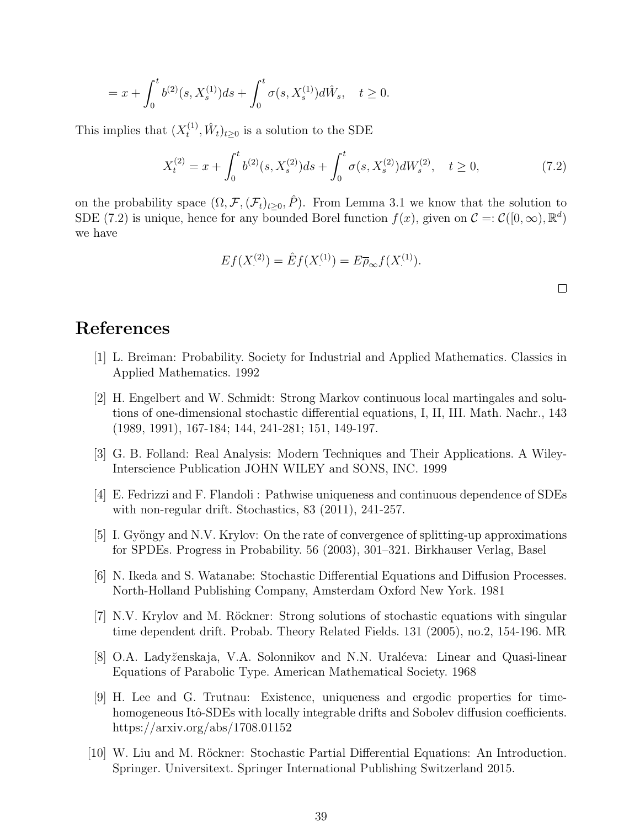$$
= x + \int_0^t b^{(2)}(s, X_s^{(1)})ds + \int_0^t \sigma(s, X_s^{(1)})d\hat{W}_s, \quad t \ge 0.
$$

This implies that  $(X_t^{(1)}$  $(t^{(1)}_t, \hat{W}_t)_{t\geq 0}$  is a solution to the SDE

$$
X_t^{(2)} = x + \int_0^t b^{(2)}(s, X_s^{(2)})ds + \int_0^t \sigma(s, X_s^{(2)})dW_s^{(2)}, \quad t \ge 0,
$$
\n(7.2)

on the probability space  $(\Omega, \mathcal{F}, (\mathcal{F}_t)_{t>0}, \hat{P})$ . From Lemma 3.1 we know that the solution to SDE (7.2) is unique, hence for any bounded Borel function  $f(x)$ , given on  $\mathcal{C} = \mathcal{C}([0,\infty), \mathbb{R}^d)$ we have

$$
Ef(X^{(2)}) = \hat{E}f(X^{(1)}) = E\overline{\rho}_{\infty}f(X^{(1)})
$$
.

# References

- [1] L. Breiman: Probability. Society for Industrial and Applied Mathematics. Classics in Applied Mathematics. 1992
- [2] H. Engelbert and W. Schmidt: Strong Markov continuous local martingales and solutions of one-dimensional stochastic differential equations, I, II, III. Math. Nachr., 143 (1989, 1991), 167-184; 144, 241-281; 151, 149-197.
- [3] G. B. Folland: Real Analysis: Modern Techniques and Their Applications. A Wiley-Interscience Publication JOHN WILEY and SONS, INC. 1999
- [4] E. Fedrizzi and F. Flandoli : Pathwise uniqueness and continuous dependence of SDEs with non-regular drift. Stochastics, 83 (2011), 241-257.
- [5] I. Gyöngy and N.V. Krylov: On the rate of convergence of splitting-up approximations for SPDEs. Progress in Probability. 56 (2003), 301–321. Birkhauser Verlag, Basel
- [6] N. Ikeda and S. Watanabe: Stochastic Differential Equations and Diffusion Processes. North-Holland Publishing Company, Amsterdam Oxford New York. 1981
- [7] N.V. Krylov and M. Röckner: Strong solutions of stochastic equations with singular time dependent drift. Probab. Theory Related Fields. 131 (2005), no.2, 154-196. MR
- [8] O.A. Lady˘zenskaja, V.A. Solonnikov and N.N. Ural´ceva: Linear and Quasi-linear Equations of Parabolic Type. American Mathematical Society. 1968
- [9] H. Lee and G. Trutnau: Existence, uniqueness and ergodic properties for timehomogeneous Itô-SDEs with locally integrable drifts and Sobolev diffusion coefficients. https://arxiv.org/abs/1708.01152
- [10] W. Liu and M. Röckner: Stochastic Partial Differential Equations: An Introduction. Springer. Universitext. Springer International Publishing Switzerland 2015.